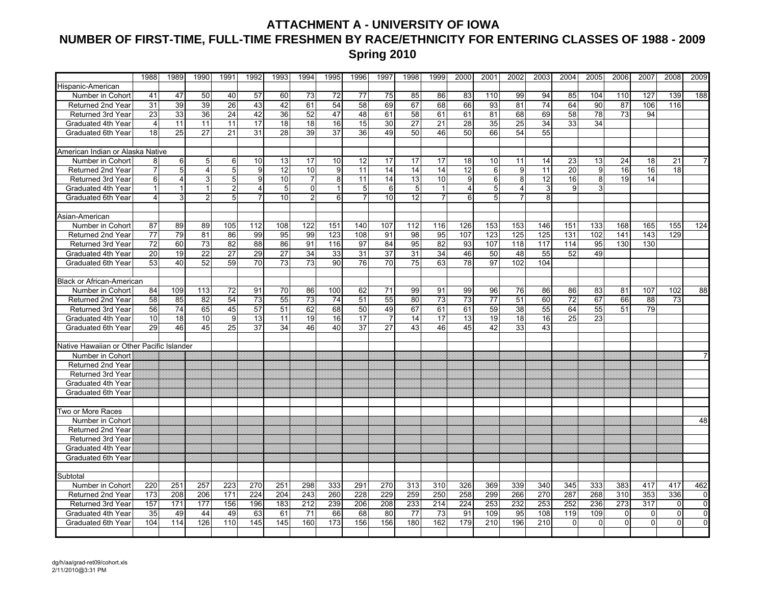## **ATTACHMENT A - UNIVERSITY OF IOWA NUMBER OF FIRST-TIME, FULL-TIME FRESHMEN BY RACE/ETHNICITY FOR ENTERING CLASSES OF 1988 - 2009 Spring 2010**

|                                           | 1988            | 1989           | 1990           | 1991           | 1992             | 1993            | 1994           | 1995             | 1996            | 1997            | 1998            | 1999           | 2000            | 2001            | 2002           | 2003            | 2004            | 2005     | 2006           | 2007           | 2008           | 2009           |
|-------------------------------------------|-----------------|----------------|----------------|----------------|------------------|-----------------|----------------|------------------|-----------------|-----------------|-----------------|----------------|-----------------|-----------------|----------------|-----------------|-----------------|----------|----------------|----------------|----------------|----------------|
| Hispanic-American                         |                 |                |                |                |                  |                 |                |                  |                 |                 |                 |                |                 |                 |                |                 |                 |          |                |                |                |                |
| Number in Cohort                          | 41              | 47             | 50             | 40             | 57               | 60              | 73             | 72               | 77              | 75              | 85              | 86             | 83              | 110             | 99             | 94              | 85              | 104      | 110            | 127            | 139            | 188            |
| Returned 2nd Year                         | 31              | 39             | 39             | 26             | 43               | 42              | 61             | 54               | 58              | 69              | 67              | 68             | 66              | 93              | 81             | 74              | 64              | 90       | 87             | 106            | 116            |                |
| Returned 3rd Year                         | 23              | 33             | 36             | 24             | 42               | 36              | 52             | 47               | 48              | 61              | 58              | 61             | 61              | 81              | 68             | 69              | 58              | 78       | 73             | 94             |                |                |
| Graduated 4th Year                        | $\overline{4}$  | 11             | 11             | 11             | 17               | 18              | 18             | 16               | $\overline{15}$ | $\overline{30}$ | $\overline{27}$ | 21             | 28              | $\overline{35}$ | 25             | $\overline{34}$ | 33              | 34       |                |                |                |                |
| Graduated 6th Year                        | 18              | 25             | 27             | 21             | 31               | 28              | 39             | 37               | 36              | 49              | $\overline{50}$ | 46             | 50              | 66              | 54             | 55              |                 |          |                |                |                |                |
|                                           |                 |                |                |                |                  |                 |                |                  |                 |                 |                 |                |                 |                 |                |                 |                 |          |                |                |                |                |
| American Indian or Alaska Native          |                 |                |                |                |                  |                 |                |                  |                 |                 |                 |                |                 |                 |                |                 |                 |          |                |                |                |                |
| Number in Cohort                          | 8               | 6              | 5              | 6              | 10               | 13              | 17             | 10               | 12              | 17              | 17              | 17             | 18              | 10              | 11             | 14              | 23              | 13       | 24             | 18             | 21             |                |
| <b>Returned 2nd Year</b>                  |                 | 5              | $\overline{4}$ | 5 <sub>5</sub> | 9                | 12              | 10             | 9                | 11              | 14              | 14              | 14             | 12              | 6               | 9              | 11              | 20              | 9        | 16             | 16             | 18             |                |
| Returned 3rd Year                         | 6               | $\overline{4}$ | 3              | 5 <sub>5</sub> | 9                | 10              | $\overline{7}$ | 8                | 11              | 14              | 13              | 10             | 9 <sub>l</sub>  | 6               | 8              | 12              | 16              | 8        | 19             | 14             |                |                |
| Graduated 4th Year                        |                 |                | $\mathbf{1}$   | 2 <sub>1</sub> | $\overline{4}$   | 5 <sup>1</sup>  | $\Omega$       |                  | 5               | 6               | 5               | 1              | 4               | 5               | 4              | 3               | 9               | 3        |                |                |                |                |
| Graduated 6th Year                        | 4               | $\mathbf{3}$   | $\overline{2}$ | 5 <sub>5</sub> | $\overline{7}$   | 10              | 2 <sub>1</sub> | $6 \overline{6}$ | $\overline{7}$  | 10              | 12              | $\overline{7}$ | 6               | 5               | $\overline{7}$ | 8               |                 |          |                |                |                |                |
|                                           |                 |                |                |                |                  |                 |                |                  |                 |                 |                 |                |                 |                 |                |                 |                 |          |                |                |                |                |
| Asian-American                            |                 |                |                |                |                  |                 |                |                  |                 |                 |                 |                |                 |                 |                |                 |                 |          |                |                |                |                |
| Number in Cohort                          | 87              | 89             | 89             | 105            | 112              | 108             | 122            | 151              | 140             | 107             | 112             | 116            | 126             | 153             | 153            | 146             | 151             | 133      | 168            | 165            | 155            | 124            |
| Returned 2nd Year                         | 77              | 79             | 81             | 86             | 99               | 95              | 99             | 123              | 108             | 91              | 98              | 95             | 107             | 123             | 125            | 125             | 131             | 102      | 141            | 143            | 129            |                |
| <b>Returned 3rd Year</b>                  | 72              | 60             | 73             | 82             | 88               | 86              | 91             | 116              | 97              | 84              | 95              | 82             | 93              | 107             | 118            | 117             | 114             | 95       | 130            | 130            |                |                |
| Graduated 4th Year                        | 20              | 19             | 22             | 27             | 29               | 27              | 34             | 33               | 31              | 37              | 31              | 34             | 46              | 50              | 48             | 55              | 52              | 49       |                |                |                |                |
| Graduated 6th Year                        | 53              | 40             | 52             | 59             | 70               | $\overline{73}$ | 73             | 90               | 76              | $\overline{70}$ | $\overline{75}$ | 63             | $\overline{78}$ | 97              | 102            | 104             |                 |          |                |                |                |                |
|                                           |                 |                |                |                |                  |                 |                |                  |                 |                 |                 |                |                 |                 |                |                 |                 |          |                |                |                |                |
| <b>Black or African-American</b>          |                 |                |                |                |                  |                 |                |                  |                 |                 |                 |                |                 |                 |                |                 |                 |          |                |                |                |                |
| Number in Cohort                          | 84              | 109            | 113            | 72             | 91               | 70              | 86             | 100              | 62              | 71              | 99              | 91             | 99              | 96              | 76             | 86              | 86              | 83       | 81             | 107            | 102            | 88             |
| Returned 2nd Year                         | 58              | 85             | 82             | 54             | 73               | 55              | 73             | 74               | 51              | 55              | 80              | 73             | 73              | $\overline{77}$ | 51             | 60              | $\overline{72}$ | 67       | 66             | 88             | 73             |                |
| Returned 3rd Year                         | 56              | 74             | 65             | 45             | 57               | 51              | 62             | 68               | 50              | 49              | 67              | 61             | 61              | 59              | 38             | 55              | 64              | 55       | 51             | 79             |                |                |
| Graduated 4th Year                        | 10 <sup>1</sup> | 18             | 10             | 9 <sub>l</sub> | 13               | 11              | 19             | 16               | 17              | $\overline{7}$  | 14              | 17             | 13              | 19              | 18             | 16              | 25              | 23       |                |                |                |                |
| Graduated 6th Year                        | 29              | 46             | 45             | 25             | 37               | 34              | 46             | 40               | 37              | 27              | 43              | 46             | 45              | 42              | 33             | 43              |                 |          |                |                |                |                |
|                                           |                 |                |                |                |                  |                 |                |                  |                 |                 |                 |                |                 |                 |                |                 |                 |          |                |                |                |                |
| Native Hawaiian or Other Pacific Islander |                 |                |                |                |                  |                 |                |                  |                 |                 |                 |                |                 |                 |                |                 |                 |          |                |                |                |                |
| Number in Cohort                          |                 |                |                |                |                  |                 |                |                  |                 |                 |                 |                |                 |                 |                |                 |                 |          |                |                |                |                |
| Returned 2nd Year                         |                 |                |                |                |                  |                 |                |                  |                 |                 |                 |                |                 |                 |                |                 |                 |          |                |                |                |                |
| Returned 3rd Year                         |                 |                |                |                |                  |                 |                |                  |                 |                 |                 |                |                 |                 |                |                 |                 |          |                |                |                |                |
| Graduated 4th Year                        |                 |                |                |                |                  |                 |                |                  |                 |                 |                 |                |                 |                 |                |                 |                 |          |                |                |                |                |
| Graduated 6th Year                        |                 |                |                |                |                  |                 |                |                  |                 |                 |                 |                |                 |                 |                |                 |                 |          |                |                |                |                |
|                                           |                 |                |                |                |                  |                 |                |                  |                 |                 |                 |                |                 |                 |                |                 |                 |          |                |                |                |                |
| Two or More Races                         |                 |                |                |                |                  |                 |                |                  |                 |                 |                 |                |                 |                 |                |                 |                 |          |                |                |                |                |
| Number in Cohort                          |                 |                |                |                |                  |                 |                |                  |                 |                 |                 |                |                 |                 |                |                 |                 |          |                |                |                | 48             |
| <b>Returned 2nd Year</b>                  |                 |                |                |                |                  |                 |                |                  |                 |                 |                 |                |                 |                 |                |                 |                 |          |                |                |                |                |
| <b>Returned 3rd Year</b>                  |                 |                |                |                |                  |                 |                |                  |                 |                 |                 |                |                 |                 |                |                 |                 |          |                |                |                |                |
| Graduated 4th Year                        |                 |                |                |                |                  |                 |                |                  |                 |                 |                 |                |                 |                 |                |                 |                 |          |                |                |                |                |
| Graduated 6th Year                        |                 |                |                |                |                  |                 |                |                  |                 |                 |                 |                |                 |                 |                |                 |                 |          |                |                |                |                |
|                                           |                 |                |                |                |                  |                 |                |                  |                 |                 |                 |                |                 |                 |                |                 |                 |          |                |                |                |                |
| Subtotal                                  |                 |                |                |                |                  |                 |                |                  |                 |                 |                 |                |                 |                 |                |                 |                 |          |                |                |                |                |
| Number in Cohort                          | 220             | 251            | 257            | 223            | 270              | 251             | 298            | 333              | 291             | 270             | 313             | 310            | 326             | 369             | 339            | 340             | 345             | 333      | 383            | 417            | 417            | 462            |
| Returned 2nd Year                         | 173             | 208            | 206            | 171            | $\overline{224}$ | 204             | 243            | 260              | 228             | 229             | 259             | 250            | 258             | 299             | 266            | 270             | 287             | 268      | 310            | 353            | 336            | 0              |
| Returned 3rd Year                         | 157             | 171            | 177            | 156            | 196              | 183             | 212            | 239              | 206             | 208             | 233             | 214            | 224             | 253             | 232            | 253             | 252             | 236      | 273            | 317            | $\overline{0}$ | $\mathbf 0$    |
| Graduated 4th Year                        | 35              | 49             | 44             | 49             | 63               | 61              | 71             | 66               | 68              | 80              | 77              | 73             | 91              | 109             | 95             | 108             | 119             | 109      | $\overline{0}$ | $\overline{0}$ | $\overline{0}$ | $\pmb{0}$      |
| Graduated 6th Year                        | 104             | 114            | 126            | 110            | 145              | 145             | 160            | 173              | 156             | 156             | 180             | 162            | 179             | 210             | 196            | 210             | $\Omega$        | $\Omega$ | $\Omega$       | $\Omega$       | $\Omega$       | $\overline{0}$ |
|                                           |                 |                |                |                |                  |                 |                |                  |                 |                 |                 |                |                 |                 |                |                 |                 |          |                |                |                |                |
|                                           |                 |                |                |                |                  |                 |                |                  |                 |                 |                 |                |                 |                 |                |                 |                 |          |                |                |                |                |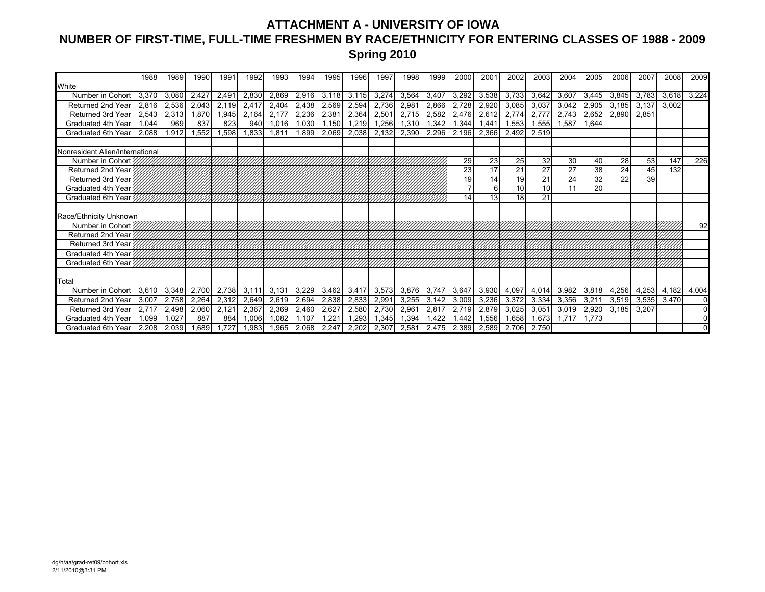## **ATTACHMENT A - UNIVERSITY OF IOWA NUMBER OF FIRST-TIME, FULL-TIME FRESHMEN BY RACE/ETHNICITY FOR ENTERING CLASSES OF 1988 - 2009 Spring 2010**

|                                 | 1988  | 1989  | 1990  | 1991  | 1992  | 1993  | 1994  | 1995           | 1996  | 1997  | 1998  | 1999  | 2000  | 2001  | 2002            | 2003  | 2004  | 2005  | 2006  | 2007  | 2008  | 2009     |
|---------------------------------|-------|-------|-------|-------|-------|-------|-------|----------------|-------|-------|-------|-------|-------|-------|-----------------|-------|-------|-------|-------|-------|-------|----------|
| White                           |       |       |       |       |       |       |       |                |       |       |       |       |       |       |                 |       |       |       |       |       |       |          |
| Number in Cohort                | 3,370 | 3.080 | 2.427 | 2,491 | 2,830 | 2,869 | 2,916 | 3.118          | 3,115 | 3,274 | 3,564 | 3,407 | 3,292 | 3,538 | 3,733           | 3,642 | 3,607 | 3,445 | 3,845 | 3,783 | 3,618 | 3,224    |
| Returned 2nd Year               | 2,816 | 2,536 | 2,043 | 2,119 | 2,417 | 2,404 | 2,438 | 2,569          | 2,594 | 2,736 | 2,981 | 2,866 | 2,728 | 2,920 | 3,085           | 3,037 | 3,042 | 2,905 | 3,185 | 3,137 | 3,002 |          |
| <b>Returned 3rd Year</b>        | 2,543 | 2,313 | 1,870 | 1,945 | 2,164 | 2,177 | 2,236 | 2,381          | 2,364 | 2,501 | 2,715 | 2,582 | 2,476 | 2,612 | 2,774           | 2.777 | 2,743 | 2,652 | 2,890 | 2.851 |       |          |
| Graduated 4th Year              | 1.044 | 969   | 837   | 823   | 940   | 1.016 | 1.030 | 1.150          | 1,219 | 1,256 | 1,310 | 1,342 | 1,344 | 1.441 | 1,553           | 1.555 | 1.587 | 1.644 |       |       |       |          |
| Graduated 6th Year              | 2,088 | 1,912 | 1,552 | 1,598 | 1,833 | 1,811 | 899,  | 2,069          | 2,038 | 2,132 | 2,390 | 2,296 | 2,196 | 2,366 | 2,492           | 2,519 |       |       |       |       |       |          |
|                                 |       |       |       |       |       |       |       |                |       |       |       |       |       |       |                 |       |       |       |       |       |       |          |
| Nonresident Alien/International |       |       |       |       |       |       |       |                |       |       |       |       |       |       |                 |       |       |       |       |       |       |          |
| Number in Cohort                |       |       |       |       |       |       |       |                |       |       |       |       | 29    | 23    | 25              | 32    | 30    | 40    | 28    | 53    | 147   | 226      |
| Returned 2nd Year               |       |       |       |       |       |       |       |                |       |       |       |       | 23    | 17    | 21              | 27    | 27    | 38    | 24    | 45    | 132   |          |
| <b>Returned 3rd Year</b>        |       |       |       |       |       |       |       |                |       |       |       |       | 19    | 14    | 19              | 21    | 24    | 32    | 22    | 39    |       |          |
| Graduated 4th Year              |       |       |       |       |       |       |       |                |       |       |       |       |       | 6     | 10              | 10    | 11    | 20    |       |       |       |          |
| Graduated 6th Year              |       |       |       |       |       |       |       |                |       |       |       |       | 14    | 13    | 18 <sup>1</sup> | 21    |       |       |       |       |       |          |
|                                 |       |       |       |       |       |       |       |                |       |       |       |       |       |       |                 |       |       |       |       |       |       |          |
| Race/Ethnicity Unknown          |       |       |       |       |       |       |       |                |       |       |       |       |       |       |                 |       |       |       |       |       |       |          |
| Number in Cohort                |       |       |       |       |       |       |       |                |       |       |       |       |       |       |                 |       |       |       |       |       |       | 92       |
| Returned 2nd Year               |       |       |       |       |       |       |       |                |       |       |       |       |       |       |                 |       |       |       |       |       |       |          |
| <b>Returned 3rd Year</b>        |       |       |       |       |       |       |       |                |       |       |       |       |       |       |                 |       |       |       |       |       |       |          |
| Graduated 4th Year              |       |       |       |       |       |       |       |                |       |       |       |       |       |       |                 |       |       |       |       |       |       |          |
| Graduated 6th Year              |       |       |       |       |       |       |       |                |       |       |       |       |       |       |                 |       |       |       |       |       |       |          |
|                                 |       |       |       |       |       |       |       |                |       |       |       |       |       |       |                 |       |       |       |       |       |       |          |
| Total                           |       |       |       |       |       |       |       |                |       |       |       |       |       |       |                 |       |       |       |       |       |       |          |
| Number in Cohort                | 3.610 | 3.348 | 2.700 | 2.738 | 3.111 | 3.131 | 3.229 | 3.462          | 3.417 | 3,573 | 3,876 | 3,747 | 3,647 | 3,930 | 4,097           | 4,014 | 3,982 | 3,818 | 4,256 | 4,253 | 4.182 | 4,004    |
| Returned 2nd Year               | 3,007 | 2,758 | 2,264 | 2,312 | 2,649 | 2,619 | 2,694 | 2,838          | 2,833 | 2,991 | 3,255 | 3,142 | 3,009 | 3,236 | 3,372           | 3,334 | 3,356 | 3,211 | 3,519 | 3,535 | 3,470 | $\Omega$ |
| <b>Returned 3rd Year</b>        | 2.717 | 2,498 | 2,060 | 2,121 | 2,367 | 2,369 | 2,460 | 2.627          | 2,580 | 2.730 | 2,961 | 2,81  | 2,719 | 2,879 | 3,025           | 3,051 | 3,019 | 2,920 | 3,185 | 3,207 |       |          |
| Graduated 4th Year              | 1.099 | 1.027 | 887   | 884   | 1.006 | 1.082 | .107  | $1.22^{\circ}$ | 1,293 | 1,345 | 1,394 | .422  | 1,442 | 1,556 | 1,658           | 1.673 | 1.717 | 1.773 |       |       |       |          |
| Graduated 6th Year              | 2.208 | 2,039 | .689  | .727  | .983  | 1.965 | 2,068 | 2,247          | 2,202 | 2,307 | 2,581 | 2.475 | 2,389 | 2,589 | 2,706           | 2,750 |       |       |       |       |       |          |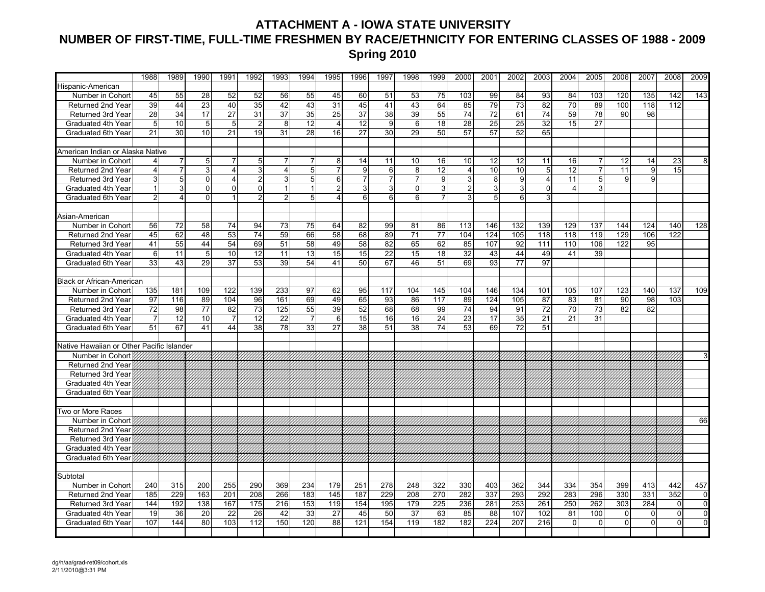### **ATTACHMENT A - IOWA STATE UNIVERSITY NUMBER OF FIRST-TIME, FULL-TIME FRESHMEN BY RACE/ETHNICITY FOR ENTERING CLASSES OF 1988 - 2009 Spring 2010**

|                                           | 1988           | 1989           | 1990            | 1991             | 1992           | 1993            | 1994           | 1995             | 1996           | 1997            | 1998           | 1999            | 2000           | 2001            | 2002            | 2003            | 2004                    | 2005           | 2006           | 2007           | 2008            | 2009           |
|-------------------------------------------|----------------|----------------|-----------------|------------------|----------------|-----------------|----------------|------------------|----------------|-----------------|----------------|-----------------|----------------|-----------------|-----------------|-----------------|-------------------------|----------------|----------------|----------------|-----------------|----------------|
| Hispanic-American                         |                |                |                 |                  |                |                 |                |                  |                |                 |                |                 |                |                 |                 |                 |                         |                |                |                |                 |                |
| Number in Cohort                          | 45             | 55             | 28              | 52               | 52             | 56              | 55             | 45               | 60             | 51              | 53             | 75              | 103            | 99              | 84              | 93              | 84                      | 103            | 120            | 135            | 142             | 143            |
| Returned 2nd Year                         | 39             | 44             | 23              | 40               | 35             | 42              | 43             | 31               | 45             | 41              | 43             | 64              | 85             | 79              | $\overline{73}$ | $\overline{82}$ | 70                      | 89             | 100            | 118            | 112             |                |
| Returned 3rd Year                         | 28             | 34             | 17              | 27               | 31             | $\overline{37}$ | 35             | 25               | 37             | 38              | 39             | 55              | 74             | 72              | 61              | 74              | 59                      | 78             | 90             | 98             |                 |                |
| Graduated 4th Year                        | 5              | 10             | 5               | 5 <sub>5</sub>   | $\overline{2}$ | 8               | 12             | $\overline{4}$   | 12             | 9               | $6 \mid$       | 18              | 28             | $\overline{25}$ | $\overline{25}$ | $\overline{32}$ | 15                      | 27             |                |                |                 |                |
| Graduated 6th Year                        | 21             | 30             | 10              | 21               | 19             | 31              | 28             | 16               | 27             | 30              | 29             | 50              | 57             | 57              | 52              | 65              |                         |                |                |                |                 |                |
|                                           |                |                |                 |                  |                |                 |                |                  |                |                 |                |                 |                |                 |                 |                 |                         |                |                |                |                 |                |
| American Indian or Alaska Native          |                |                |                 |                  |                |                 |                |                  |                |                 |                |                 |                |                 |                 |                 |                         |                |                |                |                 |                |
| Number in Cohort                          | 4              | 7              | $5\phantom{.0}$ | $\overline{7}$   | 5              | 7               | 7              | 8                | 14             | 11              | 10             | 16              | 10             | 12              | 12              | 11              | 16                      | 7              | 12             | 14             | 23              | 8              |
| <b>Returned 2nd Year</b>                  | 4              | $\overline{7}$ | 3               | $\overline{4}$   | 3              | 4               | 5              | $\overline{7}$   | 9              | 6               | 8 <sup>1</sup> | $\overline{12}$ | $\overline{4}$ | 10              | 10              | $\overline{5}$  | 12                      | $\overline{7}$ | 11             | $\overline{9}$ | $\overline{15}$ |                |
| Returned 3rd Year                         | 3              | $\sqrt{5}$     | $\overline{0}$  | $\overline{4}$   | $\overline{2}$ | 3 <sup>1</sup>  | 5 <sup>1</sup> | $6 \overline{6}$ | $\overline{7}$ | $\overline{7}$  | $\overline{7}$ | 9               | 3 <sup>1</sup> | 8               | 9               | $\overline{4}$  | 11                      | 5              | 9              | 9              |                 |                |
| Graduated 4th Year                        | $\mathbf{1}$   | $\mathbf{3}$   | $\Omega$        | $\Omega$         | $\Omega$       | $\overline{1}$  | $\mathbf{1}$   | $\mathcal{P}$    | $\overline{3}$ | $\mathcal{E}$   | $\Omega$       | $\overline{3}$  | $\overline{2}$ | 3               | 3               | $\Omega$        | $\overline{\mathbf{A}}$ | $\mathbf{3}$   |                |                |                 |                |
| <b>Graduated 6th Year</b>                 | $\overline{2}$ | $\overline{4}$ | $\Omega$        | $\mathbf{1}$     | $\overline{2}$ | 2 <sub>1</sub>  | 5 <sup>1</sup> | $\overline{4}$   | 6              | $6 \mid$        | 6              | $\overline{7}$  | $\mathbf{3}$   | 5               | 6               | 3               |                         |                |                |                |                 |                |
|                                           |                |                |                 |                  |                |                 |                |                  |                |                 |                |                 |                |                 |                 |                 |                         |                |                |                |                 |                |
| Asian-American                            |                |                |                 |                  |                |                 |                |                  |                |                 |                |                 |                |                 |                 |                 |                         |                |                |                |                 |                |
| Number in Cohort                          | 56             | 72             | 58              | 74               | 94             | 73              | 75             | 64               | 82             | 99              | 81             | 86              | 113            | 146             | 132             | 139             | 129                     | 137            | 144            | 124            | 140             | 128            |
| <b>Returned 2nd Year</b>                  | 45             | 62             | 48              | 53               | 74             | 59              | 66             | 58               | 68             | 89              | 71             | 77              | 104            | 124             | 105             | 118             | 118                     | 119            | 129            | 106            | 122             |                |
| Returned 3rd Year                         | 41             | 55             | 44              | 54               | 69             | 51              | 58             | 49               | 58             | 82              | 65             | 62              | 85             | 107             | 92              | 111             | 110                     | 106            | 122            | 95             |                 |                |
| Graduated 4th Year                        | 6              | 11             | $5\overline{)}$ | 10 <sup>1</sup>  | 12             | 11              | 13             | 15               | 15             | $\overline{22}$ | 15             | 18              | 32             | 43              | 44              | 49              | 41                      | 39             |                |                |                 |                |
| Graduated 6th Year                        | 33             | 43             | 29              | 37               | 53             | 39              | 54             | 41               | 50             | 67              | 46             | 51              | 69             | 93              | 77              | 97              |                         |                |                |                |                 |                |
|                                           |                |                |                 |                  |                |                 |                |                  |                |                 |                |                 |                |                 |                 |                 |                         |                |                |                |                 |                |
| <b>Black or African-American</b>          |                |                |                 |                  |                |                 |                |                  |                |                 |                |                 |                |                 |                 |                 |                         |                |                |                |                 |                |
| Number in Cohort                          | 135            | 181            | 109             | 122              | 139            | 233             | 97             | 62               | 95             | 117             | 104            | 145             | 104            | 146             | 134             | 101             | 105                     | 107            | 123            | 140            | 137             | 109            |
| Returned 2nd Year                         | 97             | 116            | 89              | 104              | 96             | 161             | 69             | 49               | 65             | 93              | 86             | 117             | 89             | 124             | 105             | 87              | 83                      | 81             | 90             | 98             | 103             |                |
| Returned 3rd Year                         | 72             | 98             | 77              | 82               | 73             | 125             | 55             | 39               | 52             | 68              | 68             | 99              | 74             | 94              | 91              | 72              | 70                      | 73             | 82             | 82             |                 |                |
| Graduated 4th Year                        | $\overline{7}$ | 12             | 10              | $\overline{7}$   | 12             | 22              | $\overline{7}$ | $6 \mid$         | 15             | 16              | 16             | 24              | 23             | 17              | 35              | 21              | 21                      | 31             |                |                |                 |                |
| Graduated 6th Year                        | 51             | 67             | 41              | 44               | 38             | 78              | 33             | 27               | 38             | 51              | 38             | 74              | 53             | 69              | 72              | 51              |                         |                |                |                |                 |                |
|                                           |                |                |                 |                  |                |                 |                |                  |                |                 |                |                 |                |                 |                 |                 |                         |                |                |                |                 |                |
| Native Hawaiian or Other Pacific Islander |                |                |                 |                  |                |                 |                |                  |                |                 |                |                 |                |                 |                 |                 |                         |                |                |                |                 |                |
| Number in Cohort                          |                |                |                 |                  |                |                 |                |                  |                |                 |                |                 |                |                 |                 |                 |                         |                |                |                |                 |                |
| Returned 2nd Year                         |                |                |                 |                  |                |                 |                |                  |                |                 |                |                 |                |                 |                 |                 |                         |                |                |                |                 |                |
| Returned 3rd Year                         |                |                |                 |                  |                |                 |                |                  |                |                 |                |                 |                |                 |                 |                 |                         |                |                |                |                 |                |
| Graduated 4th Year                        |                |                |                 |                  |                |                 |                |                  |                |                 |                |                 |                |                 |                 |                 |                         |                |                |                |                 |                |
| Graduated 6th Year                        |                |                |                 |                  |                |                 |                |                  |                |                 |                |                 |                |                 |                 |                 |                         |                |                |                |                 |                |
|                                           |                |                |                 |                  |                |                 |                |                  |                |                 |                |                 |                |                 |                 |                 |                         |                |                |                |                 |                |
| Two or More Races                         |                |                |                 |                  |                |                 |                |                  |                |                 |                |                 |                |                 |                 |                 |                         |                |                |                |                 |                |
| Number in Cohort                          |                |                |                 |                  |                |                 |                |                  |                |                 |                |                 |                |                 |                 |                 |                         |                |                |                |                 | 66             |
| <b>Returned 2nd Year</b>                  |                |                |                 |                  |                |                 |                |                  |                |                 |                |                 |                |                 |                 |                 |                         |                |                |                |                 |                |
| <b>Returned 3rd Year</b>                  |                |                |                 |                  |                |                 |                |                  |                |                 |                |                 |                |                 |                 |                 |                         |                |                |                |                 |                |
| Graduated 4th Year                        |                |                |                 |                  |                |                 |                |                  |                |                 |                |                 |                |                 |                 |                 |                         |                |                |                |                 |                |
| Graduated 6th Year                        |                |                |                 |                  |                |                 |                |                  |                |                 |                |                 |                |                 |                 |                 |                         |                |                |                |                 |                |
|                                           |                |                |                 |                  |                |                 |                |                  |                |                 |                |                 |                |                 |                 |                 |                         |                |                |                |                 |                |
| Subtotal                                  |                |                |                 |                  |                |                 |                |                  |                |                 |                |                 |                |                 |                 |                 |                         |                |                |                |                 |                |
| Number in Cohort                          | 240            | 315            | 200             | 255              | 290            | 369             | 234            | 179              | 251            | 278             | 248            | 322             | 330            | 403             | 362             | 344             | 334                     | 354            | 399            | 413            | 442             | 457            |
| Returned 2nd Year                         | 185            | 229            | 163             | $\overline{201}$ | 208            | 266             | 183            | 145              | 187            | 229             | 208            | 270             | 282            | 337             | 293             | 292             | 283                     | 296            | 330            | 331            | 352             | 0              |
| Returned 3rd Year                         | 144            | 192            | 138             | 167              | 175            | 216             | 153            | 119              | 154            | 195             | 179            | 225             | 236            | 281             | 253             | 261             | 250                     | 262            | 303            | 284            | $\overline{0}$  | $\mathbf 0$    |
| Graduated 4th Year                        | 19             | 36             | 20              | 22               | 26             | 42              | 33             | 27               | 45             | 50              | 37             | 63              | 85             | 88              | 107             | 102             | 81                      | 100            | $\overline{0}$ | $\overline{0}$ | $\overline{0}$  | $\pmb{0}$      |
| Graduated 6th Year                        | 107            | 144            | 80              | 103              | 112            | 150             | 120            | 88               | 121            | 154             | 119            | 182             | 182            | 224             | 207             | 216             | $\Omega$                | $\Omega$       | $\Omega$       | $\Omega$       | $\Omega$        | $\overline{0}$ |
|                                           |                |                |                 |                  |                |                 |                |                  |                |                 |                |                 |                |                 |                 |                 |                         |                |                |                |                 |                |
|                                           |                |                |                 |                  |                |                 |                |                  |                |                 |                |                 |                |                 |                 |                 |                         |                |                |                |                 |                |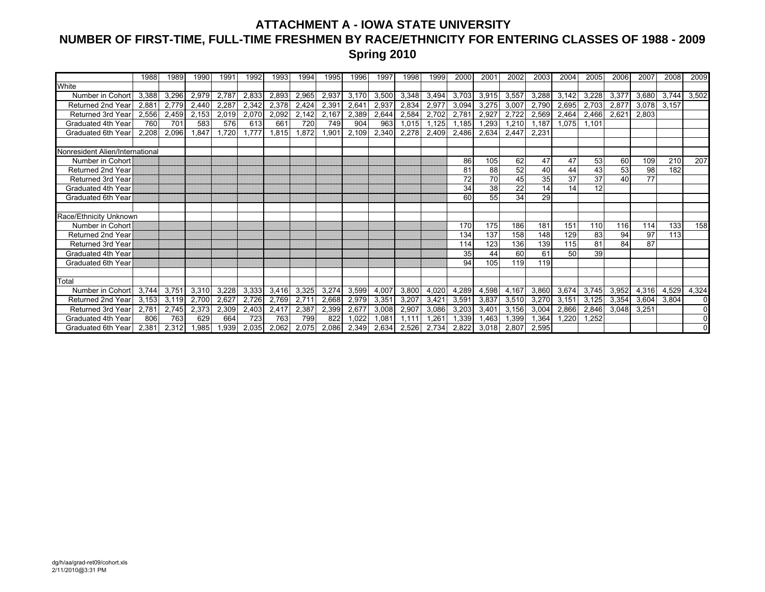## **ATTACHMENT A - IOWA STATE UNIVERSITY NUMBER OF FIRST-TIME, FULL-TIME FRESHMEN BY RACE/ETHNICITY FOR ENTERING CLASSES OF 1988 - 2009 Spring 2010**

|                                         | 1988  | 1989         | 1990         | 1991         | 1992  | 1993  | 1994  | 1995         | 1996  | 1997              | 1998  | 1999  | 2000  | 200'  | 2002  | 2003  | 2004  | 2005  | 2006           | 2007  | 2008  | 2009                 |
|-----------------------------------------|-------|--------------|--------------|--------------|-------|-------|-------|--------------|-------|-------------------|-------|-------|-------|-------|-------|-------|-------|-------|----------------|-------|-------|----------------------|
| White                                   |       |              |              |              |       |       |       |              |       |                   |       |       |       |       |       |       |       |       |                |       |       |                      |
| Number in Cohort                        | 3,388 | 3,296        | 2.979        | 2.787        | 2,833 | 2,893 | 2,965 | 2,937        | 3,170 | 3,500             | 3,348 | 3,494 | 3,703 | 3,915 | 3,557 | 3,288 | 3,142 | 3,228 | 3,377          | 3.680 | 3.744 | 3,502                |
| Returned 2nd Year                       | 2,88  | 2.779        | 2,440        | 2,287        | 2,342 | 2,378 | 2,424 | 2,39'        | 2,641 | 2,937             | 2,834 | 2,977 | 3,094 | 3,275 | 3,007 | 2,790 | 2,695 | 2,703 | 2,877          | 3,078 | 3,157 |                      |
| Returned 3rd Year                       | 2.556 | 2.459        | 2,153        | 2,019        | 2,070 | 2,092 | 2,142 | 2,167        | 2,389 | 2,644             | 2,584 | 2.702 | 2.781 | 2,927 | 2.722 | 2,569 | 2,464 | 2,466 | $2.62^{\circ}$ | 2.803 |       |                      |
| Graduated 4th Year                      | 760   | 701          | 583          | 576          | 613   | 661   | 720   | 749          | 904   | 963               | 1.015 | 1.125 | 1.185 | 1.293 | 1.210 | 1.187 | 1.075 | 1.101 |                |       |       |                      |
| Graduated 6th Year                      | 2.208 | 2,096        | 1.847        | ,720         | 1.777 | 1.815 | 1.872 | 1,901        | 2,109 | 2,340             | 2,278 | 2,409 | 2,486 | 2,634 | 2,447 | 2,231 |       |       |                |       |       |                      |
|                                         |       |              |              |              |       |       |       |              |       |                   |       |       |       |       |       |       |       |       |                |       |       |                      |
| Nonresident Alien/International         |       |              |              |              |       |       |       |              |       |                   |       |       |       |       |       |       |       |       |                |       |       |                      |
| Number in Cohort                        |       |              |              |              |       |       |       |              |       |                   |       |       | 86    | 105   | 62    | 47    | 47    | 53    | 60             | 109   | 210   | 207                  |
| Returned 2nd Year                       |       |              |              |              |       |       |       |              |       |                   |       |       | 81    | 88    | 52    | 40    | 44    | 43    | 53             | 98    | 182   |                      |
| <b>Returned 3rd Year</b>                |       |              |              |              |       |       |       |              |       |                   |       |       | 72    | 70    | 45    | 35    | 37    | 37    | 40             | 77    |       |                      |
| Graduated 4th Year                      |       |              |              |              |       |       |       |              |       |                   |       |       | 34    | 38    | 22    | 14    | 14    | 12    |                |       |       |                      |
| Graduated 6th Year                      |       |              |              |              |       |       |       |              |       |                   |       |       | 60    | 55    | 34    | 29    |       |       |                |       |       |                      |
|                                         |       |              |              |              |       |       |       |              |       |                   |       |       |       |       |       |       |       |       |                |       |       |                      |
| Race/Ethnicity Unknown                  |       |              |              |              |       |       |       |              |       |                   |       |       |       |       |       |       |       |       |                |       |       |                      |
| Number in Cohort                        |       |              |              |              |       |       |       |              |       |                   |       |       | 170   | 175   | 186   | 181   | 151   | 110   | 116            | 114   | 133   | 158                  |
| Returned 2nd Year                       |       |              |              |              |       |       |       |              |       |                   |       |       | 134   | 137   | 158   | 148   | 129   | 83    | 94             | 97    | 113   |                      |
| <b>Returned 3rd Year</b>                |       |              |              |              |       |       |       |              |       |                   |       |       | 114   | 123   | 136   | 139   | 115   | 81    | 84             | 87    |       |                      |
| Graduated 4th Year                      |       |              |              |              |       |       |       |              |       |                   |       |       | 35    | 44    | 60    | 61    | 50    | 39    |                |       |       |                      |
| Graduated 6th Year                      |       |              |              |              |       |       |       |              |       |                   |       |       | 94    | 105   | 119   | 119   |       |       |                |       |       |                      |
|                                         |       |              |              |              |       |       |       |              |       |                   |       |       |       |       |       |       |       |       |                |       |       |                      |
| Total                                   |       |              |              |              |       |       |       |              |       |                   |       |       |       |       |       |       |       |       |                |       |       |                      |
| Number in Cohort                        | 3,744 | 3,751        | 3,310        | 3,228        | 3,333 | 3,416 | 3,325 | 3,274        | 3,599 | 4,007             | 3,800 | 4,020 | 4,289 | 4,598 | 4,167 | 3,860 | 3,674 | 3,745 | 3,952          | 4,316 | 4,529 | 4,324                |
| Returned 2nd Year                       | 3.153 | 3,119        | 2.700        | 2.627        | 2,726 | 2,769 | 2,711 | 2,668        | 2,979 | 3,35'             | 3,207 | 3,421 | 3,591 | 3,837 | 3,510 | 3,270 | 3,151 | 3,125 | 3,354          | 3,604 | 3,804 | $\Omega$<br>$\Omega$ |
| Returned 3rd Year<br>Graduated 4th Year | 2.78' | 2,745<br>763 | 2,373<br>629 | 2,309<br>664 | 2,403 | 2,417 | 2,387 | 2,399<br>822 | 2,677 | 3,008             | 2,907 | 3,086 | 3,203 | 3,401 | 3,156 | 3,004 | 2,866 | 2,846 | 3,048          | 3,251 |       |                      |
| Graduated 6th Year                      | 806   |              |              |              | 723   | 763   | 799   |              | 1,022 | 1.08 <sup>2</sup> | 1.11  | 1.261 | 1,339 | 1.463 | 1,399 | 1,364 | 1,220 | 1.252 |                |       |       |                      |
|                                         | 2.381 | 2,312        | 1.985        | .939         | 2,035 | 2.062 | 2,075 | 2.086        | 2,349 | 2,634             | 2,526 | 2.734 | 2,822 | 3.018 | 2,807 | 2,595 |       |       |                |       |       |                      |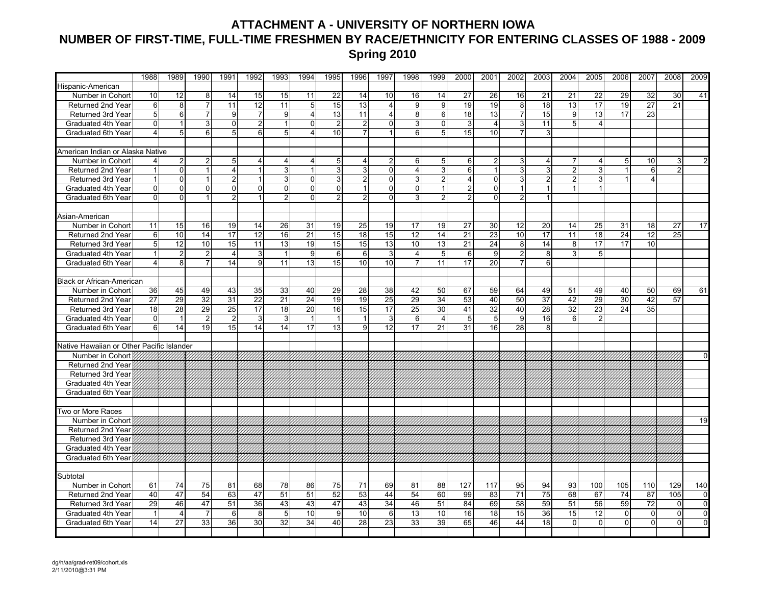## **ATTACHMENT A - UNIVERSITY OF NORTHERN IOWA NUMBER OF FIRST-TIME, FULL-TIME FRESHMEN BY RACE/ETHNICITY FOR ENTERING CLASSES OF 1988 - 2009 Spring 2010**

|                                           | 1988           | 1989            | 1990             | 1991             | 1992             | 1993            | 1994            | 1995            | 1996           | 1997           | 1998             | 1999            | 2000           | 2001            | 2002           | 2003            | 2004            | 2005           | 2006            | 2007            | 2008           | 2009           |
|-------------------------------------------|----------------|-----------------|------------------|------------------|------------------|-----------------|-----------------|-----------------|----------------|----------------|------------------|-----------------|----------------|-----------------|----------------|-----------------|-----------------|----------------|-----------------|-----------------|----------------|----------------|
| Hispanic-American                         |                |                 |                  |                  |                  |                 |                 |                 |                |                |                  |                 |                |                 |                |                 |                 |                |                 |                 |                |                |
| Number in Cohort                          | 10             | 12              | 8                | 14               | 15               | 15              | 11              | 22              | 14             | 10             | 16               | 14              | 27             | 26              | 16             | 21              | 21              | 22             | 29              | 32              | 30             | 41             |
| Returned 2nd Year                         | 6              | 8               | $\overline{7}$   | 11               | 12               | 11              | 5               | 15              | 13             | $\overline{4}$ | 9                | 9               | 19             | 19              | 8              | 18              | 13              | 17             | 19              | 27              | 21             |                |
| Returned 3rd Year                         | 5              | 6               | $\overline{7}$   | 9 <sub>l</sub>   | $\overline{7}$   | 9               | $\overline{4}$  | 13              | 11             | $\overline{4}$ | 8 <sup>1</sup>   | 6               | 18             | 13              | $\overline{7}$ | 15              | 9               | 13             | 17              | 23              |                |                |
| Graduated 4th Year                        | $\Omega$       | $\mathbf{1}$    | 3                | $\overline{0}$   | $\overline{2}$   | $\mathbf{1}$    | $\overline{0}$  | $\overline{2}$  | $\overline{2}$ | $\Omega$       | 3 <sup>1</sup>   | $\overline{0}$  | $\mathbf{3}$   | $\overline{4}$  | دی             | 11              | 5               | $\overline{4}$ |                 |                 |                |                |
| Graduated 6th Year                        | $\overline{4}$ | 5 <sup>1</sup>  | $6 \overline{6}$ | $5\overline{)}$  | $6 \overline{6}$ | 5 <sup>1</sup>  | 4               | 10              |                | 1              | 6                | 5 <sup>1</sup>  | 15             | 10              | $\overline{7}$ | 3               |                 |                |                 |                 |                |                |
|                                           |                |                 |                  |                  |                  |                 |                 |                 |                |                |                  |                 |                |                 |                |                 |                 |                |                 |                 |                |                |
| American Indian or Alaska Native          |                |                 |                  |                  |                  |                 |                 |                 |                |                |                  |                 |                |                 |                |                 |                 |                |                 |                 |                |                |
| Number in Cohort                          | $\overline{4}$ | $\overline{2}$  | $\mathbf{2}$     | 5 <sub>5</sub>   | 4                | 4               | 4               | $5\phantom{.0}$ | 4              | $\overline{2}$ | 6                | 5               | $6 \mid$       | $\overline{2}$  | 3              | 4               | 7               | 4              | 5               | 10              | 3              |                |
| Returned 2nd Year                         |                | ō               | $\overline{1}$   | $\overline{4}$   | $\overline{1}$   | 3               | $\mathbf{1}$    | 3               | 3              | $\overline{0}$ | 4                | 3               | 6              | 1               | 3              | 3               | $\overline{2}$  | ω              |                 | 6               | $\overline{2}$ |                |
| Returned 3rd Year                         |                | $\mathbf 0$     |                  | 2 <sub>1</sub>   |                  | 3               | $\Omega$        | 3               |                | $\overline{0}$ | 3                | $\overline{2}$  | 4              | $\Omega$        | 3              | $\overline{2}$  | $\overline{2}$  | 3              |                 | $\overline{4}$  |                |                |
| Graduated 4th Year                        | $\mathbf{0}$   | $\Omega$        | $\Omega$         | $\overline{0}$   | $\Omega$         | $\Omega$        | $\Omega$        | $\Omega$        |                | $\Omega$       | $\Omega$         |                 | $\overline{2}$ | $\Omega$        | 1              | $\overline{1}$  |                 |                |                 |                 |                |                |
| <b>Graduated 6th Year</b>                 | $\Omega$       | $\Omega$        | $\mathbf{1}$     | 2 <sub>1</sub>   | $\mathbf{1}$     | $\overline{2}$  | $\Omega$        | $\overline{2}$  | $\mathcal{P}$  | $\Omega$       | $\mathcal{E}$    | $\overline{2}$  | $\mathfrak{p}$ | $\Omega$        | $\overline{2}$ | $\mathbf{1}$    |                 |                |                 |                 |                |                |
|                                           |                |                 |                  |                  |                  |                 |                 |                 |                |                |                  |                 |                |                 |                |                 |                 |                |                 |                 |                |                |
| Asian-American                            |                |                 |                  |                  |                  |                 |                 |                 |                |                |                  |                 |                |                 |                |                 |                 |                |                 |                 |                |                |
| Number in Cohort                          | 11             | 15              | 16               | 19               | 14               | 26              | 31              | 19              | 25             | 19             | 17               | 19              | 27             | 30              | 12             | 20              | 14              | 25             | 31              | 18              | 27             | 17             |
| <b>Returned 2nd Year</b>                  | 6              | 10              | 14               | 17               | 12               | 16              | $\overline{21}$ | 15              | 18             | 15             | 12               | 14              | 21             | $\overline{23}$ | 10             | 17              | 11              | 18             | 24              | $\overline{12}$ | 25             |                |
| Returned 3rd Year                         | 5              | 12              | 10               | 15               | 11               | 13              | 19              | 15              | 15             | 13             | 10               | 13              | 21             | 24              | 8              | 14              | 8               | 17             | 17              | 10              |                |                |
| Graduated 4th Year                        | $\mathbf{1}$   | $\overline{2}$  | $\overline{2}$   | $\overline{4}$   | $3 \,$           | $\mathbf{1}$    | 9               | 6               | 6              | 3              | $\overline{4}$   | 5               | $6 \mid$       | 9               | $\overline{2}$ | 8               | 3               | 5              |                 |                 |                |                |
| Graduated 6th Year                        | $\overline{4}$ | œ.              | $\overline{7}$   | 14               | 9                | 11              | 13              | $\overline{15}$ | 10             | 10             | $\overline{7}$   | 11              | 17             | $\overline{20}$ | $\overline{7}$ | 6               |                 |                |                 |                 |                |                |
|                                           |                |                 |                  |                  |                  |                 |                 |                 |                |                |                  |                 |                |                 |                |                 |                 |                |                 |                 |                |                |
| <b>Black or African-American</b>          |                |                 |                  |                  |                  |                 |                 |                 |                |                |                  |                 |                |                 |                |                 |                 |                |                 |                 |                |                |
| Number in Cohort                          | 36             | 45              | 49               | 43               | 35               | 33              | 40              | 29              | 28             | 38             | 42               | 50              | 67             | 59              | 64             | 49              | 51              | 49             | 40              | 50              | 69             | 61             |
| Returned 2nd Year                         | 27             | 29              | 32               | 31               | 22               | 21              | 24              | 19              | 19             | 25             | 29               | 34              | 53             | 40              | 50             | $\overline{37}$ | 42              | 29             | 30              | 42              | 57             |                |
| Returned 3rd Year                         | 18             | $\overline{28}$ | 29               | $\overline{25}$  | 17               | $\overline{18}$ | $\overline{20}$ | 16              | 15             | 17             | $\overline{25}$  | 30              | 41             | 32              | 40             | 28              | $\overline{32}$ | 23             | $\overline{24}$ | 35              |                |                |
| Graduated 4th Year                        | $\Omega$       | $\mathbf{1}$    | $\mathbf{2}$     | $2 \,$           | 3                | 3               | $\mathbf{1}$    | $\mathbf{1}$    | $\mathbf{1}$   | 3              | $6 \overline{6}$ | $\overline{4}$  | 5 <sub>1</sub> | 5               | 9              | 16              | 6               | 2              |                 |                 |                |                |
| Graduated 6th Year                        | 6              | 14              | 19               | 15               | 14               | 14              | 17              | 13              | 9              | 12             | 17               | 21              | 31             | 16              | 28             | 8               |                 |                |                 |                 |                |                |
|                                           |                |                 |                  |                  |                  |                 |                 |                 |                |                |                  |                 |                |                 |                |                 |                 |                |                 |                 |                |                |
| Native Hawaiian or Other Pacific Islander |                |                 |                  |                  |                  |                 |                 |                 |                |                |                  |                 |                |                 |                |                 |                 |                |                 |                 |                |                |
| Number in Cohort                          |                |                 |                  |                  |                  |                 |                 |                 |                |                |                  |                 |                |                 |                |                 |                 |                |                 |                 |                | $\Omega$       |
| Returned 2nd Year                         |                |                 |                  |                  |                  |                 |                 |                 |                |                |                  |                 |                |                 |                |                 |                 |                |                 |                 |                |                |
| Returned 3rd Year                         |                |                 |                  |                  |                  |                 |                 |                 |                |                |                  |                 |                |                 |                |                 |                 |                |                 |                 |                |                |
| Graduated 4th Year                        |                |                 |                  |                  |                  |                 |                 |                 |                |                |                  |                 |                |                 |                |                 |                 |                |                 |                 |                |                |
| Graduated 6th Year                        |                |                 |                  |                  |                  |                 |                 |                 |                |                |                  |                 |                |                 |                |                 |                 |                |                 |                 |                |                |
|                                           |                |                 |                  |                  |                  |                 |                 |                 |                |                |                  |                 |                |                 |                |                 |                 |                |                 |                 |                |                |
| Two or More Races                         |                |                 |                  |                  |                  |                 |                 |                 |                |                |                  |                 |                |                 |                |                 |                 |                |                 |                 |                |                |
| Number in Cohort                          |                |                 |                  |                  |                  |                 |                 |                 |                |                |                  |                 |                |                 |                |                 |                 |                |                 |                 |                | 19             |
| <b>Returned 2nd Year</b>                  |                |                 |                  |                  |                  |                 |                 |                 |                |                |                  |                 |                |                 |                |                 |                 |                |                 |                 |                |                |
| Returned 3rd Year                         |                |                 |                  |                  |                  |                 |                 |                 |                |                |                  |                 |                |                 |                |                 |                 |                |                 |                 |                |                |
| Graduated 4th Year                        |                |                 |                  |                  |                  |                 |                 |                 |                |                |                  |                 |                |                 |                |                 |                 |                |                 |                 |                |                |
| Graduated 6th Year                        |                |                 |                  |                  |                  |                 |                 |                 |                |                |                  |                 |                |                 |                |                 |                 |                |                 |                 |                |                |
|                                           |                |                 |                  |                  |                  |                 |                 |                 |                |                |                  |                 |                |                 |                |                 |                 |                |                 |                 |                |                |
| Subtotal                                  |                |                 |                  |                  |                  |                 |                 |                 |                |                |                  |                 |                |                 |                |                 |                 |                |                 |                 |                |                |
| Number in Cohort                          | 61             | 74              | 75               | 81               | 68               | 78              | 86              | 75              | 71             | 69             | 81               | 88              | 127            | 117             | 95             | 94              | 93              | 100            | 105             | 110             | 129            | 140            |
| Returned 2nd Year                         | 40             | 47              | 54               | 63               | 47               | 51              | 51              | 52              | 53             | 44             | 54               | 60              | 99             | 83              | 71             | 75              | 68              | 67             | 74              | $\overline{87}$ | 105            | 0              |
| Returned 3rd Year                         | 29             | 46              | 47               | 51               | 36               | 43              | 43              | 47              | 43             | 34             | 46               | $\overline{51}$ | 84             | 69              | 58             | 59              | 51              | 56             | 59              | 72              | $\mathbf 0$    | $\overline{0}$ |
| Graduated 4th Year                        | $\mathbf{1}$   | $\overline{4}$  | $\overline{7}$   | $6 \overline{6}$ | 8                | 5               | 10              | $\overline{9}$  | 10             | 6              | 13               | 10              | 16             | 18              | 15             | 36              | 15              | 12             | $\mathbf{0}$    | $\overline{0}$  | $\overline{0}$ | $\mathbf 0$    |
| Graduated 6th Year                        | 14             | 27              | 33               | 36               | 30               | 32              | 34              | 40              | 28             | 23             | 33               | 39              | 65             | 46              | 44             | 18              | $\mathbf 0$     | $\mathbf 0$    | $\overline{0}$  | $\overline{0}$  | $\overline{0}$ | $\mathbf 0$    |
|                                           |                |                 |                  |                  |                  |                 |                 |                 |                |                |                  |                 |                |                 |                |                 |                 |                |                 |                 |                |                |
|                                           |                |                 |                  |                  |                  |                 |                 |                 |                |                |                  |                 |                |                 |                |                 |                 |                |                 |                 |                |                |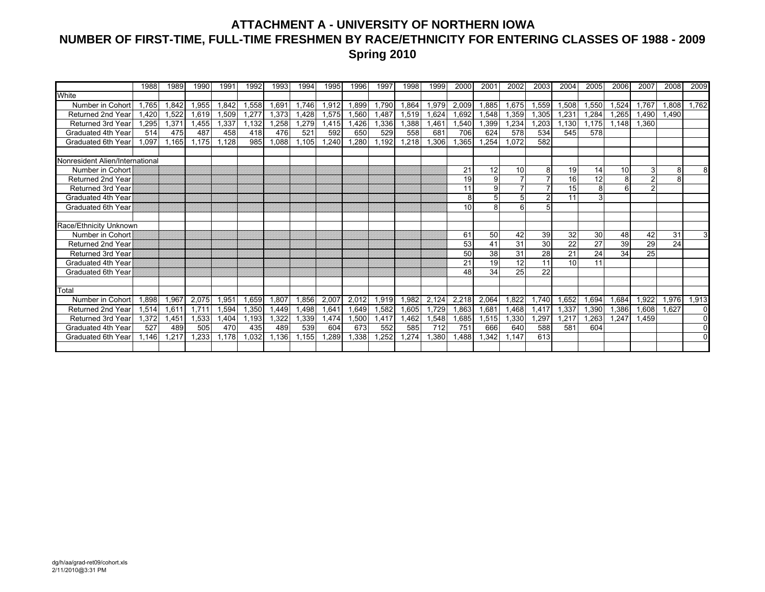## **ATTACHMENT A - UNIVERSITY OF NORTHERN IOWA NUMBER OF FIRST-TIME, FULL-TIME FRESHMEN BY RACE/ETHNICITY FOR ENTERING CLASSES OF 1988 - 2009 Spring 2010**

|                                 | 1988         | 1989  | 1990  | 1991  | 1992  | 1993              | 1994  | 1995  | 1996  | 1997  | 1998  | 1999  | 2000  | 200'            | 2002            | 2003  | 2004  | 2005  | 2006            | 2007           | 2008  | 2009         |
|---------------------------------|--------------|-------|-------|-------|-------|-------------------|-------|-------|-------|-------|-------|-------|-------|-----------------|-----------------|-------|-------|-------|-----------------|----------------|-------|--------------|
| White                           |              |       |       |       |       |                   |       |       |       |       |       |       |       |                 |                 |       |       |       |                 |                |       |              |
| Number in Cohort                | 1.765        | 1,842 | 1,955 | 1.842 | 1,558 | 1.69 <sup>′</sup> | 1.746 | 1.912 | 1,899 | 1.790 | 1,864 | 1,979 | 2,009 | 1.885           | 1,675           | 1,559 | 1,508 | 1,550 | 1,524           | 1.767          | .808  | 1,762        |
| Returned 2nd Year               | <b>1.420</b> | 1.522 | 1.619 | 1.509 | 1.277 | 1.373             | .428  | 1.575 | 1,560 | .487  | 1,519 | 1,624 | 1,692 | .548            | 1,359           | 1,305 | 1,231 | 1,284 | .265            | <b>.490</b>    | 1.490 |              |
| Returned 3rd Year               | .295         | 1.371 | .455  | .337  | 1,132 | .258              | .279  | 1.415 | 1.426 | 1.336 | .388  | .461  | 1.540 | .399            | 1.234           | 1.203 | 1.130 | 1.175 | 1.148           | 1.360          |       |              |
| Graduated 4th Year              | 514          | 475   | 487   | 458   | 418   | 476               | 521   | 592   | 650   | 529   | 558   | 681   | 706   | 624             | 578             | 534   | 545   | 578   |                 |                |       |              |
| Graduated 6th Year              | .097         | 1.165 | .175  | .128  | 985   | 1.088             | .105  | .240  | .280  | 1.192 | .218  | 1.306 | .365  | .254            | 1.072           | 582   |       |       |                 |                |       |              |
|                                 |              |       |       |       |       |                   |       |       |       |       |       |       |       |                 |                 |       |       |       |                 |                |       |              |
| Nonresident Alien/International |              |       |       |       |       |                   |       |       |       |       |       |       |       |                 |                 |       |       |       |                 |                |       |              |
| Number in Cohort                |              |       |       |       |       |                   |       |       |       |       |       |       | 21    | 12 <sub>1</sub> | 10              | 8     | 19    | 14    | 10 <sup>1</sup> | 3              | 8     | 8            |
| <b>Returned 2nd Year</b>        |              |       |       |       |       |                   |       |       |       |       |       |       | 19    | 9 <sup>1</sup>  |                 |       | 16    | 12    | 8               | $\overline{c}$ | 8     |              |
| <b>Returned 3rd Year</b>        |              |       |       |       |       |                   |       |       |       |       |       |       | 11    | 9               |                 |       | 15    | 8     | $\epsilon$      | $\overline{2}$ |       |              |
| Graduated 4th Year              |              |       |       |       |       |                   |       |       |       |       |       |       | 8     | 5               |                 | 2     | 11    | 3     |                 |                |       |              |
| Graduated 6th Year              |              |       |       |       |       |                   |       |       |       |       |       |       | 10    | 8               |                 | 5     |       |       |                 |                |       |              |
|                                 |              |       |       |       |       |                   |       |       |       |       |       |       |       |                 |                 |       |       |       |                 |                |       |              |
| Race/Ethnicity Unknown          |              |       |       |       |       |                   |       |       |       |       |       |       |       |                 |                 |       |       |       |                 |                |       |              |
| Number in Cohort                |              |       |       |       |       |                   |       |       |       |       |       |       | 61    | 50              | 42              | 39    | 32    | 30    | 48              | 42             | 31    | 3            |
| <b>Returned 2nd Year</b>        |              |       |       |       |       |                   |       |       |       |       |       |       | 53    | 41              | 31              | 30    | 22    | 27    | 39              | 29             | 24    |              |
| Returned 3rd Year               |              |       |       |       |       |                   |       |       |       |       |       |       | 50    | 38              | 31              | 28    | 21    | 24    | 34              | 25             |       |              |
| Graduated 4th Year              |              |       |       |       |       |                   |       |       |       |       |       |       | 21    | 19              | $\overline{12}$ | 11    | 10    | 11    |                 |                |       |              |
| Graduated 6th Year              |              |       |       |       |       |                   |       |       |       |       |       |       | 48    | 34              | 25              | 22    |       |       |                 |                |       |              |
|                                 |              |       |       |       |       |                   |       |       |       |       |       |       |       |                 |                 |       |       |       |                 |                |       |              |
| Total                           |              |       |       |       |       |                   |       |       |       |       |       |       |       |                 |                 |       |       |       |                 |                |       |              |
| Number in Cohort                | .898         | 1,967 | 2,075 | 1,951 | 1.659 | 1,807             | .856  | 2,007 | 2,012 | 1,919 | 1,982 | 2,124 | 2,218 | 2,064           | 1,822           | 1.740 | 1,652 | 1,694 | 1.684           | ,922           | .976  | 1,913        |
| <b>Returned 2nd Year</b>        | 1,514        | 1,611 | 1.711 | 1,594 | 1,350 | 1,449             | .498  | 1,641 | 1,649 | 1,582 | 1,605 | 1,729 | 1,863 | 1,681           | 1,468           | 1,417 | 1,337 | 1,390 | 1,386           | .608           | 1.627 | 0            |
| <b>Returned 3rd Year</b>        | 1.372        | 1,451 | 1,533 | 1,404 | 1,193 | .322              | ,339  | 1.474 | 1,500 | 1.417 | .462  | 1,548 | 1,685 | 1,515           | 1,330           | 1,297 | 1,217 | 1,263 | 1.247           | .459           |       | $\mathbf{0}$ |
| Graduated 4th Year              | 527          | 489   | 505   | 470   | 435   | 489               | 539   | 604   | 673   | 552   | 585   | 712   | 751   | 666             | 640             | 588   | 581   | 604   |                 |                |       | $\Omega$     |
| Graduated 6th Year              | .146         | 1,217 | .233  | 1.178 | 1,032 | 1,136             | .155  | ,289  | ,338  | 1,252 | .274  | ,380  | .488  | ,342            | .147            | 613   |       |       |                 |                |       | $\Omega$     |
|                                 |              |       |       |       |       |                   |       |       |       |       |       |       |       |                 |                 |       |       |       |                 |                |       |              |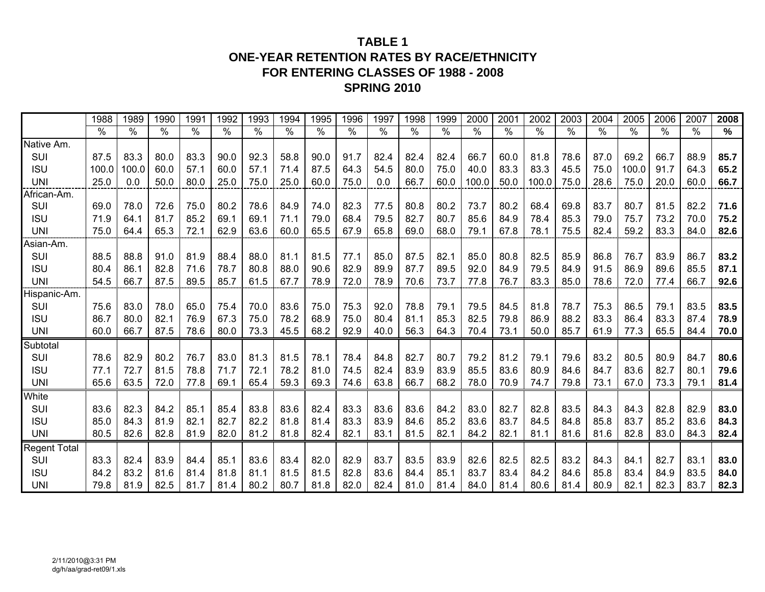## **TABLE 1ONE-YEAR RETENTION RATES BY RACE/ETHNICITY FOR ENTERING CLASSES OF 1988 - 2008 SPRING 2010**

|                     | 1988       | 1989  | 1990 | 1991 | 1992 | 1993 | 1994 | 1995 | 1996 | 1997 | 1998 | 1999          | 2000                 | 2001 | 2002          | 2003 | 2004          | 2005          | 2006 | 2007          | 2008 |
|---------------------|------------|-------|------|------|------|------|------|------|------|------|------|---------------|----------------------|------|---------------|------|---------------|---------------|------|---------------|------|
|                     | $\sqrt{2}$ | %     | %    | $\%$ | %    | $\%$ | $\%$ | %    | $\%$ | $\%$ | $\%$ | $\frac{1}{2}$ | $\frac{1}{\sqrt{2}}$ | $\%$ | $\frac{0}{0}$ | $\%$ | $\frac{1}{2}$ | $\frac{1}{2}$ | $\%$ | $\frac{1}{2}$ | %    |
| Native Am.          |            |       |      |      |      |      |      |      |      |      |      |               |                      |      |               |      |               |               |      |               |      |
| SUI                 | 87.5       | 83.3  | 80.0 | 83.3 | 90.0 | 92.3 | 58.8 | 90.0 | 91.7 | 82.4 | 82.4 | 82.4          | 66.7                 | 60.0 | 81.8          | 78.6 | 87.0          | 69.2          | 66.7 | 88.9          | 85.7 |
| <b>ISU</b>          | 100.0      | 100.0 | 60.0 | 57.1 | 60.0 | 57.1 | 71.4 | 87.5 | 64.3 | 54.5 | 80.0 | 75.0          | 40.0                 | 83.3 | 83.3          | 45.5 | 75.0          | 100.0         | 91.7 | 64.3          | 65.2 |
| <b>UNI</b>          | 25.0       | 0.0   | 50.0 | 80.0 | 25.0 | 75.0 | 25.0 | 60.0 | 75.0 | 0.0  | 66.7 | 60.0          | 100.0                | 50.0 | 100.0         | 75.0 | 28.6          | 75.0          | 20.0 | 60.0          | 66.7 |
| African-Am.         |            |       |      |      |      |      |      |      |      |      |      |               |                      |      |               |      |               |               |      |               |      |
| SUI                 | 69.0       | 78.0  | 72.6 | 75.0 | 80.2 | 78.6 | 84.9 | 74.0 | 82.3 | 77.5 | 80.8 | 80.2          | 73.7                 | 80.2 | 68.4          | 69.8 | 83.7          | 80.7          | 81.5 | 82.2          | 71.6 |
| <b>ISU</b>          | 71.9       | 64.1  | 81.7 | 85.2 | 69.1 | 69.1 | 71.1 | 79.0 | 68.4 | 79.5 | 82.7 | 80.7          | 85.6                 | 84.9 | 78.4          | 85.3 | 79.0          | 75.7          | 73.2 | 70.0          | 75.2 |
| <b>UNI</b>          | 75.0       | 64.4  | 65.3 | 72.1 | 62.9 | 63.6 | 60.0 | 65.5 | 67.9 | 65.8 | 69.0 | 68.0          | 79.1                 | 67.8 | 78.1          | 75.5 | 82.4          | 59.2          | 83.3 | 84.0          | 82.6 |
| Asian-Am.           |            |       |      |      |      |      |      |      |      |      |      |               |                      |      |               |      |               |               |      |               |      |
| SUI                 | 88.5       | 88.8  | 91.0 | 81.9 | 88.4 | 88.0 | 81.1 | 81.5 | 77.1 | 85.0 | 87.5 | 82.1          | 85.0                 | 80.8 | 82.5          | 85.9 | 86.8          | 76.7          | 83.9 | 86.7          | 83.2 |
| <b>ISU</b>          | 80.4       | 86.1  | 82.8 | 71.6 | 78.7 | 80.8 | 88.0 | 90.6 | 82.9 | 89.9 | 87.7 | 89.5          | 92.0                 | 84.9 | 79.5          | 84.9 | 91.5          | 86.9          | 89.6 | 85.5          | 87.1 |
| <b>UNI</b>          | 54.5       | 66.7  | 87.5 | 89.5 | 85.7 | 61.5 | 67.7 | 78.9 | 72.0 | 78.9 | 70.6 | 73.7          | 77.8                 | 76.7 | 83.3          | 85.0 | 78.6          | 72.0          | 77.4 | 66.7          | 92.6 |
| Hispanic-Am.        |            |       |      |      |      |      |      |      |      |      |      |               |                      |      |               |      |               |               |      |               |      |
| SUI                 | 75.6       | 83.0  | 78.0 | 65.0 | 75.4 | 70.0 | 83.6 | 75.0 | 75.3 | 92.0 | 78.8 | 79.1          | 79.5                 | 84.5 | 81.8          | 78.7 | 75.3          | 86.5          | 79.1 | 83.5          | 83.5 |
| <b>ISU</b>          | 86.7       | 80.0  | 82.1 | 76.9 | 67.3 | 75.0 | 78.2 | 68.9 | 75.0 | 80.4 | 81.1 | 85.3          | 82.5                 | 79.8 | 86.9          | 88.2 | 83.3          | 86.4          | 83.3 | 87.4          | 78.9 |
| <b>UNI</b>          | 60.0       | 66.7  | 87.5 | 78.6 | 80.0 | 73.3 | 45.5 | 68.2 | 92.9 | 40.0 | 56.3 | 64.3          | 70.4                 | 73.1 | 50.0          | 85.7 | 61.9          | 77.3          | 65.5 | 84.4          | 70.0 |
| Subtotal            |            |       |      |      |      |      |      |      |      |      |      |               |                      |      |               |      |               |               |      |               |      |
| SUI                 | 78.6       | 82.9  | 80.2 | 76.7 | 83.0 | 81.3 | 81.5 | 78.1 | 78.4 | 84.8 | 82.7 | 80.7          | 79.2                 | 81.2 | 79.1          | 79.6 | 83.2          | 80.5          | 80.9 | 84.7          | 80.6 |
| <b>ISU</b>          | 77.1       | 72.7  | 81.5 | 78.8 | 71.7 | 72.1 | 78.2 | 81.0 | 74.5 | 82.4 | 83.9 | 83.9          | 85.5                 | 83.6 | 80.9          | 84.6 | 84.7          | 83.6          | 82.7 | 80.1          | 79.6 |
| <b>UNI</b>          | 65.6       | 63.5  | 72.0 | 77.8 | 69.1 | 65.4 | 59.3 | 69.3 | 74.6 | 63.8 | 66.7 | 68.2          | 78.0                 | 70.9 | 74.7          | 79.8 | 73.1          | 67.0          | 73.3 | 79.1          | 81.4 |
| White               |            |       |      |      |      |      |      |      |      |      |      |               |                      |      |               |      |               |               |      |               |      |
| SUI                 | 83.6       | 82.3  | 84.2 | 85.1 | 85.4 | 83.8 | 83.6 | 82.4 | 83.3 | 83.6 | 83.6 | 84.2          | 83.0                 | 82.7 | 82.8          | 83.5 | 84.3          | 84.3          | 82.8 | 82.9          | 83.0 |
| <b>ISU</b>          | 85.0       | 84.3  | 81.9 | 82.1 | 82.7 | 82.2 | 81.8 | 81.4 | 83.3 | 83.9 | 84.6 | 85.2          | 83.6                 | 83.7 | 84.5          | 84.8 | 85.8          | 83.7          | 85.2 | 83.6          | 84.3 |
| <b>UNI</b>          | 80.5       | 82.6  | 82.8 | 81.9 | 82.0 | 81.2 | 81.8 | 82.4 | 82.1 | 83.1 | 81.5 | 82.1          | 84.2                 | 82.1 | 81.1          | 81.6 | 81.6          | 82.8          | 83.0 | 84.3          | 82.4 |
| <b>Regent Total</b> |            |       |      |      |      |      |      |      |      |      |      |               |                      |      |               |      |               |               |      |               |      |
| SUI                 | 83.3       | 82.4  | 83.9 | 84.4 | 85.1 | 83.6 | 83.4 | 82.0 | 82.9 | 83.7 | 83.5 | 83.9          | 82.6                 | 82.5 | 82.5          | 83.2 | 84.3          | 84.1          | 82.7 | 83.1          | 83.0 |
| <b>ISU</b>          | 84.2       | 83.2  | 81.6 | 81.4 | 81.8 | 81.1 | 81.5 | 81.5 | 82.8 | 83.6 | 84.4 | 85.1          | 83.7                 | 83.4 | 84.2          | 84.6 | 85.8          | 83.4          | 84.9 | 83.5          | 84.0 |
| <b>UNI</b>          | 79.8       | 81.9  | 82.5 | 81.7 | 81.4 | 80.2 | 80.7 | 81.8 | 82.0 | 82.4 | 81.0 | 81.4          | 84.0                 | 81.4 | 80.6          | 81.4 | 80.9          | 82.1          | 82.3 | 83.7          | 82.3 |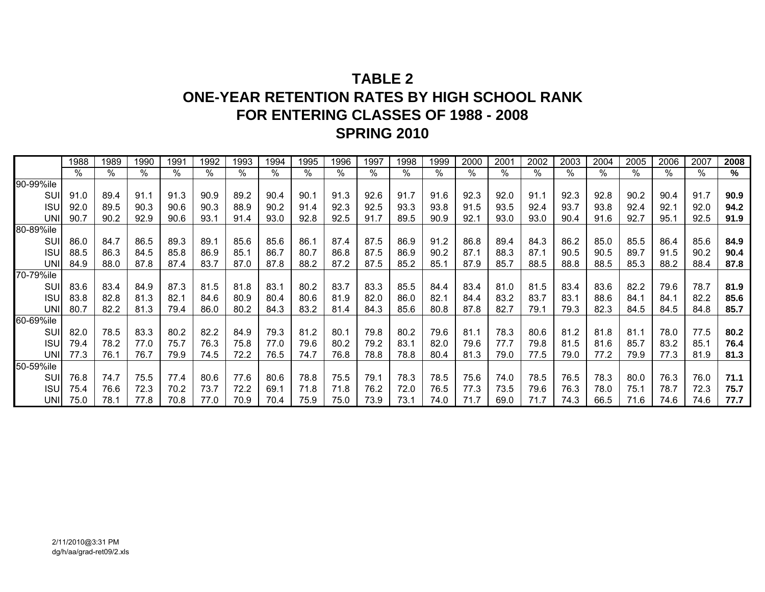# **TABLE 2ONE-YEAR RETENTION RATES BY HIGH SCHOOL RANK FOR ENTERING CLASSES OF 1988 - 2008 SPRING 2010**

|            | 1988 | 1989 | 1990 | 1991 | 1992 | 1993 | 1994 | 1995 | 1996 | 1997 | 1998 | 1999 | 2000 | 2001 | 2002 | 2003 | 2004 | 2005 | 2006 | 2007 | 2008 |
|------------|------|------|------|------|------|------|------|------|------|------|------|------|------|------|------|------|------|------|------|------|------|
|            | $\%$ | ℅    | %    | %    | ℅    | %    | %    | %    | $\%$ | %    | %    | $\%$ | %    | $\%$ | %    | %    | %    | %    | %    | $\%$ | %    |
| 90-99%ile  |      |      |      |      |      |      |      |      |      |      |      |      |      |      |      |      |      |      |      |      |      |
| SUI        | 91.0 | 89.4 | 91.1 | 91.3 | 90.9 | 89.2 | 90.4 | 90.1 | 91.3 | 92.6 | 91.7 | 91.6 | 92.3 | 92.0 | 91.1 | 92.3 | 92.8 | 90.2 | 90.4 | 91.7 | 90.9 |
| <b>ISU</b> | 92.0 | 89.5 | 90.3 | 90.6 | 90.3 | 88.9 | 90.2 | 91.4 | 92.3 | 92.5 | 93.3 | 93.8 | 91.5 | 93.5 | 92.4 | 93.7 | 93.8 | 92.4 | 92.1 | 92.0 | 94.2 |
| <b>UNI</b> | 90.7 | 90.2 | 92.9 | 90.6 | 93.1 | 91.4 | 93.0 | 92.8 | 92.5 | 91.7 | 89.5 | 90.9 | 92.1 | 93.0 | 93.0 | 90.4 | 91.6 | 92.7 | 95.1 | 92.5 | 91.9 |
| 80-89%ile  |      |      |      |      |      |      |      |      |      |      |      |      |      |      |      |      |      |      |      |      |      |
| SUI        | 86.0 | 84.7 | 86.5 | 89.3 | 89.1 | 85.6 | 85.6 | 86.1 | 87.4 | 87.5 | 86.9 | 91.2 | 86.8 | 89.4 | 84.3 | 86.2 | 85.0 | 85.5 | 86.4 | 85.6 | 84.9 |
| <b>ISU</b> | 88.5 | 86.3 | 84.5 | 85.8 | 86.9 | 85.7 | 86.7 | 80.7 | 86.8 | 87.5 | 86.9 | 90.2 | 87.1 | 88.3 | 87.1 | 90.5 | 90.5 | 89.7 | 91.5 | 90.2 | 90.4 |
| <b>UNI</b> | 84.9 | 88.0 | 87.8 | 87.4 | 83.7 | 87.0 | 87.8 | 88.2 | 87.2 | 87.5 | 85.2 | 85.7 | 87.9 | 85.7 | 88.5 | 88.8 | 88.5 | 85.3 | 88.2 | 88.4 | 87.8 |
| 70-79%ile  |      |      |      |      |      |      |      |      |      |      |      |      |      |      |      |      |      |      |      |      |      |
| SUI        | 83.6 | 83.4 | 84.9 | 87.3 | 81.5 | 81.8 | 83.1 | 80.2 | 83.7 | 83.3 | 85.5 | 84.4 | 83.4 | 81.0 | 81.5 | 83.4 | 83.6 | 82.2 | 79.6 | 78.7 | 81.9 |
| <b>ISU</b> | 83.8 | 82.8 | 81.3 | 82.1 | 84.6 | 80.9 | 80.4 | 80.6 | 81.9 | 82.0 | 86.0 | 82.1 | 84.4 | 83.2 | 83.7 | 83.1 | 88.6 | 84.7 | 84.1 | 82.2 | 85.6 |
| <b>UNI</b> | 80.7 | 82.2 | 81.3 | 79.4 | 86.0 | 80.2 | 84.3 | 83.2 | 81.4 | 84.3 | 85.6 | 80.8 | 87.8 | 82.7 | 79.1 | 79.3 | 82.3 | 84.5 | 84.5 | 84.8 | 85.7 |
| 60-69%ile  |      |      |      |      |      |      |      |      |      |      |      |      |      |      |      |      |      |      |      |      |      |
| SUI        | 82.0 | 78.5 | 83.3 | 80.2 | 82.2 | 84.9 | 79.3 | 81.2 | 80.7 | 79.8 | 80.2 | 79.6 | 81.1 | 78.3 | 80.6 | 81.2 | 81.8 | 81.1 | 78.0 | 77.5 | 80.2 |
| <b>ISU</b> | 79.4 | 78.2 | 77.0 | 75.7 | 76.3 | 75.8 | 77.0 | 79.6 | 80.2 | 79.2 | 83.1 | 82.0 | 79.6 | 77.7 | 79.8 | 81.5 | 81.6 | 85.7 | 83.2 | 85.1 | 76.4 |
| <b>UNI</b> | 77.3 | 76.1 | 76.7 | 79.9 | 74.5 | 72.2 | 76.5 | 74.7 | 76.8 | 78.8 | 78.8 | 80.4 | 81.3 | 79.0 | 77.5 | 79.0 | 77.2 | 79.9 | 77.3 | 81.9 | 81.3 |
| 50-59%ile  |      |      |      |      |      |      |      |      |      |      |      |      |      |      |      |      |      |      |      |      |      |
| SUI        | 76.8 | 74.7 | 75.5 | 77.4 | 80.6 | 77.6 | 80.6 | 78.8 | 75.5 | 79.1 | 78.3 | 78.5 | 75.6 | 74.0 | 78.5 | 76.5 | 78.3 | 80.0 | 76.3 | 76.0 | 71.1 |
| <b>ISU</b> | 75.4 | 76.6 | 72.3 | 70.2 | 73.7 | 72.2 | 69.1 | 71.8 | 71.8 | 76.2 | 72.0 | 76.5 | 77.3 | 73.5 | 79.6 | 76.3 | 78.0 | 75.1 | 78.7 | 72.3 | 75.7 |
| UNII       | 75.0 | 78.1 | 77.8 | 70.8 | 77.0 | 70.9 | 70.4 | 75.9 | 75.0 | 73.9 | 73.1 | 74.0 | 71.7 | 69.0 | 71.7 | 74.3 | 66.5 | 71.6 | 74.6 | 74.6 | 77.7 |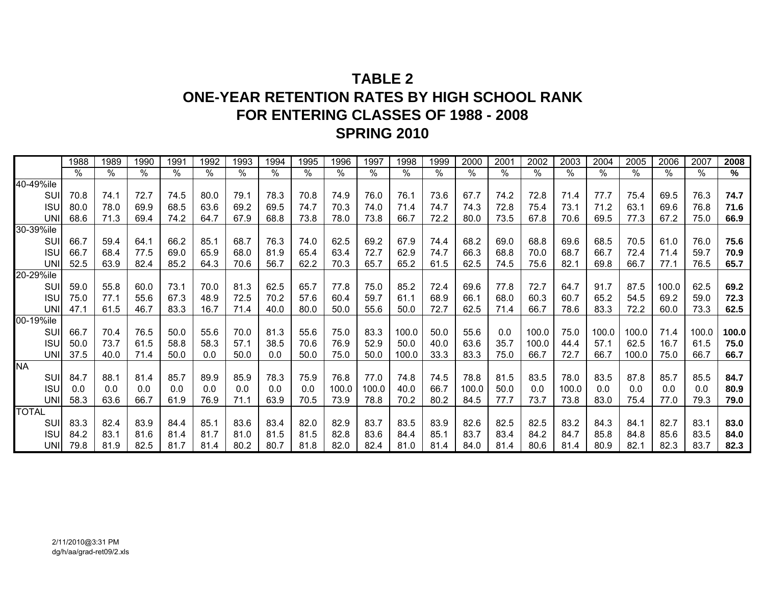# **TABLE 2ONE-YEAR RETENTION RATES BY HIGH SCHOOL RANK FOR ENTERING CLASSES OF 1988 - 2008 SPRING 2010**

|              | 1988 | 1989 | 1990          | 1991          | 1992 | 1993 | 1994                      | 1995 | 1996  | 1997                      | 1998  | 1999 | 2000  | 2001 | 2002  | 2003  | 2004  | 2005  | 2006  | 2007  | 2008  |
|--------------|------|------|---------------|---------------|------|------|---------------------------|------|-------|---------------------------|-------|------|-------|------|-------|-------|-------|-------|-------|-------|-------|
|              | $\%$ | %    | $\frac{1}{2}$ | $\frac{1}{2}$ | %    | $\%$ | $\sqrt[6]{\phantom{.}}\,$ | %    | $\%$  | $\sqrt[6]{\phantom{.}}\,$ | %     | $\%$ | %     | $\%$ | $\%$  | %     | %     | %     | $\%$  | $\%$  | %     |
| 40-49%ile    |      |      |               |               |      |      |                           |      |       |                           |       |      |       |      |       |       |       |       |       |       |       |
| <b>SUI</b>   | 70.8 | 74.1 | 72.7          | 74.5          | 80.0 | 79.1 | 78.3                      | 70.8 | 74.9  | 76.0                      | 76.1  | 73.6 | 67.7  | 74.2 | 72.8  | 71.4  | 77.7  | 75.4  | 69.5  | 76.3  | 74.7  |
| <b>ISU</b>   | 80.0 | 78.0 | 69.9          | 68.5          | 63.6 | 69.2 | 69.5                      | 74.7 | 70.3  | 74.0                      | 71.4  | 74.7 | 74.3  | 72.8 | 75.4  | 73.1  | 71.2  | 63.1  | 69.6  | 76.8  | 71.6  |
| <b>UNI</b>   | 68.6 | 71.3 | 69.4          | 74.2          | 64.7 | 67.9 | 68.8                      | 73.8 | 78.0  | 73.8                      | 66.7  | 72.2 | 80.0  | 73.5 | 67.8  | 70.6  | 69.5  | 77.3  | 67.2  | 75.0  | 66.9  |
| 30-39%ile    |      |      |               |               |      |      |                           |      |       |                           |       |      |       |      |       |       |       |       |       |       |       |
| SUI          | 66.7 | 59.4 | 64.1          | 66.2          | 85.1 | 68.7 | 76.3                      | 74.0 | 62.5  | 69.2                      | 67.9  | 74.4 | 68.2  | 69.0 | 68.8  | 69.6  | 68.5  | 70.5  | 61.0  | 76.0  | 75.6  |
| <b>ISU</b>   | 66.7 | 68.4 | 77.5          | 69.0          | 65.9 | 68.0 | 81.9                      | 65.4 | 63.4  | 72.7                      | 62.9  | 74.7 | 66.3  | 68.8 | 70.0  | 68.7  | 66.7  | 72.4  | 71.4  | 59.7  | 70.9  |
| <b>UNI</b>   | 52.5 | 63.9 | 82.4          | 85.2          | 64.3 | 70.6 | 56.7                      | 62.2 | 70.3  | 65.7                      | 65.2  | 61.5 | 62.5  | 74.5 | 75.6  | 82.1  | 69.8  | 66.7  | 77.1  | 76.5  | 65.7  |
| 20-29%ile    |      |      |               |               |      |      |                           |      |       |                           |       |      |       |      |       |       |       |       |       |       |       |
| SUI          | 59.0 | 55.8 | 60.0          | 73.1          | 70.0 | 81.3 | 62.5                      | 65.7 | 77.8  | 75.0                      | 85.2  | 72.4 | 69.6  | 77.8 | 72.7  | 64.7  | 91.7  | 87.5  | 100.0 | 62.5  | 69.2  |
| <b>ISU</b>   | 75.0 | 77.1 | 55.6          | 67.3          | 48.9 | 72.5 | 70.2                      | 57.6 | 60.4  | 59.7                      | 61.1  | 68.9 | 66.1  | 68.0 | 60.3  | 60.7  | 65.2  | 54.5  | 69.2  | 59.0  | 72.3  |
| <b>UNI</b>   | 47.1 | 61.5 | 46.7          | 83.3          | 16.7 | 71.4 | 40.0                      | 80.0 | 50.0  | 55.6                      | 50.0  | 72.7 | 62.5  | 71.4 | 66.7  | 78.6  | 83.3  | 72.2  | 60.0  | 73.3  | 62.5  |
| 00-19%ile    |      |      |               |               |      |      |                           |      |       |                           |       |      |       |      |       |       |       |       |       |       |       |
| SUI          | 66.7 | 70.4 | 76.5          | 50.0          | 55.6 | 70.0 | 81.3                      | 55.6 | 75.0  | 83.3                      | 100.0 | 50.0 | 55.6  | 0.0  | 100.0 | 75.0  | 100.0 | 100.0 | 71.4  | 100.0 | 100.0 |
| <b>ISU</b>   | 50.0 | 73.7 | 61.5          | 58.8          | 58.3 | 57.1 | 38.5                      | 70.6 | 76.9  | 52.9                      | 50.0  | 40.0 | 63.6  | 35.7 | 100.0 | 44.4  | 57.1  | 62.5  | 16.7  | 61.5  | 75.0  |
| <b>UNI</b>   | 37.5 | 40.0 | 71.4          | 50.0          | 0.0  | 50.0 | 0.0                       | 50.0 | 75.0  | 50.0                      | 100.0 | 33.3 | 83.3  | 75.0 | 66.7  | 72.7  | 66.7  | 100.0 | 75.0  | 66.7  | 66.7  |
| <b>NA</b>    |      |      |               |               |      |      |                           |      |       |                           |       |      |       |      |       |       |       |       |       |       |       |
| SUI          | 84.7 | 88.1 | 81.4          | 85.7          | 89.9 | 85.9 | 78.3                      | 75.9 | 76.8  | 77.0                      | 74.8  | 74.5 | 78.8  | 81.5 | 83.5  | 78.0  | 83.5  | 87.8  | 85.7  | 85.5  | 84.7  |
| <b>ISU</b>   | 0.0  | 0.0  | 0.0           | 0.0           | 0.0  | 0.0  | 0.0                       | 0.0  | 100.0 | 100.0                     | 40.0  | 66.7 | 100.0 | 50.0 | 0.0   | 100.0 | 0.0   | 0.0   | 0.0   | 0.0   | 80.9  |
| <b>UNI</b>   | 58.3 | 63.6 | 66.7          | 61.9          | 76.9 | 71.1 | 63.9                      | 70.5 | 73.9  | 78.8                      | 70.2  | 80.2 | 84.5  | 77.7 | 73.7  | 73.8  | 83.0  | 75.4  | 77.0  | 79.3  | 79.0  |
| <b>TOTAL</b> |      |      |               |               |      |      |                           |      |       |                           |       |      |       |      |       |       |       |       |       |       |       |
| <b>SUI</b>   | 83.3 | 82.4 | 83.9          | 84.4          | 85.1 | 83.6 | 83.4                      | 82.0 | 82.9  | 83.7                      | 83.5  | 83.9 | 82.6  | 82.5 | 82.5  | 83.2  | 84.3  | 84.1  | 82.7  | 83.1  | 83.0  |
| <b>ISU</b>   | 84.2 | 83.1 | 81.6          | 81.4          | 81.7 | 81.0 | 81.5                      | 81.5 | 82.8  | 83.6                      | 84.4  | 85.1 | 83.7  | 83.4 | 84.2  | 84.7  | 85.8  | 84.8  | 85.6  | 83.5  | 84.0  |
| UNI          | 79.8 | 81.9 | 82.5          | 81.7          | 81.4 | 80.2 | 80.7                      | 81.8 | 82.0  | 82.4                      | 81.0  | 81.4 | 84.0  | 81.4 | 80.6  | 81.4  | 80.9  | 82.7  | 82.3  | 83.7  | 82.3  |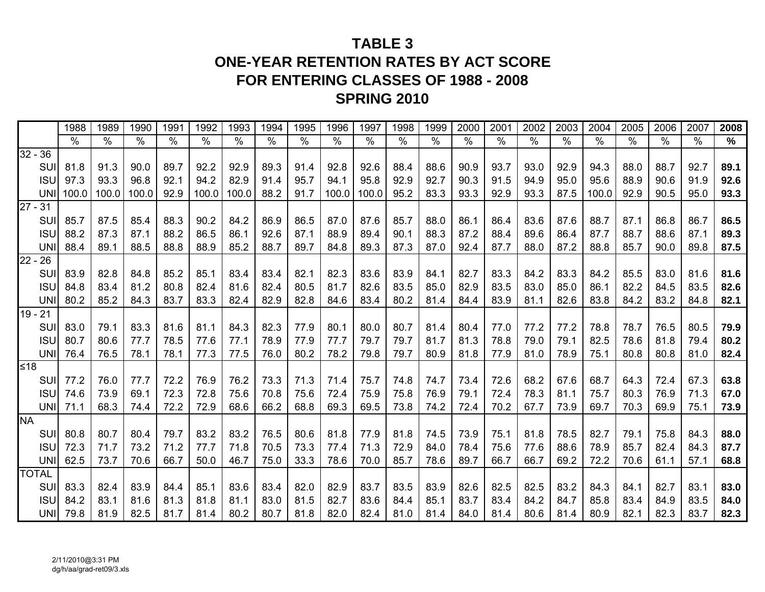# **TABLE 3ONE-YEAR RETENTION RATES BY ACT SCORE FOR ENTERING CLASSES OF 1988 - 2008 SPRING 2010**

|           |              | 1988          | 1989          | 1990  | 1991          | 1992  | 1993  | 1994          | 1995 | 1996  | 1997          | 1998          | 1999 | 2000          | 2001          | 2002 | 2003          | 2004          | 2005          | 2006          | 2007          | 2008          |
|-----------|--------------|---------------|---------------|-------|---------------|-------|-------|---------------|------|-------|---------------|---------------|------|---------------|---------------|------|---------------|---------------|---------------|---------------|---------------|---------------|
|           |              | $\frac{0}{0}$ | $\frac{0}{0}$ | $\%$  | $\frac{8}{6}$ | $\%$  | $\%$  | $\frac{9}{6}$ | $\%$ | $\%$  | $\frac{9}{6}$ | $\frac{0}{0}$ | $\%$ | $\frac{0}{0}$ | $\frac{1}{2}$ | $\%$ | $\frac{0}{0}$ | $\frac{0}{0}$ | $\frac{0}{0}$ | $\frac{0}{0}$ | $\frac{0}{0}$ | $\frac{9}{6}$ |
| $32 - 36$ |              |               |               |       |               |       |       |               |      |       |               |               |      |               |               |      |               |               |               |               |               |               |
|           | <b>SUI</b>   | 81.8          | 91.3          | 90.0  | 89.7          | 92.2  | 92.9  | 89.3          | 91.4 | 92.8  | 92.6          | 88.4          | 88.6 | 90.9          | 93.7          | 93.0 | 92.9          | 94.3          | 88.0          | 88.7          | 92.7          | 89.1          |
|           | <b>ISU</b>   | 97.3          | 93.3          | 96.8  | 92.1          | 94.2  | 82.9  | 91.4          | 95.7 | 94.1  | 95.8          | 92.9          | 92.7 | 90.3          | 91.5          | 94.9 | 95.0          | 95.6          | 88.9          | 90.6          | 91.9          | 92.6          |
|           | UNII         | 100.0         | 100.0         | 100.0 | 92.9          | 100.0 | 100.0 | 88.2          | 91.7 | 100.0 | 100.0         | 95.2          | 83.3 | 93.3          | 92.9          | 93.3 | 87.5          | 100.0         | 92.9          | 90.5          | 95.0          | 93.3          |
| $27 - 31$ |              |               |               |       |               |       |       |               |      |       |               |               |      |               |               |      |               |               |               |               |               |               |
|           | SUI          | 85.7          | 87.5          | 85.4  | 88.3          | 90.2  | 84.2  | 86.9          | 86.5 | 87.0  | 87.6          | 85.7          | 88.0 | 86.1          | 86.4          | 83.6 | 87.6          | 88.7          | 87.1          | 86.8          | 86.7          | 86.5          |
|           | <b>ISU</b>   | 88.2          | 87.3          | 87.1  | 88.2          | 86.5  | 86.1  | 92.6          | 87.1 | 88.9  | 89.4          | 90.1          | 88.3 | 87.2          | 88.4          | 89.6 | 86.4          | 87.7          | 88.7          | 88.6          | 87.1          | 89.3          |
|           | <b>UNI</b>   | 88.4          | 89.1          | 88.5  | 88.8          | 88.9  | 85.2  | 88.7          | 89.7 | 84.8  | 89.3          | 87.3          | 87.0 | 92.4          | 87.7          | 88.0 | 87.2          | 88.8          | 85.7          | 90.0          | 89.8          | 87.5          |
| $22 - 26$ |              |               |               |       |               |       |       |               |      |       |               |               |      |               |               |      |               |               |               |               |               |               |
|           | SUI          | 83.9          | 82.8          | 84.8  | 85.2          | 85.1  | 83.4  | 83.4          | 82.1 | 82.3  | 83.6          | 83.9          | 84.1 | 82.7          | 83.3          | 84.2 | 83.3          | 84.2          | 85.5          | 83.0          | 81.6          | 81.6          |
|           | <b>ISU</b>   | 84.8          | 83.4          | 81.2  | 80.8          | 82.4  | 81.6  | 82.4          | 80.5 | 81.7  | 82.6          | 83.5          | 85.0 | 82.9          | 83.5          | 83.0 | 85.0          | 86.1          | 82.2          | 84.5          | 83.5          | 82.6          |
|           | <b>UNI</b>   | 80.2          | 85.2          | 84.3  | 83.7          | 83.3  | 82.4  | 82.9          | 82.8 | 84.6  | 83.4          | 80.2          | 81.4 | 84.4          | 83.9          | 81.1 | 82.6          | 83.8          | 84.2          | 83.2          | 84.8          | 82.1          |
| $19 - 21$ |              |               |               |       |               |       |       |               |      |       |               |               |      |               |               |      |               |               |               |               |               |               |
|           | SUI          | 83.0          | 79.1          | 83.3  | 81.6          | 81.1  | 84.3  | 82.3          | 77.9 | 80.1  | 80.0          | 80.7          | 81.4 | 80.4          | 77.0          | 77.2 | 77.2          | 78.8          | 78.7          | 76.5          | 80.5          | 79.9          |
|           | <b>ISU</b>   | 80.7          | 80.6          | 77.7  | 78.5          | 77.6  | 77.1  | 78.9          | 77.9 | 77.7  | 79.7          | 79.7          | 81.7 | 81.3          | 78.8          | 79.0 | 79.1          | 82.5          | 78.6          | 81.8          | 79.4          | 80.2          |
|           | <b>UNI</b>   | 76.4          | 76.5          | 78.1  | 78.1          | 77.3  | 77.5  | 76.0          | 80.2 | 78.2  | 79.8          | 79.7          | 80.9 | 81.8          | 77.9          | 81.0 | 78.9          | 75.1          | 80.8          | 80.8          | 81.0          | 82.4          |
| $≤18$     |              |               |               |       |               |       |       |               |      |       |               |               |      |               |               |      |               |               |               |               |               |               |
|           | SUI          | 77.2          | 76.0          | 77.7  | 72.2          | 76.9  | 76.2  | 73.3          | 71.3 | 71.4  | 75.7          | 74.8          | 74.7 | 73.4          | 72.6          | 68.2 | 67.6          | 68.7          | 64.3          | 72.4          | 67.3          | 63.8          |
|           | <b>ISU</b>   | 74.6          | 73.9          | 69.1  | 72.3          | 72.8  | 75.6  | 70.8          | 75.6 | 72.4  | 75.9          | 75.8          | 76.9 | 79.1          | 72.4          | 78.3 | 81.1          | 75.7          | 80.3          | 76.9          | 71.3          | 67.0          |
|           | <b>UNI</b>   | 71.1          | 68.3          | 74.4  | 72.2          | 72.9  | 68.6  | 66.2          | 68.8 | 69.3  | 69.5          | 73.8          | 74.2 | 72.4          | 70.2          | 67.7 | 73.9          | 69.7          | 70.3          | 69.9          | 75.1          | 73.9          |
| <b>NA</b> |              |               |               |       |               |       |       |               |      |       |               |               |      |               |               |      |               |               |               |               |               |               |
|           | SUI          | 80.8          | 80.7          | 80.4  | 79.7          | 83.2  | 83.2  | 76.5          | 80.6 | 81.8  | 77.9          | 81.8          | 74.5 | 73.9          | 75.1          | 81.8 | 78.5          | 82.7          | 79.1          | 75.8          | 84.3          | 88.0          |
|           | <b>ISU</b>   | 72.3          | 71.7          | 73.2  | 71.2          | 77.7  | 71.8  | 70.5          | 73.3 | 77.4  | 71.3          | 72.9          | 84.0 | 78.4          | 75.6          | 77.6 | 88.6          | 78.9          | 85.7          | 82.4          | 84.3          | 87.7          |
|           | UNI          | 62.5          | 73.7          | 70.6  | 66.7          | 50.0  | 46.7  | 75.0          | 33.3 | 78.6  | 70.0          | 85.7          | 78.6 | 89.7          | 66.7          | 66.7 | 69.2          | 72.2          | 70.6          | 61.1          | 57.1          | 68.8          |
|           | <b>TOTAL</b> |               |               |       |               |       |       |               |      |       |               |               |      |               |               |      |               |               |               |               |               |               |
|           | SUI          | 83.3          | 82.4          | 83.9  | 84.4          | 85.1  | 83.6  | 83.4          | 82.0 | 82.9  | 83.7          | 83.5          | 83.9 | 82.6          | 82.5          | 82.5 | 83.2          | 84.3          | 84.1          | 82.7          | 83.1          | 83.0          |
|           | <b>ISU</b>   | 84.2          | 83.1          | 81.6  | 81.3          | 81.8  | 81.1  | 83.0          | 81.5 | 82.7  | 83.6          | 84.4          | 85.1 | 83.7          | 83.4          | 84.2 | 84.7          | 85.8          | 83.4          | 84.9          | 83.5          | 84.0          |
|           | UNI          | 79.8          | 81.9          | 82.5  | 81.7          | 81.4  | 80.2  | 80.7          | 81.8 | 82.0  | 82.4          | 81.0          | 81.4 | 84.0          | 81.4          | 80.6 | 81.4          | 80.9          | 82.1          | 82.3          | 83.7          | 82.3          |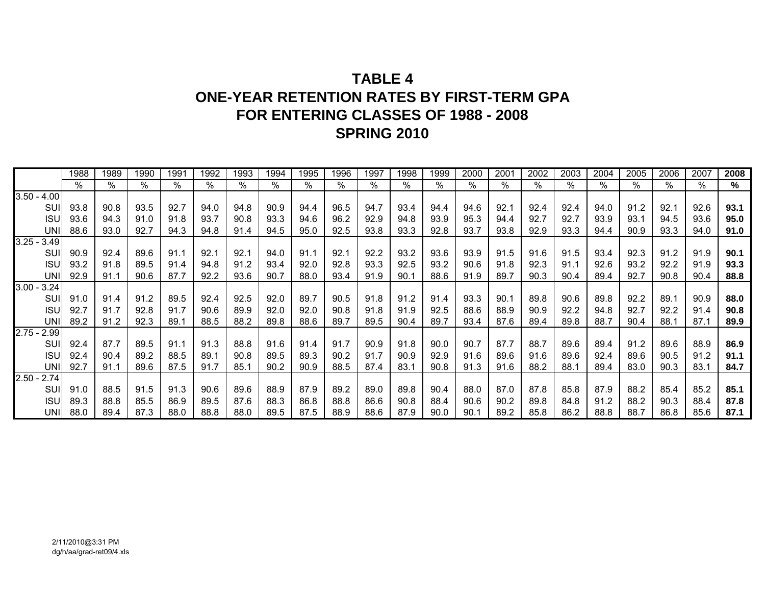# **TABLE 4ONE-YEAR RETENTION RATES BY FIRST-TERM GPA FOR ENTERING CLASSES OF 1988 - 2008 SPRING 2010**

|               |             | 1988 | 1989 | 1990 | 1991 | 1992 | 1993 | 1994 | 1995 | 1996 | 1997 | 1998 | 1999 | 2000 | 2001 | 2002 | 2003 | 2004 | 2005 | 2006 | 2007 | 2008 |
|---------------|-------------|------|------|------|------|------|------|------|------|------|------|------|------|------|------|------|------|------|------|------|------|------|
|               |             | %    | %    | %    | %    | %    | %    | $\%$ | %    | %    | %    | %    | $\%$ | %    | %    | %    | $\%$ | $\%$ | $\%$ | $\%$ | $\%$ | %    |
| $3.50 - 4.00$ |             |      |      |      |      |      |      |      |      |      |      |      |      |      |      |      |      |      |      |      |      |      |
|               | <b>SUI</b>  | 93.8 | 90.8 | 93.5 | 92.7 | 94.0 | 94.8 | 90.9 | 94.4 | 96.5 | 94.7 | 93.4 | 94.4 | 94.6 | 92.1 | 92.4 | 92.4 | 94.0 | 91.2 | 92.1 | 92.6 | 93.1 |
|               | <b>ISU</b>  | 93.6 | 94.3 | 91.0 | 91.8 | 93.7 | 90.8 | 93.3 | 94.6 | 96.2 | 92.9 | 94.8 | 93.9 | 95.3 | 94.4 | 92.7 | 92.7 | 93.9 | 93.1 | 94.5 | 93.6 | 95.0 |
|               | <b>UNI</b>  | 88.6 | 93.0 | 92.7 | 94.3 | 94.8 | 91.4 | 94.5 | 95.0 | 92.5 | 93.8 | 93.3 | 92.8 | 93.7 | 93.8 | 92.9 | 93.3 | 94.4 | 90.9 | 93.3 | 94.0 | 91.0 |
| $3.25 - 3.49$ |             |      |      |      |      |      |      |      |      |      |      |      |      |      |      |      |      |      |      |      |      |      |
|               | SUI         | 90.9 | 92.4 | 89.6 | 91.1 | 92.1 | 92.1 | 94.0 | 91.1 | 92.1 | 92.2 | 93.2 | 93.6 | 93.9 | 91.5 | 91.6 | 91.5 | 93.4 | 92.3 | 91.2 | 91.9 | 90.1 |
|               | <b>ISU</b>  | 93.2 | 91.8 | 89.5 | 91.4 | 94.8 | 91.2 | 93.4 | 92.0 | 92.8 | 93.3 | 92.5 | 93.2 | 90.6 | 91.8 | 92.3 | 91.1 | 92.6 | 93.2 | 92.2 | 91.9 | 93.3 |
|               | <b>UNI</b>  | 92.9 | 91.1 | 90.6 | 87.7 | 92.2 | 93.6 | 90.7 | 88.0 | 93.4 | 91.9 | 90.1 | 88.6 | 91.9 | 89.7 | 90.3 | 90.4 | 89.4 | 92.7 | 90.8 | 90.4 | 88.8 |
| $3.00 - 3.24$ |             |      |      |      |      |      |      |      |      |      |      |      |      |      |      |      |      |      |      |      |      |      |
|               | SUI         | 91.0 | 91.4 | 91.2 | 89.5 | 92.4 | 92.5 | 92.0 | 89.7 | 90.5 | 91.8 | 91.2 | 91.4 | 93.3 | 90.1 | 89.8 | 90.6 | 89.8 | 92.2 | 89.1 | 90.9 | 88.0 |
|               | <b>ISU</b>  | 92.7 | 91.7 | 92.8 | 91.7 | 90.6 | 89.9 | 92.0 | 92.0 | 90.8 | 91.8 | 91.9 | 92.5 | 88.6 | 88.9 | 90.9 | 92.2 | 94.8 | 92.7 | 92.2 | 91.4 | 90.8 |
|               | UNII        | 89.2 | 91.2 | 92.3 | 89.1 | 88.5 | 88.2 | 89.8 | 88.6 | 89.7 | 89.5 | 90.4 | 89.7 | 93.4 | 87.6 | 89.4 | 89.8 | 88.7 | 90.4 | 88.1 | 87.1 | 89.9 |
| $2.75 - 2.99$ |             |      |      |      |      |      |      |      |      |      |      |      |      |      |      |      |      |      |      |      |      |      |
|               | <b>SUI</b>  | 92.4 | 87.7 | 89.5 | 91.1 | 91.3 | 88.8 | 91.6 | 91.4 | 91.7 | 90.9 | 91.8 | 90.0 | 90.7 | 87.7 | 88.7 | 89.6 | 89.4 | 91.2 | 89.6 | 88.9 | 86.9 |
|               | <b>ISU</b>  | 92.4 | 90.4 | 89.2 | 88.5 | 89.1 | 90.8 | 89.5 | 89.3 | 90.2 | 91.7 | 90.9 | 92.9 | 91.6 | 89.6 | 91.6 | 89.6 | 92.4 | 89.6 | 90.5 | 91.2 | 91.1 |
|               | <b>UNII</b> | 92.7 | 91.1 | 89.6 | 87.5 | 91.7 | 85.1 | 90.2 | 90.9 | 88.5 | 87.4 | 83.1 | 90.8 | 91.3 | 91.6 | 88.2 | 88.1 | 89.4 | 83.0 | 90.3 | 83.1 | 84.7 |
| $2.50 - 2.74$ |             |      |      |      |      |      |      |      |      |      |      |      |      |      |      |      |      |      |      |      |      |      |
|               | SUI         | 91.0 | 88.5 | 91.5 | 91.3 | 90.6 | 89.6 | 88.9 | 87.9 | 89.2 | 89.0 | 89.8 | 90.4 | 88.0 | 87.0 | 87.8 | 85.8 | 87.9 | 88.2 | 85.4 | 85.2 | 85.1 |
|               | <b>ISU</b>  | 89.3 | 88.8 | 85.5 | 86.9 | 89.5 | 87.6 | 88.3 | 86.8 | 88.8 | 86.6 | 90.8 | 88.4 | 90.6 | 90.2 | 89.8 | 84.8 | 91.2 | 88.2 | 90.3 | 88.4 | 87.8 |
|               | UNII        | 88.0 | 89.4 | 87.3 | 88.0 | 88.8 | 88.0 | 89.5 | 87.5 | 88.9 | 88.6 | 87.9 | 90.0 | 90.1 | 89.2 | 85.8 | 86.2 | 88.8 | 88.7 | 86.8 | 85.6 | 87.1 |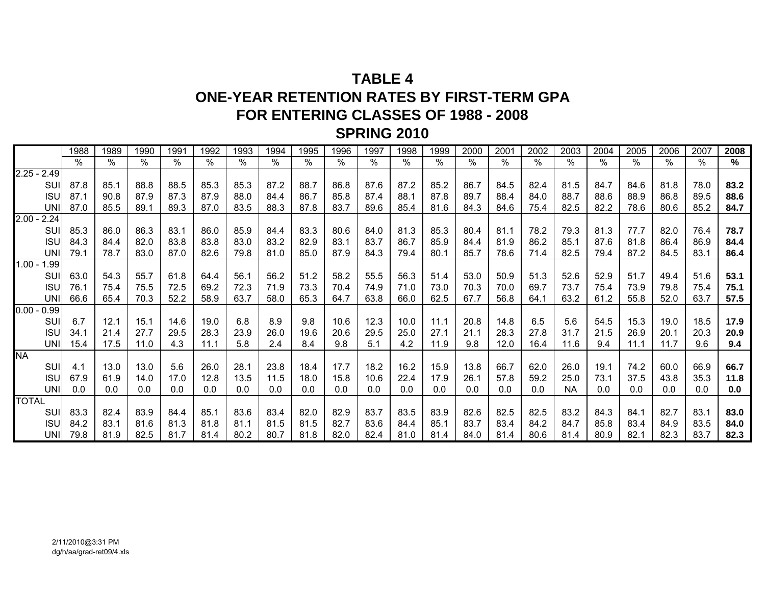# **TABLE 4ONE-YEAR RETENTION RATES BY FIRST-TERM GPA FOR ENTERING CLASSES OF 1988 - 2008 SPRING 2010**

|               | 1988     | 1989 | 1990          | 1991          | 1992 | 1993 | 1994 | 1995 | 1996 | 1997 | 1998 | 1999 | 2000 | 2001 | 2002 | 2003      | 2004 | 2005 | 2006 | 2007          | 2008 |
|---------------|----------|------|---------------|---------------|------|------|------|------|------|------|------|------|------|------|------|-----------|------|------|------|---------------|------|
|               | $\%$     | $\%$ | $\frac{1}{2}$ | $\frac{1}{6}$ | %    | $\%$ | $\%$ | $\%$ | $\%$ | $\%$ | $\%$ | %    | %    | $\%$ | $\%$ | $\%$      | $\%$ | ℅    | $\%$ | $\frac{9}{6}$ | $\%$ |
| $2.25 - 2.49$ |          |      |               |               |      |      |      |      |      |      |      |      |      |      |      |           |      |      |      |               |      |
| SUI           | 87.8     | 85.1 | 88.8          | 88.5          | 85.3 | 85.3 | 87.2 | 88.7 | 86.8 | 87.6 | 87.2 | 85.2 | 86.7 | 84.5 | 82.4 | 81.5      | 84.7 | 84.6 | 81.8 | 78.0          | 83.2 |
| <b>ISU</b>    | 87.1     | 90.8 | 87.9          | 87.3          | 87.9 | 88.0 | 84.4 | 86.7 | 85.8 | 87.4 | 88.1 | 87.8 | 89.7 | 88.4 | 84.0 | 88.7      | 88.6 | 88.9 | 86.8 | 89.5          | 88.6 |
| <b>UNI</b>    | 87.0     | 85.5 | 89.1          | 89.3          | 87.0 | 83.5 | 88.3 | 87.8 | 83.7 | 89.6 | 85.4 | 81.6 | 84.3 | 84.6 | 75.4 | 82.5      | 82.2 | 78.6 | 80.6 | 85.2          | 84.7 |
| $2.00 - 2.24$ |          |      |               |               |      |      |      |      |      |      |      |      |      |      |      |           |      |      |      |               |      |
| SUI           | 85.3     | 86.0 | 86.3          | 83.1          | 86.0 | 85.9 | 84.4 | 83.3 | 80.6 | 84.0 | 81.3 | 85.3 | 80.4 | 81.1 | 78.2 | 79.3      | 81.3 | 77.7 | 82.0 | 76.4          | 78.7 |
| <b>ISU</b>    | 84.3     | 84.4 | 82.0          | 83.8          | 83.8 | 83.0 | 83.2 | 82.9 | 83.1 | 83.7 | 86.7 | 85.9 | 84.4 | 81.9 | 86.2 | 85.1      | 87.6 | 81.8 | 86.4 | 86.9          | 84.4 |
| <b>UNI</b>    | 79.1     | 78.7 | 83.0          | 87.0          | 82.6 | 79.8 | 81.0 | 85.0 | 87.9 | 84.3 | 79.4 | 80.1 | 85.7 | 78.6 | 71.4 | 82.5      | 79.4 | 87.2 | 84.5 | 83.1          | 86.4 |
| $1.00 - 1.99$ |          |      |               |               |      |      |      |      |      |      |      |      |      |      |      |           |      |      |      |               |      |
| SUI           | 63.0     | 54.3 | 55.7          | 61.8          | 64.4 | 56.1 | 56.2 | 51.2 | 58.2 | 55.5 | 56.3 | 51.4 | 53.0 | 50.9 | 51.3 | 52.6      | 52.9 | 51.7 | 49.4 | 51.6          | 53.1 |
| <b>ISU</b>    | 76.1     | 75.4 | 75.5          | 72.5          | 69.2 | 72.3 | 71.9 | 73.3 | 70.4 | 74.9 | 71.0 | 73.0 | 70.3 | 70.0 | 69.7 | 73.7      | 75.4 | 73.9 | 79.8 | 75.4          | 75.1 |
| <b>UNI</b>    | 66.6     | 65.4 | 70.3          | 52.2          | 58.9 | 63.7 | 58.0 | 65.3 | 64.7 | 63.8 | 66.0 | 62.5 | 67.7 | 56.8 | 64.1 | 63.2      | 61.2 | 55.8 | 52.0 | 63.7          | 57.5 |
| 0.00<br>0.99  |          |      |               |               |      |      |      |      |      |      |      |      |      |      |      |           |      |      |      |               |      |
| SUI           | 6.7      | 12.1 | 15.1          | 14.6          | 19.0 | 6.8  | 8.9  | 9.8  | 10.6 | 12.3 | 10.0 | 11.1 | 20.8 | 14.8 | 6.5  | 5.6       | 54.5 | 15.3 | 19.0 | 18.5          | 17.9 |
| <b>ISU</b>    | 34.1     | 21.4 | 27.7          | 29.5          | 28.3 | 23.9 | 26.0 | 19.6 | 20.6 | 29.5 | 25.0 | 27.1 | 21.1 | 28.3 | 27.8 | 31.7      | 21.5 | 26.9 | 20.1 | 20.3          | 20.9 |
| <b>UNII</b>   | 15.4     | 17.5 | 11.0          | 4.3           | 11.1 | 5.8  | 2.4  | 8.4  | 9.8  | 5.1  | 4.2  | 11.9 | 9.8  | 12.0 | 16.4 | 11.6      | 9.4  | 11.1 | 11.7 | 9.6           | 9.4  |
| <b>NA</b>     |          |      |               |               |      |      |      |      |      |      |      |      |      |      |      |           |      |      |      |               |      |
| SUI           | 4.1      | 13.0 | 13.0          | 5.6           | 26.0 | 28.1 | 23.8 | 18.4 | 17.7 | 18.2 | 16.2 | 15.9 | 13.8 | 66.7 | 62.0 | 26.0      | 19.1 | 74.2 | 60.0 | 66.9          | 66.7 |
| <b>ISU</b>    | 67.9     | 61.9 | 14.0          | 17.0          | 12.8 | 13.5 | 11.5 | 18.0 | 15.8 | 10.6 | 22.4 | 17.9 | 26.1 | 57.8 | 59.2 | 25.0      | 73.1 | 37.5 | 43.8 | 35.3          | 11.8 |
| UNI           | 0.0      | 0.0  | 0.0           | 0.0           | 0.0  | 0.0  | 0.0  | 0.0  | 0.0  | 0.0  | 0.0  | 0.0  | 0.0  | 0.0  | 0.0  | <b>NA</b> | 0.0  | 0.0  | 0.0  | 0.0           | 0.0  |
| <b>TOTAL</b>  |          |      |               |               |      |      |      |      |      |      |      |      |      |      |      |           |      |      |      |               |      |
| <b>SUI</b>    | 83.3     | 82.4 | 83.9          | 84.4          | 85.1 | 83.6 | 83.4 | 82.0 | 82.9 | 83.7 | 83.5 | 83.9 | 82.6 | 82.5 | 82.5 | 83.2      | 84.3 | 84.1 | 82.7 | 83.1          | 83.0 |
| <b>ISU</b>    | 84.2     | 83.1 | 81.6          | 81.3          | 81.8 | 81.1 | 81.5 | 81.5 | 82.7 | 83.6 | 84.4 | 85.1 | 83.7 | 83.4 | 84.2 | 84.7      | 85.8 | 83.4 | 84.9 | 83.5          | 84.0 |
|               | UNI 79.8 | 81.9 | 82.5          | 81.7          | 81.4 | 80.2 | 80.7 | 81.8 | 82.0 | 82.4 | 81.0 | 81.4 | 84.0 | 81.4 | 80.6 | 81.4      | 80.9 | 82.1 | 82.3 | 83.7          | 82.3 |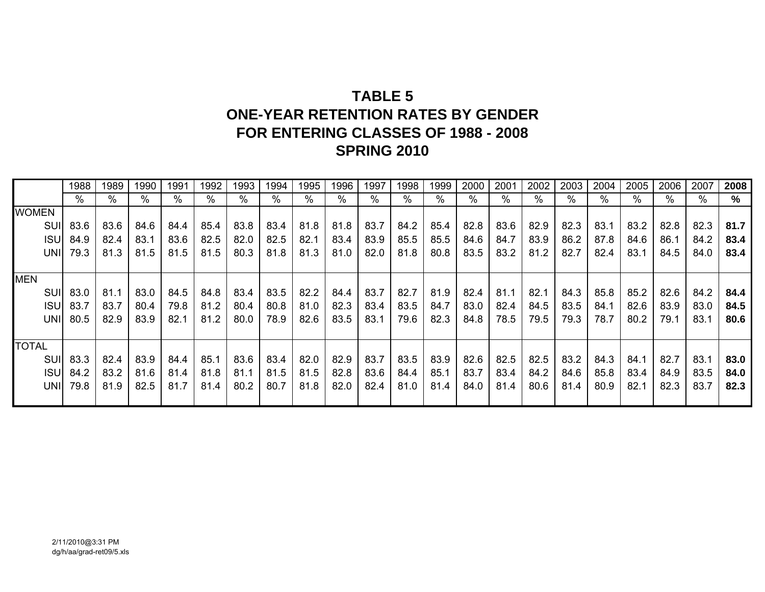# **TABLE 5ONE-YEAR RETENTION RATES BY GENDERFOR ENTERING CLASSES OF 1988 - 2008 SPRING 2010**

|              | 1988 | 1989 | 1990 | 1991 | 1992 | 1993 | 1994 | 1995 | 1996 | 1997 | 1998 | 1999 | 2000 | 2001 | 2002 | 2003          | 2004 | 2005 | 2006 | 2007 | 2008 |
|--------------|------|------|------|------|------|------|------|------|------|------|------|------|------|------|------|---------------|------|------|------|------|------|
|              | %    | %    | $\%$ | %    | %    | %    | %    | $\%$ | $\%$ | %    | %    | %    | %    | %    | %    | $\frac{0}{0}$ | %    | %    | %    | %    | %    |
| <b>WOMEN</b> |      |      |      |      |      |      |      |      |      |      |      |      |      |      |      |               |      |      |      |      |      |
| SUII         | 83.6 | 83.6 | 84.6 | 84.4 | 85.4 | 83.8 | 83.4 | 81.8 | 81.8 | 83.7 | 84.2 | 85.4 | 82.8 | 83.6 | 82.9 | 82.3          | 83.1 | 83.2 | 82.8 | 82.3 | 81.7 |
| <b>ISU</b>   | 84.9 | 82.4 | 83.1 | 83.6 | 82.5 | 82.0 | 82.5 | 82.1 | 83.4 | 83.9 | 85.5 | 85.5 | 84.6 | 84.7 | 83.9 | 86.2          | 87.8 | 84.6 | 86.1 | 84.2 | 83.4 |
| UNIL         | 79.3 | 81.3 | 81.5 | 81.5 | 81.5 | 80.3 | 81.8 | 81.3 | 81.0 | 82.0 | 81.8 | 80.8 | 83.5 | 83.2 | 81.2 | 82.7          | 82.4 | 83.1 | 84.5 | 84.0 | 83.4 |
|              |      |      |      |      |      |      |      |      |      |      |      |      |      |      |      |               |      |      |      |      |      |
| <b>MEN</b>   |      |      |      |      |      |      |      |      |      |      |      |      |      |      |      |               |      |      |      |      |      |
| SUI          | 83.0 | 81.1 | 83.0 | 84.5 | 84.8 | 83.4 | 83.5 | 82.2 | 84.4 | 83.7 | 82.7 | 81.9 | 82.4 | 81.1 | 82.1 | 84.3          | 85.8 | 85.2 | 82.6 | 84.2 | 84.4 |
| <b>ISU</b>   | 83.7 | 83.7 | 80.4 | 79.8 | 81.2 | 80.4 | 80.8 | 81.0 | 82.3 | 83.4 | 83.5 | 84.7 | 83.0 | 82.4 | 84.5 | 83.5          | 84.1 | 82.6 | 83.9 | 83.0 | 84.5 |
| UNII         | 80.5 | 82.9 | 83.9 | 82.1 | 81.2 | 80.0 | 78.9 | 82.6 | 83.5 | 83.1 | 79.6 | 82.3 | 84.8 | 78.5 | 79.5 | 79.3          | 78.7 | 80.2 | 79.1 | 83.1 | 80.6 |
|              |      |      |      |      |      |      |      |      |      |      |      |      |      |      |      |               |      |      |      |      |      |
| <b>TOTAL</b> |      |      |      |      |      |      |      |      |      |      |      |      |      |      |      |               |      |      |      |      |      |
| SUI          | 83.3 | 82.4 | 83.9 | 84.4 | 85.1 | 83.6 | 83.4 | 82.0 | 82.9 | 83.7 | 83.5 | 83.9 | 82.6 | 82.5 | 82.5 | 83.2          | 84.3 | 84.1 | 82.7 | 83.1 | 83.0 |
| <b>ISUI</b>  | 84.2 | 83.2 | 81.6 | 81.4 | 81.8 | 81.1 | 81.5 | 81.5 | 82.8 | 83.6 | 84.4 | 85.1 | 83.7 | 83.4 | 84.2 | 84.6          | 85.8 | 83.4 | 84.9 | 83.5 | 84.0 |
| UNII         | 79.8 | 81.9 | 82.5 | 81.7 | 81.4 | 80.2 | 80.7 | 81.8 | 82.0 | 82.4 | 81.0 | 81.4 | 84.0 | 81.4 | 80.6 | 81.4          | 80.9 | 82.1 | 82.3 | 83.7 | 82.3 |
|              |      |      |      |      |      |      |      |      |      |      |      |      |      |      |      |               |      |      |      |      |      |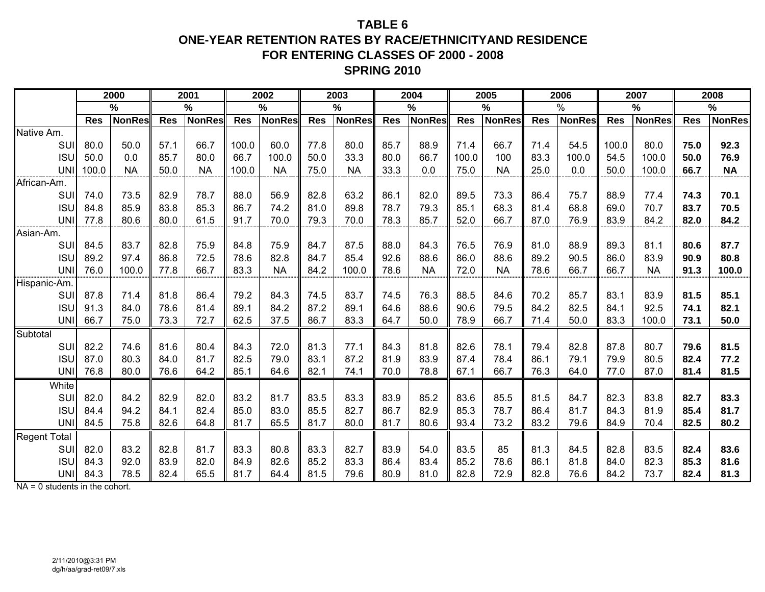## **TABLE 6ONE-YEAR RETENTION RATES BY RACE/ETHNICITYAND RESIDENCEFOR ENTERING CLASSES OF 2000 - 2008 SPRING 2010**

|                                   |            | 2000          |            | 2001          |            | 2002          |            | 2003          |            | 2004          |            | 2005          |            | 2006          |            | 2007          |            | 2008          |
|-----------------------------------|------------|---------------|------------|---------------|------------|---------------|------------|---------------|------------|---------------|------------|---------------|------------|---------------|------------|---------------|------------|---------------|
|                                   |            | %             |            | $\%$          |            | %             |            | %             |            | $\frac{0}{0}$ |            | %             |            | $\frac{9}{6}$ |            | $\frac{9}{6}$ |            | %             |
|                                   | <b>Res</b> | <b>NonRes</b> | <b>Res</b> | <b>NonRes</b> | <b>Res</b> | <b>NonRes</b> | <b>Res</b> | <b>NonRes</b> | <b>Res</b> | <b>NonRes</b> | <b>Res</b> | <b>NonRes</b> | <b>Res</b> | <b>NonRes</b> | <b>Res</b> | <b>NonRes</b> | <b>Res</b> | <b>NonRes</b> |
| Native Am.                        |            |               |            |               |            |               |            |               |            |               |            |               |            |               |            |               |            |               |
| <b>SUI</b>                        | 80.0       | 50.0          | 57.1       | 66.7          | 100.0      | 60.0          | 77.8       | 80.0          | 85.7       | 88.9          | 71.4       | 66.7          | 71.4       | 54.5          | 100.0      | 80.0          | 75.0       | 92.3          |
| <b>ISU</b>                        | 50.0       | 0.0           | 85.7       | 80.0          | 66.7       | 100.0         | 50.0       | 33.3          | 80.0       | 66.7          | 100.0      | 100           | 83.3       | 100.0         | 54.5       | 100.0         | 50.0       | 76.9          |
| <b>UNI</b>                        | 100.0      | <b>NA</b>     | 50.0       | <b>NA</b>     | 100.0      | <b>NA</b>     | 75.0       | <b>NA</b>     | 33.3       | 0.0           | 75.0       | <b>NA</b>     | 25.0       | 0.0           | 50.0       | 100.0         | 66.7       | <b>NA</b>     |
| ------------------<br>African-Am. |            |               |            |               |            |               |            |               |            |               |            |               |            |               |            |               |            |               |
| SUI                               | 74.0       | 73.5          | 82.9       | 78.7          | 88.0       | 56.9          | 82.8       | 63.2          | 86.1       | 82.0          | 89.5       | 73.3          | 86.4       | 75.7          | 88.9       | 77.4          | 74.3       | 70.1          |
| <b>ISU</b>                        | 84.8       | 85.9          | 83.8       | 85.3          | 86.7       | 74.2          | 81.0       | 89.8          | 78.7       | 79.3          | 85.1       | 68.3          | 81.4       | 68.8          | 69.0       | 70.7          | 83.7       | 70.5          |
| <b>UNI</b>                        | 77.8       | 80.6          | 80.0       | 61.5          | 91.7       | 70.0          | 79.3       | 70.0          | 78.3       | 85.7          | 52.0       | 66.7          | 87.0       | 76.9          | 83.9       | 84.2          | 82.0       | 84.2          |
| Asian-Am.                         |            |               |            |               |            |               |            |               |            |               |            |               |            |               |            |               |            |               |
| SUI                               | 84.5       | 83.7          | 82.8       | 75.9          | 84.8       | 75.9          | 84.7       | 87.5          | 88.0       | 84.3          | 76.5       | 76.9          | 81.0       | 88.9          | 89.3       | 81.1          | 80.6       | 87.7          |
| <b>ISU</b>                        | 89.2       | 97.4          | 86.8       | 72.5          | 78.6       | 82.8          | 84.7       | 85.4          | 92.6       | 88.6          | 86.0       | 88.6          | 89.2       | 90.5          | 86.0       | 83.9          | 90.9       | 80.8          |
| <b>UNI</b>                        | 76.0       | 100.0         | 77.8       | 66.7          | 83.3       | <b>NA</b>     | 84.2       | 100.0         | 78.6       | <b>NA</b>     | 72.0       | <b>NA</b>     | 78.6       | 66.7          | 66.7       | <b>NA</b>     | 91.3       | 100.0         |
| Hispanic-Am.                      |            |               |            |               |            |               |            |               |            |               |            |               |            |               |            |               |            |               |
| SUI                               | 87.8       | 71.4          | 81.8       | 86.4          | 79.2       | 84.3          | 74.5       | 83.7          | 74.5       | 76.3          | 88.5       | 84.6          | 70.2       | 85.7          | 83.1       | 83.9          | 81.5       | 85.1          |
| <b>ISU</b>                        | 91.3       | 84.0          | 78.6       | 81.4          | 89.1       | 84.2          | 87.2       | 89.1          | 64.6       | 88.6          | 90.6       | 79.5          | 84.2       | 82.5          | 84.1       | 92.5          | 74.1       | 82.1          |
| UNI                               | 66.7       | 75.0          | 73.3       | 72.7          | 62.5       | 37.5          | 86.7       | 83.3          | 64.7       | 50.0          | 78.9       | 66.7          | 71.4       | 50.0          | 83.3       | 100.0         | 73.1       | 50.0          |
| Subtotal                          |            |               |            |               |            |               |            |               |            |               |            |               |            |               |            |               |            |               |
| SUI                               | 82.2       | 74.6          | 81.6       | 80.4          | 84.3       | 72.0          | 81.3       | 77.1          | 84.3       | 81.8          | 82.6       | 78.1          | 79.4       | 82.8          | 87.8       | 80.7          | 79.6       | 81.5          |
| <b>ISU</b>                        | 87.0       | 80.3          | 84.0       | 81.7          | 82.5       | 79.0          | 83.1       | 87.2          | 81.9       | 83.9          | 87.4       | 78.4          | 86.1       | 79.1          | 79.9       | 80.5          | 82.4       | 77.2          |
| <b>UNI</b>                        | 76.8       | 80.0          | 76.6       | 64.2          | 85.1       | 64.6          | 82.1       | 74.1          | 70.0       | 78.8          | 67.1       | 66.7          | 76.3       | 64.0          | 77.0       | 87.0          | 81.4       | 81.5          |
| White                             |            |               |            |               |            |               |            |               |            |               |            |               |            |               |            |               |            |               |
| SUI                               | 82.0       | 84.2          | 82.9       | 82.0          | 83.2       | 81.7          | 83.5       | 83.3          | 83.9       | 85.2          | 83.6       | 85.5          | 81.5       | 84.7          | 82.3       | 83.8          | 82.7       | 83.3          |
| <b>ISU</b>                        | 84.4       | 94.2          | 84.1       | 82.4          | 85.0       | 83.0          | 85.5       | 82.7          | 86.7       | 82.9          | 85.3       | 78.7          | 86.4       | 81.7          | 84.3       | 81.9          | 85.4       | 81.7          |
| <b>UNI</b>                        | 84.5       | 75.8          | 82.6       | 64.8          | 81.7       | 65.5          | 81.7       | 80.0          | 81.7       | 80.6          | 93.4       | 73.2          | 83.2       | 79.6          | 84.9       | 70.4          | 82.5       | 80.2          |
| Regent Total                      |            |               |            |               |            |               |            |               |            |               |            |               |            |               |            |               |            |               |
| SUI                               | 82.0       | 83.2          | 82.8       | 81.7          | 83.3       | 80.8          | 83.3       | 82.7          | 83.9       | 54.0          | 83.5       | 85            | 81.3       | 84.5          | 82.8       | 83.5          | 82.4       | 83.6          |
| <b>ISU</b>                        | 84.3       | 92.0          | 83.9       | 82.0          | 84.9       | 82.6          | 85.2       | 83.3          | 86.4       | 83.4          | 85.2       | 78.6          | 86.1       | 81.8          | 84.0       | 82.3          | 85.3       | 81.6          |
| <b>UNI</b>                        | 84.3       | 78.5          | 82.4       | 65.5          | 81.7       | 64.4          | 81.5       | 79.6          | 80.9       | 81.0          | 82.8       | 72.9          | 82.8       | 76.6          | 84.2       | 73.7          | 82.4       | 81.3          |

NA = 0 students in the cohort.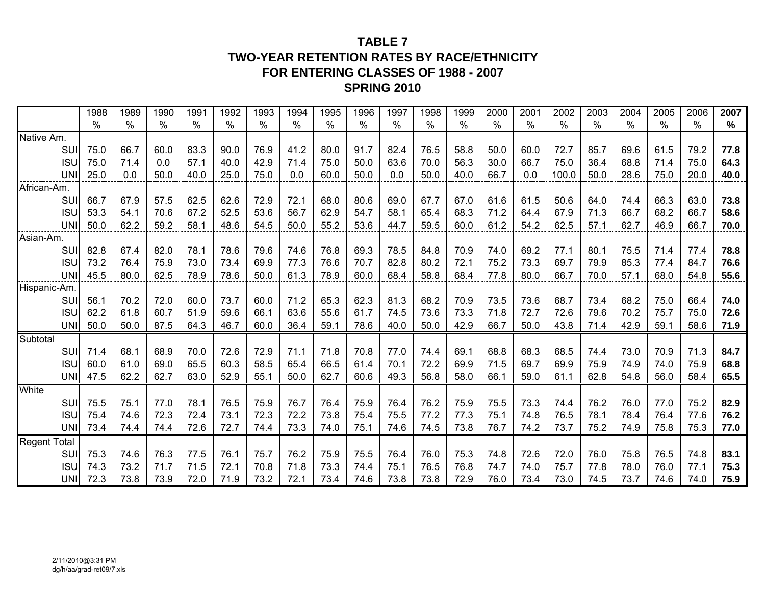## **TABLE 7TWO-YEAR RETENTION RATES BY RACE/ETHNICITY FOR ENTERING CLASSES OF 1988 - 2007 SPRING 2010**

|              |            | 1988 | 1989 | 1990 | 1991                 | 1992 | 1993 | 1994 | 1995 | 1996 | 1997 | 1998 | 1999 | 2000          | 2001 | 2002  | 2003          | 2004 | 2005 | 2006          | 2007 |
|--------------|------------|------|------|------|----------------------|------|------|------|------|------|------|------|------|---------------|------|-------|---------------|------|------|---------------|------|
|              |            | $\%$ | $\%$ | $\%$ | $\frac{1}{\sqrt{2}}$ | $\%$ | $\%$ | $\%$ | $\%$ | $\%$ | $\%$ | $\%$ | $\%$ | $\frac{0}{6}$ | $\%$ | $\%$  | $\frac{0}{0}$ | $\%$ | $\%$ | $\frac{0}{6}$ | $\%$ |
| Native Am.   |            |      |      |      |                      |      |      |      |      |      |      |      |      |               |      |       |               |      |      |               |      |
|              | SUI        | 75.0 | 66.7 | 60.0 | 83.3                 | 90.0 | 76.9 | 41.2 | 80.0 | 91.7 | 82.4 | 76.5 | 58.8 | 50.0          | 60.0 | 72.7  | 85.7          | 69.6 | 61.5 | 79.2          | 77.8 |
|              | <b>ISU</b> | 75.0 | 71.4 | 0.0  | 57.1                 | 40.0 | 42.9 | 71.4 | 75.0 | 50.0 | 63.6 | 70.0 | 56.3 | 30.0          | 66.7 | 75.0  | 36.4          | 68.8 | 71.4 | 75.0          | 64.3 |
|              | <b>UNI</b> | 25.0 | 0.0  | 50.0 | 40.0                 | 25.0 | 75.0 | 0.0  | 60.0 | 50.0 | 0.0  | 50.0 | 40.0 | 66.7          | 0.0  | 100.0 | 50.0          | 28.6 | 75.0 | 20.0          | 40.0 |
| African-Am.  |            |      |      |      |                      |      |      |      |      |      |      |      |      |               |      |       |               |      |      |               |      |
|              | SUI        | 66.7 | 67.9 | 57.5 | 62.5                 | 62.6 | 72.9 | 72.1 | 68.0 | 80.6 | 69.0 | 67.7 | 67.0 | 61.6          | 61.5 | 50.6  | 64.0          | 74.4 | 66.3 | 63.0          | 73.8 |
|              | <b>ISU</b> | 53.3 | 54.1 | 70.6 | 67.2                 | 52.5 | 53.6 | 56.7 | 62.9 | 54.7 | 58.1 | 65.4 | 68.3 | 71.2          | 64.4 | 67.9  | 71.3          | 66.7 | 68.2 | 66.7          | 58.6 |
|              | <b>UNI</b> | 50.0 | 62.2 | 59.2 | 58.1                 | 48.6 | 54.5 | 50.0 | 55.2 | 53.6 | 44.7 | 59.5 | 60.0 | 61.2          | 54.2 | 62.5  | 57.1          | 62.7 | 46.9 | 66.7          | 70.0 |
| Asian-Am.    |            |      |      |      |                      |      |      |      |      |      |      |      |      |               |      |       |               |      |      |               |      |
|              | SUI        | 82.8 | 67.4 | 82.0 | 78.1                 | 78.6 | 79.6 | 74.6 | 76.8 | 69.3 | 78.5 | 84.8 | 70.9 | 74.0          | 69.2 | 77.1  | 80.1          | 75.5 | 71.4 | 77.4          | 78.8 |
|              | <b>ISU</b> | 73.2 | 76.4 | 75.9 | 73.0                 | 73.4 | 69.9 | 77.3 | 76.6 | 70.7 | 82.8 | 80.2 | 72.1 | 75.2          | 73.3 | 69.7  | 79.9          | 85.3 | 77.4 | 84.7          | 76.6 |
|              | <b>UNI</b> | 45.5 | 80.0 | 62.5 | 78.9                 | 78.6 | 50.0 | 61.3 | 78.9 | 60.0 | 68.4 | 58.8 | 68.4 | 77.8          | 80.0 | 66.7  | 70.0          | 57.1 | 68.0 | 54.8          | 55.6 |
| Hispanic-Am. |            |      |      |      |                      |      |      |      |      |      |      |      |      |               |      |       |               |      |      |               |      |
|              | SUI        | 56.1 | 70.2 | 72.0 | 60.0                 | 73.7 | 60.0 | 71.2 | 65.3 | 62.3 | 81.3 | 68.2 | 70.9 | 73.5          | 73.6 | 68.7  | 73.4          | 68.2 | 75.0 | 66.4          | 74.0 |
|              | <b>ISU</b> | 62.2 | 61.8 | 60.7 | 51.9                 | 59.6 | 66.1 | 63.6 | 55.6 | 61.7 | 74.5 | 73.6 | 73.3 | 71.8          | 72.7 | 72.6  | 79.6          | 70.2 | 75.7 | 75.0          | 72.6 |
|              | <b>UNI</b> | 50.0 | 50.0 | 87.5 | 64.3                 | 46.7 | 60.0 | 36.4 | 59.1 | 78.6 | 40.0 | 50.0 | 42.9 | 66.7          | 50.0 | 43.8  | 71.4          | 42.9 | 59.1 | 58.6          | 71.9 |
| Subtotal     |            |      |      |      |                      |      |      |      |      |      |      |      |      |               |      |       |               |      |      |               |      |
|              | SUI        | 71.4 | 68.1 | 68.9 | 70.0                 | 72.6 | 72.9 | 71.1 | 71.8 | 70.8 | 77.0 | 74.4 | 69.1 | 68.8          | 68.3 | 68.5  | 74.4          | 73.0 | 70.9 | 71.3          | 84.7 |
|              | <b>ISU</b> | 60.0 | 61.0 | 69.0 | 65.5                 | 60.3 | 58.5 | 65.4 | 66.5 | 61.4 | 70.1 | 72.2 | 69.9 | 71.5          | 69.7 | 69.9  | 75.9          | 74.9 | 74.0 | 75.9          | 68.8 |
|              | <b>UNI</b> | 47.5 | 62.2 | 62.7 | 63.0                 | 52.9 | 55.1 | 50.0 | 62.7 | 60.6 | 49.3 | 56.8 | 58.0 | 66.1          | 59.0 | 61.1  | 62.8          | 54.8 | 56.0 | 58.4          | 65.5 |
| White        |            |      |      |      |                      |      |      |      |      |      |      |      |      |               |      |       |               |      |      |               |      |
|              | <b>SUI</b> | 75.5 | 75.1 | 77.0 | 78.1                 | 76.5 | 75.9 | 76.7 | 76.4 | 75.9 | 76.4 | 76.2 | 75.9 | 75.5          | 73.3 | 74.4  | 76.2          | 76.0 | 77.0 | 75.2          | 82.9 |
|              | <b>ISU</b> | 75.4 | 74.6 | 72.3 | 72.4                 | 73.1 | 72.3 | 72.2 | 73.8 | 75.4 | 75.5 | 77.2 | 77.3 | 75.1          | 74.8 | 76.5  | 78.1          | 78.4 | 76.4 | 77.6          | 76.2 |
|              | <b>UNI</b> | 73.4 | 74.4 | 74.4 | 72.6                 | 72.7 | 74.4 | 73.3 | 74.0 | 75.1 | 74.6 | 74.5 | 73.8 | 76.7          | 74.2 | 73.7  | 75.2          | 74.9 | 75.8 | 75.3          | 77.0 |
| Regent Total |            |      |      |      |                      |      |      |      |      |      |      |      |      |               |      |       |               |      |      |               |      |
|              | SUI        | 75.3 | 74.6 | 76.3 | 77.5                 | 76.1 | 75.7 | 76.2 | 75.9 | 75.5 | 76.4 | 76.0 | 75.3 | 74.8          | 72.6 | 72.0  | 76.0          | 75.8 | 76.5 | 74.8          | 83.1 |
|              | <b>ISU</b> | 74.3 | 73.2 | 71.7 | 71.5                 | 72.1 | 70.8 | 71.8 | 73.3 | 74.4 | 75.1 | 76.5 | 76.8 | 74.7          | 74.0 | 75.7  | 77.8          | 78.0 | 76.0 | 77.1          | 75.3 |
|              | <b>UNI</b> | 72.3 | 73.8 | 73.9 | 72.0                 | 71.9 | 73.2 | 72.1 | 73.4 | 74.6 | 73.8 | 73.8 | 72.9 | 76.0          | 73.4 | 73.0  | 74.5          | 73.7 | 74.6 | 74.0          | 75.9 |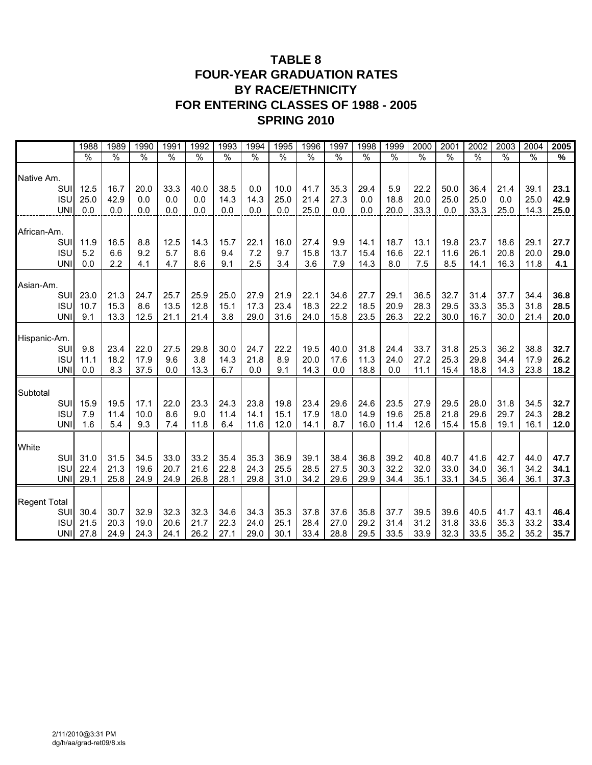## **TABLE 8 FOUR-YEAR GRADUATION RATES BY RACE/ETHNICITY FOR ENTERING CLASSES OF 1988 - 2005 SPRING 2010**

|                     | 1988          | 1989          | 1990 | 1991 | 1992 | 1993          | 1994 | 1995 | 1996 | 1997 | 1998 | 1999          | 2000 | 2001 | 2002          | 2003          | 2004          | 2005          |
|---------------------|---------------|---------------|------|------|------|---------------|------|------|------|------|------|---------------|------|------|---------------|---------------|---------------|---------------|
|                     | $\frac{0}{0}$ | $\frac{0}{0}$ | %    | %    | %    | $\frac{0}{0}$ | %    | %    | %    | %    | %    | $\frac{0}{6}$ | %    | $\%$ | $\frac{0}{6}$ | $\frac{0}{0}$ | $\frac{0}{0}$ | $\frac{9}{6}$ |
| Native Am.          |               |               |      |      |      |               |      |      |      |      |      |               |      |      |               |               |               |               |
| <b>SU</b>           | 12.5          | 16.7          | 20.0 | 33.3 | 40.0 | 38.5          | 0.0  | 10.0 | 41.7 | 35.3 | 29.4 | 5.9           | 22.2 | 50.0 | 36.4          | 21.4          | 39.1          | 23.1          |
| <b>ISU</b>          | 25.0          | 42.9          | 0.0  | 0.0  | 0.0  | 14.3          | 14.3 | 25.0 | 21.4 | 27.3 | 0.0  | 18.8          | 20.0 | 25.0 | 25.0          | 0.0           | 25.0          | 42.9          |
| <b>UN</b>           | 0.0           | 0.0           | 0.0  | 0.0  | 0.0  | 0.0           | 0.0  | 0.0  | 25.0 | 0.0  | 0.0  | 20.0          | 33.3 | 0.0  | 33.3          | 25.0          | 14.3          | 25.0          |
| African-Am.         |               |               |      |      |      |               |      |      |      |      |      |               |      |      |               |               |               |               |
| <b>SU</b>           | 11.9          | 16.5          | 8.8  | 12.5 | 14.3 | 15.7          | 22.1 | 16.0 | 27.4 | 9.9  | 14.1 | 18.7          | 13.1 | 19.8 | 23.7          | 18.6          | 29.1          | 27.7          |
| <b>ISU</b>          | 5.2           | 6.6           | 9.2  | 5.7  | 8.6  | 9.4           | 7.2  | 9.7  | 15.8 | 13.7 | 15.4 | 16.6          | 22.1 | 11.6 | 26.1          | 20.8          | 20.0          | 29.0          |
| <b>UN</b>           | 0.0           | 2.2           | 4.1  | 4.7  | 8.6  | 9.1           | 2.5  | 3.4  | 3.6  | 7.9  | 14.3 | 8.0           | 7.5  | 8.5  | 14.1          | 16.3          | 11.8          | 4.1           |
| Asian-Am.           |               |               |      |      |      |               |      |      |      |      |      |               |      |      |               |               |               |               |
| SUI                 | 23.0          | 21.3          | 24.7 | 25.7 | 25.9 | 25.0          | 27.9 | 21.9 | 22.1 | 34.6 | 27.7 | 29.1          | 36.5 | 32.7 | 31.4          | 37.7          | 34.4          | 36.8          |
| <b>ISU</b>          | 10.7          | 15.3          | 8.6  | 13.5 | 12.8 | 15.1          | 17.3 | 23.4 | 18.3 | 22.2 | 18.5 | 20.9          | 28.3 | 29.5 | 33.3          | 35.3          | 31.8          | 28.5          |
| <b>UNI</b>          | 9.1           | 13.3          | 12.5 | 21.1 | 21.4 | 3.8           | 29.0 | 31.6 | 24.0 | 15.8 | 23.5 | 26.3          | 22.2 | 30.0 | 16.7          | 30.0          | 21.4          | 20.0          |
| Hispanic-Am.        |               |               |      |      |      |               |      |      |      |      |      |               |      |      |               |               |               |               |
| SUI                 | 9.8           | 23.4          | 22.0 | 27.5 | 29.8 | 30.0          | 24.7 | 22.2 | 19.5 | 40.0 | 31.8 | 24.4          | 33.7 | 31.8 | 25.3          | 36.2          | 38.8          | 32.7          |
| <b>ISU</b>          | 11.1          | 18.2          | 17.9 | 9.6  | 3.8  | 14.3          | 21.8 | 8.9  | 20.0 | 17.6 | 11.3 | 24.0          | 27.2 | 25.3 | 29.8          | 34.4          | 17.9          | 26.2          |
| <b>UN</b>           | 0.0           | 8.3           | 37.5 | 0.0  | 13.3 | 6.7           | 0.0  | 9.1  | 14.3 | 0.0  | 18.8 | 0.0           | 11.1 | 15.4 | 18.8          | 14.3          | 23.8          | 18.2          |
| Subtotal            |               |               |      |      |      |               |      |      |      |      |      |               |      |      |               |               |               |               |
| SUI                 | 15.9          | 19.5          | 17.1 | 22.0 | 23.3 | 24.3          | 23.8 | 19.8 | 23.4 | 29.6 | 24.6 | 23.5          | 27.9 | 29.5 | 28.0          | 31.8          | 34.5          | 32.7          |
| <b>ISU</b>          | 7.9           | 11.4          | 10.0 | 8.6  | 9.0  | 11.4          | 14.1 | 15.1 | 17.9 | 18.0 | 14.9 | 19.6          | 25.8 | 21.8 | 29.6          | 29.7          | 24.3          | 28.2          |
| <b>UNI</b>          | 1.6           | 5.4           | 9.3  | 7.4  | 11.8 | 6.4           | 11.6 | 12.0 | 14.1 | 8.7  | 16.0 | 11.4          | 12.6 | 15.4 | 15.8          | 19.1          | 16.1          | 12.0          |
| White               |               |               |      |      |      |               |      |      |      |      |      |               |      |      |               |               |               |               |
| SUI                 | 31.0          | 31.5          | 34.5 | 33.0 | 33.2 | 35.4          | 35.3 | 36.9 | 39.1 | 38.4 | 36.8 | 39.2          | 40.8 | 40.7 | 41.6          | 42.7          | 44.0          | 47.7          |
| <b>ISU</b>          | 22.4          | 21.3          | 19.6 | 20.7 | 21.6 | 22.8          | 24.3 | 25.5 | 28.5 | 27.5 | 30.3 | 32.2          | 32.0 | 33.0 | 34.0          | 36.1          | 34.2          | 34.1          |
| <b>UNI</b>          | 29.1          | 25.8          | 24.9 | 24.9 | 26.8 | 28.1          | 29.8 | 31.0 | 34.2 | 29.6 | 29.9 | 34.4          | 35.1 | 33.1 | 34.5          | 36.4          | 36.1          | 37.3          |
|                     |               |               |      |      |      |               |      |      |      |      |      |               |      |      |               |               |               |               |
| <b>Regent Total</b> |               |               |      |      |      |               |      |      |      |      |      |               |      |      |               |               |               |               |
| SUI                 | 30.4          | 30.7          | 32.9 | 32.3 | 32.3 | 34.6          | 34.3 | 35.3 | 37.8 | 37.6 | 35.8 | 37.7          | 39.5 | 39.6 | 40.5          | 41.7          | 43.1          | 46.4          |
| <b>ISU</b>          | 21.5          | 20.3          | 19.0 | 20.6 | 21.7 | 22.3          | 24.0 | 25.1 | 28.4 | 27.0 | 29.2 | 31.4          | 31.2 | 31.8 | 33.6          | 35.3          | 33.2          | 33.4          |
| <b>UNI</b>          | 27.8          | 24.9          | 24.3 | 24.1 | 26.2 | 27.1          | 29.0 | 30.1 | 33.4 | 28.8 | 29.5 | 33.5          | 33.9 | 32.3 | 33.5          | 35.2          | 35.2          | 35.7          |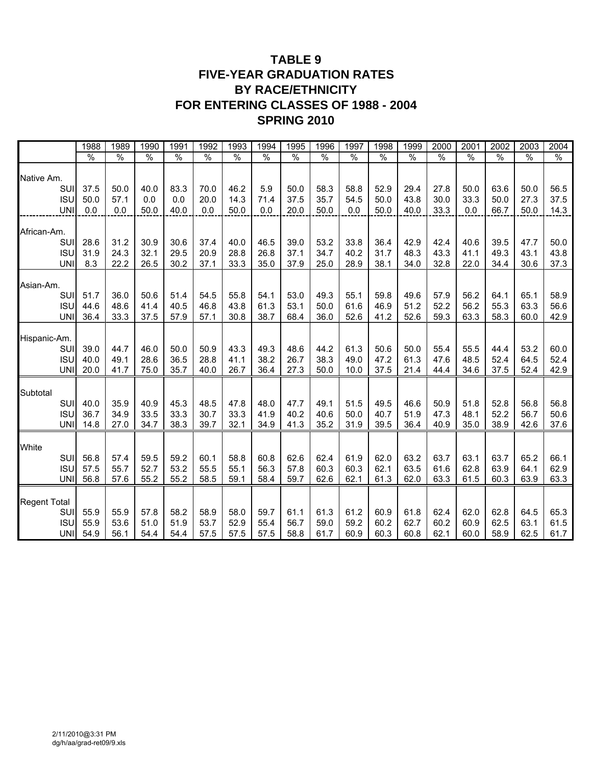## **TABLE 9 FIVE-YEAR GRADUATION RATES BY RACE/ETHNICITY FOR ENTERING CLASSES OF 1988 - 2004 SPRING 2010**

|                           | 1988          | 1989          | 1990          | 1991          | 1992          | 1993          | 1994          | 1995          | 1996 | 1997          | 1998 | 1999          | 2000          | 2001          | 2002 | 2003          | 2004 |
|---------------------------|---------------|---------------|---------------|---------------|---------------|---------------|---------------|---------------|------|---------------|------|---------------|---------------|---------------|------|---------------|------|
|                           | $\frac{0}{6}$ | $\frac{0}{6}$ | $\frac{0}{6}$ | $\frac{0}{6}$ | $\frac{0}{6}$ | $\frac{0}{6}$ | $\frac{0}{6}$ | $\frac{0}{6}$ | %    | $\frac{0}{6}$ | %    | $\frac{0}{0}$ | $\frac{0}{6}$ | $\frac{0}{6}$ | %    | $\frac{0}{6}$ | %    |
| Native Am.                |               |               |               |               |               |               |               |               |      |               |      |               |               |               |      |               |      |
| SU                        | 37.5          | 50.0          | 40.0          | 83.3          | 70.0          | 46.2          | 5.9           | 50.0          | 58.3 | 58.8          | 52.9 | 29.4          | 27.8          | 50.0          | 63.6 | 50.0          | 56.5 |
| <b>ISU</b>                | 50.0          | 57.1          | 0.0           | 0.0           | 20.0          | 14.3          | 71.4          | 37.5          | 35.7 | 54.5          | 50.0 | 43.8          | 30.0          | 33.3          | 50.0 | 27.3          | 37.5 |
| <b>UN</b>                 | 0.0           | 0.0           | 50.0          | 40.0          | 0.0           | 50.0          | 0.0           | 20.0          | 50.0 | 0.0           | 50.0 | 40.0          | 33.3          | 0.0           | 66.7 | 50.0          | 14.3 |
| African-Am.               |               |               |               |               |               |               |               |               |      |               |      |               |               |               |      |               |      |
| SU                        | 28.6          | 31.2          | 30.9          | 30.6          | 37.4          | 40.0          | 46.5          | 39.0          | 53.2 | 33.8          | 36.4 | 42.9          | 42.4          | 40.6          | 39.5 | 47.7          | 50.0 |
| <b>ISU</b>                | 31.9          | 24.3          | 32.1          | 29.5          | 20.9          | 28.8          | 26.8          | 37.1          | 34.7 | 40.2          | 31.7 | 48.3          | 43.3          | 41.1          | 49.3 | 43.1          | 43.8 |
| <b>UN</b>                 | 8.3           | 22.2          | 26.5          | 30.2          | 37.1          | 33.3          | 35.0          | 37.9          | 25.0 | 28.9          | 38.1 | 34.0          | 32.8          | 22.0          | 34.4 | 30.6          | 37.3 |
| Asian-Am.                 |               |               |               |               |               |               |               |               |      |               |      |               |               |               |      |               |      |
| SUI                       | 51.7          | 36.0          | 50.6          | 51.4          | 54.5          | 55.8          | 54.1          | 53.0          | 49.3 | 55.1          | 59.8 | 49.6          | 57.9          | 56.2          | 64.1 | 65.1          | 58.9 |
| <b>ISU</b>                | 44.6          | 48.6          | 41.4          | 40.5          | 46.8          | 43.8          | 61.3          | 53.1          | 50.0 | 61.6          | 46.9 | 51.2          | 52.2          | 56.2          | 55.3 | 63.3          | 56.6 |
| UNI                       | 36.4          | 33.3          | 37.5          | 57.9          | 57.1          | 30.8          | 38.7          | 68.4          | 36.0 | 52.6          | 41.2 | 52.6          | 59.3          | 63.3          | 58.3 | 60.0          | 42.9 |
|                           |               |               |               |               |               |               |               |               |      |               |      |               |               |               |      |               |      |
| Hispanic-Am.<br><b>SU</b> | 39.0          | 44.7          | 46.0          | 50.0          | 50.9          | 43.3          | 49.3          | 48.6          | 44.2 | 61.3          | 50.6 | 50.0          | 55.4          | 55.5          | 44.4 | 53.2          | 60.0 |
| <b>ISU</b>                | 40.0          | 49.1          | 28.6          | 36.5          | 28.8          | 41.1          | 38.2          | 26.7          | 38.3 | 49.0          | 47.2 | 61.3          | 47.6          | 48.5          | 52.4 | 64.5          | 52.4 |
| <b>UNI</b>                | 20.0          | 41.7          | 75.0          | 35.7          | 40.0          | 26.7          | 36.4          | 27.3          | 50.0 | 10.0          | 37.5 | 21.4          | 44.4          | 34.6          | 37.5 | 52.4          | 42.9 |
| Subtotal                  |               |               |               |               |               |               |               |               |      |               |      |               |               |               |      |               |      |
| SU                        | 40.0          | 35.9          | 40.9          | 45.3          | 48.5          | 47.8          | 48.0          | 47.7          | 49.1 | 51.5          | 49.5 | 46.6          | 50.9          | 51.8          | 52.8 | 56.8          | 56.8 |
| <b>ISU</b>                | 36.7          | 34.9          | 33.5          | 33.3          | 30.7          | 33.3          | 41.9          | 40.2          | 40.6 | 50.0          | 40.7 | 51.9          | 47.3          | 48.1          | 52.2 | 56.7          | 50.6 |
| <b>UNI</b>                | 14.8          | 27.0          | 34.7          | 38.3          | 39.7          | 32.1          | 34.9          | 41.3          | 35.2 | 31.9          | 39.5 | 36.4          | 40.9          | 35.0          | 38.9 | 42.6          | 37.6 |
| White                     |               |               |               |               |               |               |               |               |      |               |      |               |               |               |      |               |      |
| SUI                       | 56.8          | 57.4          | 59.5          | 59.2          | 60.1          | 58.8          | 60.8          | 62.6          | 62.4 | 61.9          | 62.0 | 63.2          | 63.7          | 63.1          | 63.7 | 65.2          | 66.1 |
| <b>ISU</b>                | 57.5          | 55.7          | 52.7          | 53.2          | 55.5          | 55.1          | 56.3          | 57.8          | 60.3 | 60.3          | 62.1 | 63.5          | 61.6          | 62.8          | 63.9 | 64.1          | 62.9 |
| <b>UNI</b>                | 56.8          | 57.6          | 55.2          | 55.2          | 58.5          | 59.1          | 58.4          | 59.7          | 62.6 | 62.1          | 61.3 | 62.0          | 63.3          | 61.5          | 60.3 | 63.9          | 63.3 |
| <b>Regent Total</b>       |               |               |               |               |               |               |               |               |      |               |      |               |               |               |      |               |      |
| SUI                       | 55.9          | 55.9          | 57.8          | 58.2          | 58.9          | 58.0          | 59.7          | 61.1          | 61.3 | 61.2          | 60.9 | 61.8          | 62.4          | 62.0          | 62.8 | 64.5          | 65.3 |
| <b>ISU</b>                | 55.9          | 53.6          | 51.0          | 51.9          | 53.7          | 52.9          | 55.4          | 56.7          | 59.0 | 59.2          | 60.2 | 62.7          | 60.2          | 60.9          | 62.5 | 63.1          | 61.5 |
| UNI                       | 54.9          | 56.1          | 54.4          | 54.4          | 57.5          | 57.5          | 57.5          | 58.8          | 61.7 | 60.9          | 60.3 | 60.8          | 62.1          | 60.0          | 58.9 | 62.5          | 61.7 |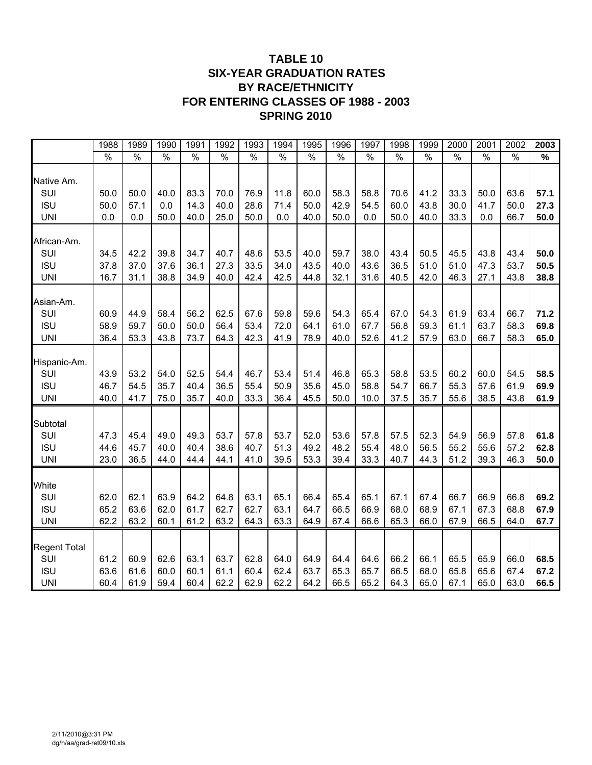## **TABLE 10 SIX-YEAR GRADUATION RATES BY RACE/ETHNICITY FOR ENTERING CLASSES OF 1988 - 2003 SPRING 2010**

|                     | 1988          | 1989          | 1990          | 1991          | 1992          | 1993          | 1994          | 1995          | 1996          | 1997          | 1998          | 1999          | 2000          | 2001          | 2002          | 2003          |
|---------------------|---------------|---------------|---------------|---------------|---------------|---------------|---------------|---------------|---------------|---------------|---------------|---------------|---------------|---------------|---------------|---------------|
|                     | $\frac{1}{2}$ | $\frac{0}{6}$ | $\frac{0}{0}$ | $\frac{0}{0}$ | $\frac{0}{6}$ | $\frac{0}{0}$ | $\frac{0}{0}$ | $\frac{1}{2}$ | $\frac{1}{2}$ | $\frac{1}{6}$ | $\frac{1}{2}$ | $\frac{1}{2}$ | $\frac{1}{2}$ | $\frac{1}{2}$ | $\frac{1}{2}$ | $\frac{9}{6}$ |
| Native Am.          |               |               |               |               |               |               |               |               |               |               |               |               |               |               |               |               |
| SUI                 | 50.0          | 50.0          | 40.0          | 83.3          | 70.0          | 76.9          | 11.8          | 60.0          | 58.3          | 58.8          | 70.6          | 41.2          | 33.3          | 50.0          | 63.6          | 57.1          |
| <b>ISU</b>          | 50.0          | 57.1          | 0.0           | 14.3          | 40.0          | 28.6          | 71.4          | 50.0          | 42.9          | 54.5          | 60.0          | 43.8          | 30.0          | 41.7          | 50.0          | 27.3          |
| <b>UNI</b>          | 0.0           | 0.0           | 50.0          | 40.0          | 25.0          | 50.0          | 0.0           | 40.0          | 50.0          | 0.0           | 50.0          | 40.0          | 33.3          | 0.0           | 66.7          | 50.0          |
|                     |               |               |               |               |               |               |               |               |               |               |               |               |               |               |               |               |
| African-Am.         |               |               |               |               |               |               |               |               |               |               |               |               |               |               |               |               |
| SUI                 | 34.5          | 42.2          | 39.8          | 34.7          | 40.7          | 48.6          | 53.5          | 40.0          | 59.7          | 38.0          | 43.4          | 50.5          | 45.5          | 43.8          | 43.4          | 50.0          |
| <b>ISU</b>          | 37.8          | 37.0          | 37.6          | 36.1          | 27.3          | 33.5          | 34.0          | 43.5          | 40.0          | 43.6          | 36.5          | 51.0          | 51.0          | 47.3          | 53.7          | 50.5          |
| <b>UNI</b>          | 16.7          | 31.1          | 38.8          | 34.9          | 40.0          | 42.4          | 42.5          | 44.8          | 32.1          | 31.6          | 40.5          | 42.0          | 46.3          | 27.1          | 43.8          | 38.8          |
|                     |               |               |               |               |               |               |               |               |               |               |               |               |               |               |               |               |
| Asian-Am.           |               |               |               |               |               |               |               |               |               |               |               |               |               |               |               |               |
| SUI                 | 60.9          | 44.9          | 58.4          | 56.2          | 62.5          | 67.6          | 59.8          | 59.6          | 54.3          | 65.4          | 67.0          | 54.3          | 61.9          | 63.4          | 66.7          | 71.2          |
| <b>ISU</b>          | 58.9          | 59.7          | 50.0          | 50.0          | 56.4          | 53.4          | 72.0          | 64.1          | 61.0          | 67.7          | 56.8          | 59.3          | 61.1          | 63.7          | 58.3          | 69.8          |
| <b>UNI</b>          | 36.4          | 53.3          | 43.8          | 73.7          | 64.3          | 42.3          | 41.9          | 78.9          | 40.0          | 52.6          | 41.2          | 57.9          | 63.0          | 66.7          | 58.3          | 65.0          |
|                     |               |               |               |               |               |               |               |               |               |               |               |               |               |               |               |               |
| Hispanic-Am.        |               |               |               |               |               |               |               |               |               |               |               |               |               |               |               |               |
| SUI                 | 43.9          | 53.2          | 54.0          | 52.5          | 54.4          | 46.7          | 53.4          | 51.4          | 46.8          | 65.3          | 58.8          | 53.5          | 60.2          | 60.0          | 54.5          | 58.5          |
| <b>ISU</b>          | 46.7          | 54.5          | 35.7          | 40.4          | 36.5          | 55.4          | 50.9          | 35.6          | 45.0          | 58.8          | 54.7          | 66.7          | 55.3          | 57.6          | 61.9          | 69.9          |
| <b>UNI</b>          | 40.0          | 41.7          | 75.0          | 35.7          | 40.0          | 33.3          | 36.4          | 45.5          | 50.0          | 10.0          | 37.5          | 35.7          | 55.6          | 38.5          | 43.8          | 61.9          |
|                     |               |               |               |               |               |               |               |               |               |               |               |               |               |               |               |               |
| Subtotal            |               |               |               |               |               |               |               |               |               |               |               |               |               |               |               |               |
| SUI                 | 47.3          | 45.4          | 49.0          | 49.3          | 53.7          | 57.8          | 53.7          | 52.0          | 53.6          | 57.8          | 57.5          | 52.3          | 54.9          | 56.9          | 57.8          | 61.8          |
| <b>ISU</b>          | 44.6          | 45.7          | 40.0          | 40.4          | 38.6          | 40.7          | 51.3          | 49.2          | 48.2          | 55.4          | 48.0          | 56.5          | 55.2          | 55.6          | 57.2          | 62.8          |
| <b>UNI</b>          | 23.0          | 36.5          | 44.0          | 44.4          | 44.1          | 41.0          | 39.5          | 53.3          | 39.4          | 33.3          | 40.7          | 44.3          | 51.2          | 39.3          | 46.3          | 50.0          |
|                     |               |               |               |               |               |               |               |               |               |               |               |               |               |               |               |               |
| White               |               |               |               |               |               |               |               |               |               |               |               |               |               |               |               |               |
| SUI                 | 62.0          | 62.1          | 63.9          | 64.2          | 64.8          | 63.1          | 65.1          | 66.4          | 65.4          | 65.1          | 67.1          | 67.4          | 66.7          | 66.9          | 66.8          | 69.2          |
| <b>ISU</b>          | 65.2          | 63.6          | 62.0          | 61.7          | 62.7          | 62.7          | 63.1          | 64.7          | 66.5          | 66.9          | 68.0          | 68.9          | 67.1          | 67.3          | 68.8          | 67.9          |
| <b>UNI</b>          | 62.2          | 63.2          | 60.1          | 61.2          | 63.2          | 64.3          | 63.3          | 64.9          | 67.4          | 66.6          | 65.3          | 66.0          | 67.9          | 66.5          | 64.0          | 67.7          |
|                     |               |               |               |               |               |               |               |               |               |               |               |               |               |               |               |               |
| <b>Regent Total</b> |               |               |               |               |               |               |               |               |               |               |               |               |               |               |               |               |
| SUI                 | 61.2          | 60.9          | 62.6          | 63.1          | 63.7          | 62.8          | 64.0          | 64.9          | 64.4          | 64.6          | 66.2          | 66.1          | 65.5          | 65.9          | 66.0          | 68.5          |
| <b>ISU</b>          | 63.6          | 61.6          | 60.0          | 60.1          | 61.1          | 60.4          | 62.4          | 63.7          | 65.3          | 65.7          | 66.5          | 68.0          | 65.8          | 65.6          | 67.4          | 67.2          |
| <b>UNI</b>          | 60.4          | 61.9          | 59.4          | 60.4          | 62.2          | 62.9          | 62.2          | 64.2          | 66.5          | 65.2          | 64.3          | 65.0          | 67.1          | 65.0          | 63.0          | 66.5          |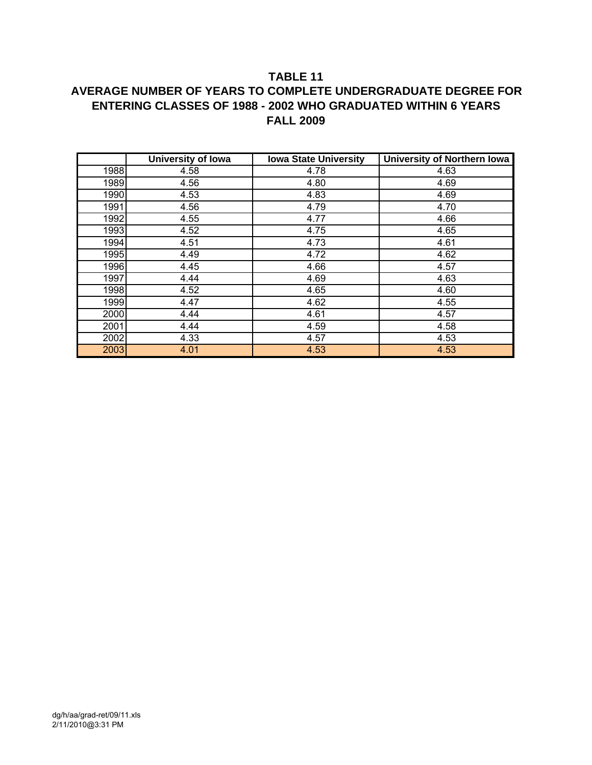## **TABLE 11 AVERAGE NUMBER OF YEARS TO COMPLETE UNDERGRADUATE DEGREE FOR ENTERING CLASSES OF 1988 - 2002 WHO GRADUATED WITHIN 6 YEARS FALL 2009**

|      | <b>University of Iowa</b> | <b>Iowa State University</b> | <b>University of Northern lowa</b> |
|------|---------------------------|------------------------------|------------------------------------|
| 1988 | 4.58                      | 4.78                         | 4.63                               |
| 1989 | 4.56                      | 4.80                         | 4.69                               |
| 1990 | 4.53                      | 4.83                         | 4.69                               |
| 1991 | 4.56                      | 4.79                         | 4.70                               |
| 1992 | 4.55                      | 4.77                         | 4.66                               |
| 1993 | 4.52                      | 4.75                         | 4.65                               |
| 1994 | 4.51                      | 4.73                         | 4.61                               |
| 1995 | 4.49                      | 4.72                         | 4.62                               |
| 1996 | 4.45                      | 4.66                         | 4.57                               |
| 1997 | 4.44                      | 4.69                         | 4.63                               |
| 1998 | 4.52                      | 4.65                         | 4.60                               |
| 1999 | 4.47                      | 4.62                         | 4.55                               |
| 2000 | 4.44                      | 4.61                         | 4.57                               |
| 2001 | 4.44                      | 4.59                         | 4.58                               |
| 2002 | 4.33                      | 4.57                         | 4.53                               |
| 2003 | 4.01                      | 4.53                         | 4.53                               |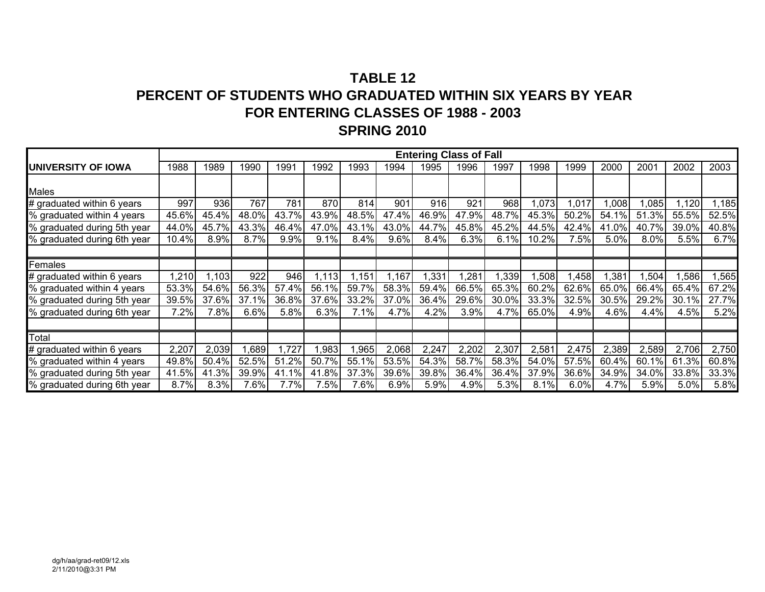## **TABLE 12PERCENT OF STUDENTS WHO GRADUATED WITHIN SIX YEARS BY YEAR FOR ENTERING CLASSES OF 1988 - 2003 SPRING 2010**

|                             |       |       |       |       |       |       |       |       | <b>Entering Class of Fall</b> |       |       |       |       |         |       |       |
|-----------------------------|-------|-------|-------|-------|-------|-------|-------|-------|-------------------------------|-------|-------|-------|-------|---------|-------|-------|
| <b>IUNIVERSITY OF IOWA</b>  | 1988  | 1989  | 1990  | 1991  | 1992  | 1993  | 1994  | 1995  | 1996                          | 1997  | 1998  | 1999  | 2000  | 2001    | 2002  | 2003  |
|                             |       |       |       |       |       |       |       |       |                               |       |       |       |       |         |       |       |
| <b>Males</b>                |       |       |       |       |       |       |       |       |                               |       |       |       |       |         |       |       |
| # graduated within 6 years  | 997   | 936   | 767   | 781   | 870   | 814   | 901   | 916   | 921                           | 968   | ,073  | ,017  | ,008  | ,085    | ,120  | ,185  |
| % graduated within 4 years  | 45.6% | 45.4% | 48.0% | 43.7% | 43.9% | 48.5% | 47.4% | 46.9% | 47.9%                         | 48.7% | 45.3% | 50.2% | 54.1% | 51.3%   | 55.5% | 52.5% |
| % graduated during 5th year | 44.0% | 45.7% | 43.3% | 46.4% | 47.0% | 43.1% | 43.0% | 44.7% | 45.8%                         | 45.2% | 44.5% | 42.4% | 41.0% | 40.7%   | 39.0% | 40.8% |
| % graduated during 6th year | 10.4% | 8.9%  | 8.7%  | 9.9%  | 9.1%  | 8.4%  | 9.6%  | 8.4%  | 6.3%                          | 6.1%  | 10.2% | 7.5%  | 5.0%  | $8.0\%$ | 5.5%  | 6.7%  |
|                             |       |       |       |       |       |       |       |       |                               |       |       |       |       |         |       |       |
| Females                     |       |       |       |       |       |       |       |       |                               |       |       |       |       |         |       |       |
| # graduated within 6 years  | 1,210 | .103  | 922   | 946   | 1,113 | 1,151 | 1,167 | 1,331 | ,281                          | ,339  | ,508  | 1,458 | ,381  | ,504    | ,586  | ,565  |
| % graduated within 4 years  | 53.3% | 54.6% | 56.3% | 57.4% | 56.1% | 59.7% | 58.3% | 59.4% | 66.5%                         | 65.3% | 60.2% | 62.6% | 65.0% | 66.4%   | 65.4% | 67.2% |
| % graduated during 5th year | 39.5% | 37.6% | 37.1% | 36.8% | 37.6% | 33.2% | 37.0% | 36.4% | 29.6%                         | 30.0% | 33.3% | 32.5% | 30.5% | 29.2%   | 30.1% | 27.7% |
| % graduated during 6th year | 7.2%  | 7.8%  | 6.6%  | 5.8%  | 6.3%  | 7.1%  | 4.7%  | 4.2%  | 3.9%                          | 4.7%  | 65.0% | 4.9%  | 4.6%  | 4.4%    | 4.5%  | 5.2%  |
|                             |       |       |       |       |       |       |       |       |                               |       |       |       |       |         |       |       |
| Total                       |       |       |       |       |       |       |       |       |                               |       |       |       |       |         |       |       |
| # graduated within 6 years  | 2,207 | 2,039 | ,689  | 1,727 | ,983  | ,965  | 2,068 | 2,247 | 2,202                         | 2,307 | 2,581 | 2,475 | 2,389 | 2,589   | 2,706 | 2,750 |
| % graduated within 4 years  | 49.8% | 50.4% | 52.5% | 51.2% | 50.7% | 55.1% | 53.5% | 54.3% | 58.7%                         | 58.3% | 54.0% | 57.5% | 60.4% | 60.1%   | 61.3% | 60.8% |
| % graduated during 5th year | 41.5% | 41.3% | 39.9% | 41.1% | 41.8% | 37.3% | 39.6% | 39.8% | 36.4%                         | 36.4% | 37.9% | 36.6% | 34.9% | 34.0%   | 33.8% | 33.3% |
| % graduated during 6th year | 8.7%  | 8.3%  | 7.6%  | 7.7%  | 7.5%  | 7.6%  | 6.9%  | 5.9%  | 4.9%                          | 5.3%  | 8.1%  | 6.0%  | 4.7%  | 5.9%    | 5.0%  | 5.8%  |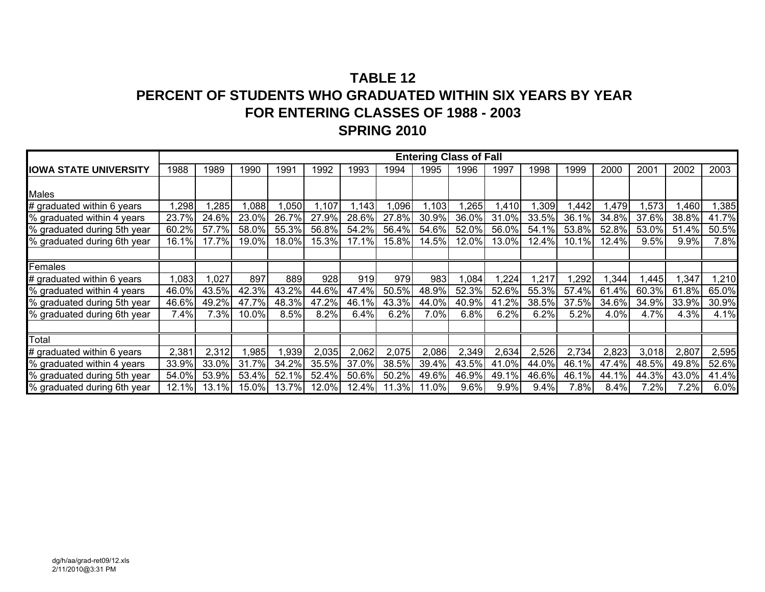## **TABLE 12PERCENT OF STUDENTS WHO GRADUATED WITHIN SIX YEARS BY YEAR FOR ENTERING CLASSES OF 1988 - 2003 SPRING 2010**

|                              |       |       |       |       |       |       |       |       | <b>Entering Class of Fall</b> |       |       |       |       |       |       |       |
|------------------------------|-------|-------|-------|-------|-------|-------|-------|-------|-------------------------------|-------|-------|-------|-------|-------|-------|-------|
| <b>IOWA STATE UNIVERSITY</b> | 1988  | 1989  | 1990  | 1991  | 1992  | 1993  | 1994  | 1995  | 1996                          | 1997  | 1998  | 1999  | 2000  | 2001  | 2002  | 2003  |
|                              |       |       |       |       |       |       |       |       |                               |       |       |       |       |       |       |       |
| <b>Males</b>                 |       |       |       |       |       |       |       |       |                               |       |       |       |       |       |       |       |
| # graduated within 6 years   | ,298  | ,285  | ,088  | 1,050 | ,107  | 1,143 | ,096  | 1,103 | ,265                          | ,410  | 1,309 | ,442  | ,479  | 1,573 | ,460  | ,385  |
| % graduated within 4 years   | 23.7% | 24.6% | 23.0% | 26.7% | 27.9% | 28.6% | 27.8% | 30.9% | 36.0%                         | 31.0% | 33.5% | 36.1% | 34.8% | 37.6% | 38.8% | 41.7% |
| % graduated during 5th year  | 60.2% | 57.7% | 58.0% | 55.3% | 56.8% | 54.2% | 56.4% | 54.6% | 52.0%                         | 56.0% | 54.1% | 53.8% | 52.8% | 53.0% | 51.4% | 50.5% |
| % graduated during 6th year  | 16.1% | 17.7% | 19.0% | 18.0% | 15.3% | 17.1% | 15.8% | 14.5% | 12.0%                         | 13.0% | 12.4% | 10.1% | 12.4% | 9.5%  | 9.9%  | 7.8%  |
|                              |       |       |       |       |       |       |       |       |                               |       |       |       |       |       |       |       |
| Females                      |       |       |       |       |       |       |       |       |                               |       |       |       |       |       |       |       |
| # graduated within 6 years   | 1,083 | ,027  | 897   | 889   | 928   | 919   | 979   | 983   | 1,084                         | ,224  | 1,217 | ,292  | ,344  | ,445  | ,347  | ,210  |
| % graduated within 4 years   | 46.0% | 43.5% | 42.3% | 43.2% | 44.6% | 47.4% | 50.5% | 48.9% | 52.3%                         | 52.6% | 55.3% | 57.4% | 61.4% | 60.3% | 61.8% | 65.0% |
| % graduated during 5th year  | 46.6% | 49.2% | 47.7% | 48.3% | 47.2% | 46.1% | 43.3% | 44.0% | 40.9%                         | 41.2% | 38.5% | 37.5% | 34.6% | 34.9% | 33.9% | 30.9% |
| % graduated during 6th year  | 7.4%  | 7.3%  | 10.0% | 8.5%  | 8.2%  | 6.4%  | 6.2%  | 7.0%  | 6.8%                          | 6.2%  | 6.2%  | 5.2%  | 4.0%  | 4.7%  | 4.3%  | 4.1%  |
|                              |       |       |       |       |       |       |       |       |                               |       |       |       |       |       |       |       |
| Total                        |       |       |       |       |       |       |       |       |                               |       |       |       |       |       |       |       |
| # graduated within 6 years   | 2,381 | 2,312 | ,985  | 1,939 | 2,035 | 2,062 | 2,075 | 2,086 | 2,349                         | 2,634 | 2,526 | 2,734 | 2,823 | 3,018 | 2,807 | 2,595 |
| % graduated within 4 years   | 33.9% | 33.0% | 31.7% | 34.2% | 35.5% | 37.0% | 38.5% | 39.4% | 43.5%                         | 41.0% | 44.0% | 46.1% | 47.4% | 48.5% | 49.8% | 52.6% |
| % graduated during 5th year  | 54.0% | 53.9% | 53.4% | 52.1% | 52.4% | 50.6% | 50.2% | 49.6% | 46.9%                         | 49.1% | 46.6% | 46.1% | 44.1% | 44.3% | 43.0% | 41.4% |
| % graduated during 6th year  | 12.1% | 13.1% | 15.0% | 13.7% | 12.0% | 12.4% | 11.3% | 11.0% | 9.6%                          | 9.9%  | 9.4%  | 7.8%  | 8.4%  | 7.2%  | 7.2%  | 6.0%  |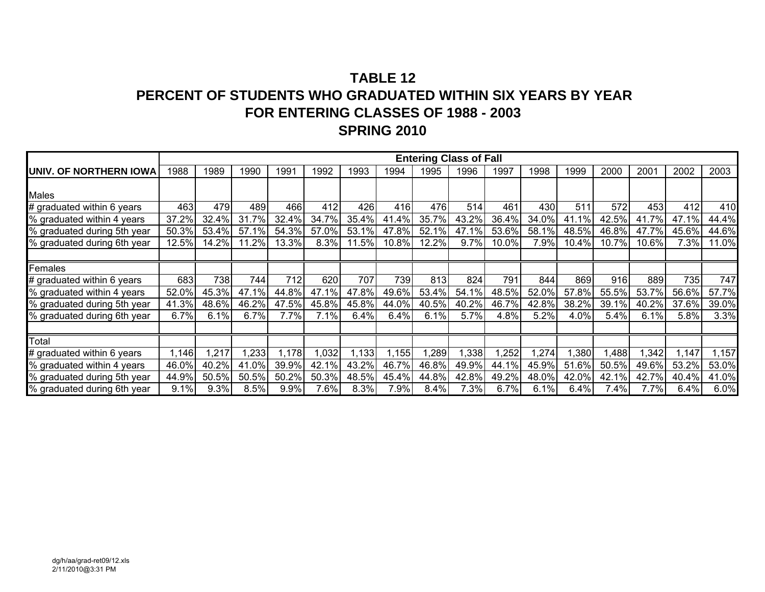## **TABLE 12PERCENT OF STUDENTS WHO GRADUATED WITHIN SIX YEARS BY YEAR FOR ENTERING CLASSES OF 1988 - 2003 SPRING 2010**

|                              |       |       |       |       |       |       |       |       | <b>Entering Class of Fall</b> |       |       |       |       |       |       |       |
|------------------------------|-------|-------|-------|-------|-------|-------|-------|-------|-------------------------------|-------|-------|-------|-------|-------|-------|-------|
| IUNIV. OF NORTHERN IOWA      | 1988  | 1989  | 1990  | 1991  | 1992  | 1993  | 1994  | 1995  | 1996                          | 1997  | 1998  | 1999  | 2000  | 2001  | 2002  | 2003  |
|                              |       |       |       |       |       |       |       |       |                               |       |       |       |       |       |       |       |
| <b>Males</b>                 |       |       |       |       |       |       |       |       |                               |       |       |       |       |       |       |       |
| # graduated within 6 years   | 463   | 479   | 489   | 466   | 412   | 426   | 416   | 476   | 514                           | 461   | 430   | 511   | 572   | 453   | 412   | 410   |
| % graduated within 4 years   | 37.2% | 32.4% | 31.7% | 32.4% | 34.7% | 35.4% | 41.4% | 35.7% | 43.2%                         | 36.4% | 34.0% | 41.1% | 42.5% | 41.7% | 47.1% | 44.4% |
| % graduated during 5th year  | 50.3% | 53.4% | 57.1% | 54.3% | 57.0% | 53.1% | 47.8% | 52.1% | 47.1%                         | 53.6% | 58.1% | 48.5% | 46.8% | 47.7% | 45.6% | 44.6% |
| % graduated during 6th year  | 12.5% | 14.2% | 11.2% | 13.3% | 8.3%  | 11.5% | 10.8% | 12.2% | 9.7%                          | 10.0% | 7.9%  | 10.4% | 10.7% | 10.6% | 7.3%  | 11.0% |
|                              |       |       |       |       |       |       |       |       |                               |       |       |       |       |       |       |       |
| Females                      |       |       |       |       |       |       |       |       |                               |       |       |       |       |       |       |       |
| $#$ graduated within 6 years | 683   | 738   | 744   | 712   | 620   | 707   | 739   | 813   | 824                           | 791   | 844   | 869   | 916   | 889   | 735   | 747   |
| % graduated within 4 years   | 52.0% | 45.3% | 47.1% | 44.8% | 47.1% | 47.8% | 49.6% | 53.4% | 54.1%                         | 48.5% | 52.0% | 57.8% | 55.5% | 53.7% | 56.6% | 57.7% |
| % graduated during 5th year  | 41.3% | 48.6% | 46.2% | 47.5% | 45.8% | 45.8% | 44.0% | 40.5% | 40.2%                         | 46.7% | 42.8% | 38.2% | 39.1% | 40.2% | 37.6% | 39.0% |
| % graduated during 6th year  | 6.7%  | 6.1%  | 6.7%  | 7.7%  | 7.1%  | 6.4%  | 6.4%  | 6.1%  | 5.7%                          | 4.8%  | 5.2%  | 4.0%  | 5.4%  | 6.1%  | 5.8%  | 3.3%  |
|                              |       |       |       |       |       |       |       |       |                               |       |       |       |       |       |       |       |
| Total                        |       |       |       |       |       |       |       |       |                               |       |       |       |       |       |       |       |
| # graduated within 6 years   | 1,146 | ,217  | ,233  | 1,178 | ,032  | 1,133 | 1,155 | ,289  | 1,338                         | ,252  | 1,274 | ,380  | ,488  | 1,342 | 1,147 | 1,157 |
| % graduated within 4 years   | 46.0% | 40.2% | 41.0% | 39.9% | 42.1% | 43.2% | 46.7% | 46.8% | 49.9%                         | 44.1% | 45.9% | 51.6% | 50.5% | 49.6% | 53.2% | 53.0% |
| % graduated during 5th year  | 44.9% | 50.5% | 50.5% | 50.2% | 50.3% | 48.5% | 45.4% | 44.8% | 42.8%                         | 49.2% | 48.0% | 42.0% | 42.1% | 42.7% | 40.4% | 41.0% |
| % graduated during 6th year  | 9.1%  | 9.3%  | 8.5%  | 9.9%  | 7.6%  | 8.3%  | 7.9%  | 8.4%  | 7.3%                          | 6.7%  | 6.1%  | 6.4%  | 7.4%  | 7.7%  | 6.4%  | 6.0%  |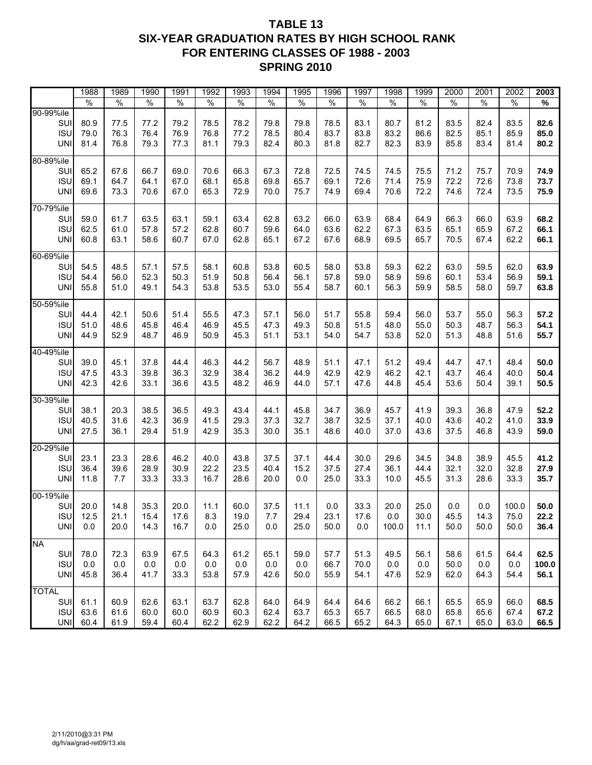### **TABLE 13 SIX-YEAR GRADUATION RATES BY HIGH SCHOOL RANK FOR ENTERING CLASSES OF 1988 - 2003 SPRING 2010**

|                          | 1988          | 1989          | 1990          | 1991          | 1992          | 1993          | 1994         | 1995          | 1996          | 1997          | 1998          | 1999          | 2000          | 2001          | 2002          | 2003         |
|--------------------------|---------------|---------------|---------------|---------------|---------------|---------------|--------------|---------------|---------------|---------------|---------------|---------------|---------------|---------------|---------------|--------------|
|                          | $\frac{0}{0}$ | $\frac{1}{2}$ | $\frac{1}{6}$ | $\frac{0}{6}$ | $\frac{9}{6}$ | $\frac{1}{2}$ | $\%$         | $\frac{9}{6}$ | $\frac{9}{6}$ | $\frac{9}{6}$ | $\frac{0}{6}$ | $\frac{0}{0}$ | $\frac{1}{6}$ | $\frac{1}{6}$ | $\frac{9}{6}$ | %            |
| 90-99%ile                |               |               |               |               |               |               |              |               |               |               |               |               |               |               |               |              |
| SUI                      | 80.9          | 77.5          | 77.2          | 79.2          | 78.5          | 78.2          | 79.8         | 79.8          | 78.5          | 83.1          | 80.7          | 81.2          | 83.5          | 82.4          | 83.5          | 82.6         |
| <b>ISU</b>               | 79.0          | 76.3          | 76.4          | 76.9          | 76.8          | 77.2          | 78.5         | 80.4          | 83.7          | 83.8          | 83.2          | 86.6          | 82.5          | 85.1          | 85.9          | 85.0         |
| <b>UNI</b>               | 81.4          | 76.8          | 79.3          | 77.3          | 81.1          | 79.3          | 82.4         | 80.3          | 81.8          | 82.7          | 82.3          | 83.9          | 85.8          | 83.4          | 81.4          | 80.2         |
| 80-89%ile                |               |               |               |               |               |               |              |               |               |               |               |               |               |               |               |              |
| SUI                      | 65.2          | 67.6          | 66.7          | 69.0          | 70.6          | 66.3          | 67.3         | 72.8          | 72.5          | 74.5          | 74.5          | 75.5          | 71.2          | 75.7          | 70.9          | 74.9         |
| <b>ISU</b>               | 69.1          | 64.7          | 64.1          | 67.0          | 68.1          | 65.8          | 69.8         | 65.7          | 69.1          | 72.6          | 71.4          | 75.9          | 72.2          | 72.6          | 73.8          | 73.7         |
| <b>UNI</b>               | 69.6          | 73.3          | 70.6          | 67.0          | 65.3          | 72.9          | 70.0         | 75.7          | 74.9          | 69.4          | 70.6          | 72.2          | 74.6          | 72.4          | 73.5          | 75.9         |
| 70-79%ile                |               |               |               |               |               |               |              |               |               |               |               |               |               |               |               |              |
| <b>SUI</b>               | 59.0          | 61.7          | 63.5          | 63.1          | 59.1          | 63.4          | 62.8         | 63.2          | 66.0          | 63.9          | 68.4          | 64.9          | 66.3          | 66.0          | 63.9          | 68.2         |
| <b>ISU</b>               | 62.5          | 61.0          | 57.8          | 57.2          | 62.8          | 60.7          | 59.6         | 64.0          | 63.6          | 62.2          | 67.3          | 63.5          | 65.1          | 65.9          | 67.2          | 66.1         |
| <b>UNI</b>               | 60.8          | 63.1          | 58.6          | 60.7          | 67.0          | 62.8          | 65.1         | 67.2          | 67.6          | 68.9          | 69.5          | 65.7          | 70.5          | 67.4          | 62.2          | 66.1         |
| 60-69%ile                |               |               |               |               |               |               |              |               |               |               |               |               |               |               |               |              |
| SUI                      | 54.5          | 48.5          | 57.1          | 57.5          | 58.1          | 60.8          | 53.8         | 60.5          | 58.0          | 53.8          | 59.3          | 62.2          | 63.0          | 59.5          | 62.0          | 63.9         |
| <b>ISU</b>               | 54.4          | 56.0          | 52.3          | 50.3          | 51.9          | 50.8          | 56.4         | 56.1          | 57.8          | 59.0          | 58.9          | 59.6          | 60.1          | 53.4          | 56.9          | 59.1         |
| <b>UNI</b>               | 55.8          | 51.0          | 49.1          | 54.3          | 53.8          | 53.5          | 53.0         | 55.4          | 58.7          | 60.1          | 56.3          | 59.9          | 58.5          | 58.0          | 59.7          | 63.8         |
| 50-59%ile                |               |               |               |               |               |               |              |               |               |               |               |               |               |               |               |              |
| SUI                      | 44.4          | 42.1          | 50.6          | 51.4          | 55.5          | 47.3          | 57.1         | 56.0          | 51.7          | 55.8          | 59.4          | 56.0          | 53.7          | 55.0          | 56.3          | 57.2         |
| <b>ISU</b>               | 51.0          | 48.6          | 45.8          | 46.4          | 46.9          | 45.5          | 47.3         | 49.3          | 50.8          | 51.5          | 48.0          | 55.0          | 50.3          | 48.7          | 56.3          | 54.1         |
| <b>UNI</b>               | 44.9          | 52.9          | 48.7          | 46.9          | 50.9          | 45.3          | 51.1         | 53.1          | 54.0          | 54.7          | 53.8          | 52.0          | 51.3          | 48.8          | 51.6          | 55.7         |
| 40-49%ile                |               |               |               |               |               |               |              |               |               |               |               |               |               |               |               |              |
| <b>SUI</b>               | 39.0          | 45.1          | 37.8          | 44.4          | 46.3          | 44.2          | 56.7         | 48.9          | 51.1          | 47.1          | 51.2          | 49.4          | 44.7          | 47.1          | 48.4          | 50.0         |
| <b>ISU</b>               | 47.5          | 43.3          | 39.8          | 36.3          | 32.9          | 38.4          | 36.2         | 44.9          | 42.9          | 42.9          | 46.2          | 42.1          | 43.7          | 46.4          | 40.0          | 50.4         |
| <b>UNI</b>               | 42.3          | 42.6          | 33.1          | 36.6          | 43.5          | 48.2          | 46.9         | 44.0          | 57.1          | 47.6          | 44.8          | 45.4          | 53.6          | 50.4          | 39.1          | 50.5         |
|                          |               |               |               |               |               |               |              |               |               |               |               |               |               |               |               |              |
| 30-39%ile                |               |               |               |               |               |               |              |               |               |               |               |               |               |               |               |              |
| <b>SUI</b>               | 38.1          | 20.3          | 38.5          | 36.5<br>36.9  | 49.3          | 43.4          | 44.1         | 45.8          | 34.7          | 36.9<br>32.5  | 45.7          | 41.9          | 39.3<br>43.6  | 36.8          | 47.9          | 52.2         |
| <b>ISU</b><br><b>UNI</b> | 40.5<br>27.5  | 31.6<br>36.1  | 42.3<br>29.4  | 51.9          | 41.5<br>42.9  | 29.3<br>35.3  | 37.3<br>30.0 | 32.7<br>35.1  | 38.7<br>48.6  | 40.0          | 37.1<br>37.0  | 40.0<br>43.6  | 37.5          | 40.2<br>46.8  | 41.0<br>43.9  | 33.9<br>59.0 |
|                          |               |               |               |               |               |               |              |               |               |               |               |               |               |               |               |              |
| 20-29%ile                |               |               |               |               |               |               |              |               |               |               |               |               |               |               |               |              |
| SUI                      | 23.1          | 23.3          | 28.6          | 46.2          | 40.0          | 43.8          | 37.5         | 37.1          | 44.4          | 30.0          | 29.6          | 34.5          | 34.8          | 38.9          | 45.5          | 41.2         |
| <b>ISU</b>               | 36.4          | 39.6          | 28.9          | 30.9          | 22.2          | 23.5          | 40.4         | 15.2          | 37.5          | 27.4          | 36.1          | 44.4          | 32.1          | 32.0          | 32.8          | 27.9         |
| <b>UNI</b>               | 11.8          | 7.7           | 33.3          | 33.3          | 16.7          | 28.6          | 20.0         | 0.0           | 25.0          | 33.3          | 10.0          | 45.5          | 31.3          | 28.6          | 33.3          | 35.7         |
| 00-19%ile                |               |               |               |               |               |               |              |               |               |               |               |               |               |               |               |              |
| SUI                      | 20.0          | 14.8          | 35.3          | 20.0          | 11.1          | 60.0          | 37.5         | 11.1          | 0.0           | 33.3          | 20.0          | 25.0          | $0.0\,$       | $0.0\,$       | 100.0         | 50.0         |
| <b>ISU</b>               | 12.5          | 21.1          | 15.4          | 17.6          | 8.3           | 19.0          | 7.7          | 29.4          | 23.1          | 17.6          | 0.0           | 30.0          | 45.5          | 14.3          | 75.0          | 22.2         |
| <b>UNI</b>               | 0.0           | 20.0          | 14.3          | 16.7          | 0.0           | 25.0          | 0.0          | 25.0          | 50.0          | 0.0           | 100.0         | 11.1          | 50.0          | 50.0          | 50.0          | 36.4         |
| <b>NA</b>                |               |               |               |               |               |               |              |               |               |               |               |               |               |               |               |              |
| SUI                      | 78.0          | 72.3          | 63.9          | 67.5          | 64.3          | 61.2          | 65.1         | 59.0          | 57.7          | 51.3          | 49.5          | 56.1          | 58.6          | 61.5          | 64.4          | 62.5         |
| <b>ISU</b>               | 0.0           | 0.0           | 0.0           | 0.0           | 0.0           | 0.0           | 0.0          | 0.0           | 66.7          | 70.0          | 0.0           | 0.0           | 50.0          | 0.0           | 0.0           | 100.0        |
| <b>UNI</b>               | 45.8          | 36.4          | 41.7          | 33.3          | 53.8          | 57.9          | 42.6         | 50.0          | 55.9          | 54.1          | 47.6          | 52.9          | 62.0          | 64.3          | 54.4          | 56.1         |
| <b>TOTAL</b>             |               |               |               |               |               |               |              |               |               |               |               |               |               |               |               |              |
| SUI                      | 61.1          | 60.9          | 62.6          | 63.1          | 63.7          | 62.8          | 64.0         | 64.9          | 64.4          | 64.6          | 66.2          | 66.1          | 65.5          | 65.9          | 66.0          | 68.5         |
| <b>ISU</b>               | 63.6          | 61.6          | 60.0          | 60.0          | 60.9          | 60.3          | 62.4         | 63.7          | 65.3          | 65.7          | 66.5          | 68.0          | 65.8          | 65.6          | 67.4          | 67.2         |
| <b>UNI</b>               | 60.4          | 61.9          | 59.4          | 60.4          | 62.2          | 62.9          | 62.2         | 64.2          | 66.5          | 65.2          | 64.3          | 65.0          | 67.1          | 65.0          | 63.0          | 66.5         |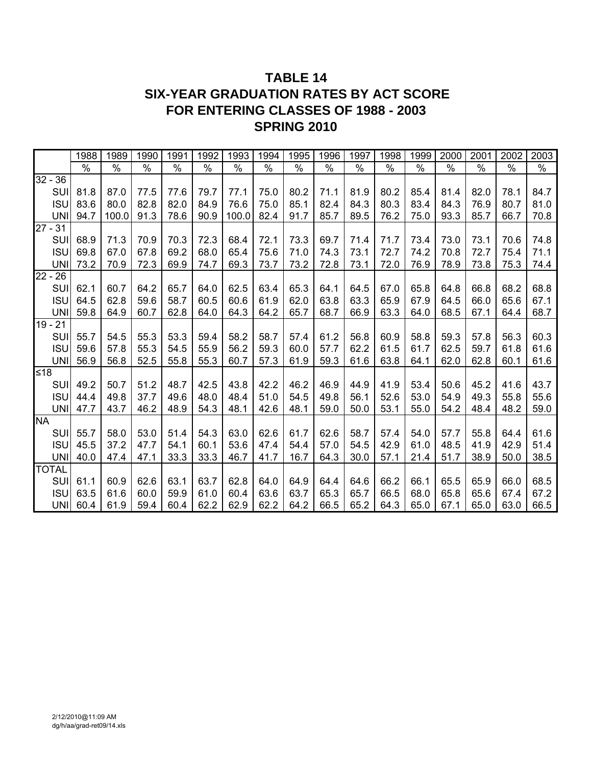## **TABLE 14 SIX-YEAR GRADUATION RATES BY ACT SCORE FOR ENTERING CLASSES OF 1988 - 2003 SPRING 2010**

|              |            | 1988 | 1989  | 1990 | 1991 | 1992 | 1993  | 1994 | 1995 | 1996 | 1997 | 1998 | 1999 | 2000 | 2001 | 2002 | 2003 |
|--------------|------------|------|-------|------|------|------|-------|------|------|------|------|------|------|------|------|------|------|
|              |            | $\%$ | $\%$  | $\%$ | $\%$ | $\%$ | $\%$  | $\%$ | $\%$ | $\%$ | $\%$ | $\%$ | $\%$ | $\%$ | $\%$ | $\%$ | $\%$ |
| $32 - 36$    |            |      |       |      |      |      |       |      |      |      |      |      |      |      |      |      |      |
| SUI          |            | 81.8 | 87.0  | 77.5 | 77.6 | 79.7 | 77.1  | 75.0 | 80.2 | 71.1 | 81.9 | 80.2 | 85.4 | 81.4 | 82.0 | 78.1 | 84.7 |
| <b>ISU</b>   |            | 83.6 | 80.0  | 82.8 | 82.0 | 84.9 | 76.6  | 75.0 | 85.1 | 82.4 | 84.3 | 80.3 | 83.4 | 84.3 | 76.9 | 80.7 | 81.0 |
| <b>UNI</b>   |            | 94.7 | 100.0 | 91.3 | 78.6 | 90.9 | 100.0 | 82.4 | 91.7 | 85.7 | 89.5 | 76.2 | 75.0 | 93.3 | 85.7 | 66.7 | 70.8 |
| $27 - 31$    |            |      |       |      |      |      |       |      |      |      |      |      |      |      |      |      |      |
| SUI          |            | 68.9 | 71.3  | 70.9 | 70.3 | 72.3 | 68.4  | 72.1 | 73.3 | 69.7 | 71.4 | 71.7 | 73.4 | 73.0 | 73.1 | 70.6 | 74.8 |
| <b>ISU</b>   |            | 69.8 | 67.0  | 67.8 | 69.2 | 68.0 | 65.4  | 75.6 | 71.0 | 74.3 | 73.1 | 72.7 | 74.2 | 70.8 | 72.7 | 75.4 | 71.1 |
| <b>UNI</b>   |            | 73.2 | 70.9  | 72.3 | 69.9 | 74.7 | 69.3  | 73.7 | 73.2 | 72.8 | 73.1 | 72.0 | 76.9 | 78.9 | 73.8 | 75.3 | 74.4 |
| $22 - 26$    |            |      |       |      |      |      |       |      |      |      |      |      |      |      |      |      |      |
| SUI          |            | 62.1 | 60.7  | 64.2 | 65.7 | 64.0 | 62.5  | 63.4 | 65.3 | 64.1 | 64.5 | 67.0 | 65.8 | 64.8 | 66.8 | 68.2 | 68.8 |
| <b>ISU</b>   |            | 64.5 | 62.8  | 59.6 | 58.7 | 60.5 | 60.6  | 61.9 | 62.0 | 63.8 | 63.3 | 65.9 | 67.9 | 64.5 | 66.0 | 65.6 | 67.1 |
| <b>UNI</b>   |            | 59.8 | 64.9  | 60.7 | 62.8 | 64.0 | 64.3  | 64.2 | 65.7 | 68.7 | 66.9 | 63.3 | 64.0 | 68.5 | 67.1 | 64.4 | 68.7 |
| $19 - 21$    |            |      |       |      |      |      |       |      |      |      |      |      |      |      |      |      |      |
| SU           |            | 55.7 | 54.5  | 55.3 | 53.3 | 59.4 | 58.2  | 58.7 | 57.4 | 61.2 | 56.8 | 60.9 | 58.8 | 59.3 | 57.8 | 56.3 | 60.3 |
| <b>ISU</b>   |            | 59.6 | 57.8  | 55.3 | 54.5 | 55.9 | 56.2  | 59.3 | 60.0 | 57.7 | 62.2 | 61.5 | 61.7 | 62.5 | 59.7 | 61.8 | 61.6 |
| <b>UNI</b>   |            | 56.9 | 56.8  | 52.5 | 55.8 | 55.3 | 60.7  | 57.3 | 61.9 | 59.3 | 61.6 | 63.8 | 64.1 | 62.0 | 62.8 | 60.1 | 61.6 |
| ≤18          |            |      |       |      |      |      |       |      |      |      |      |      |      |      |      |      |      |
| SUI          |            | 49.2 | 50.7  | 51.2 | 48.7 | 42.5 | 43.8  | 42.2 | 46.2 | 46.9 | 44.9 | 41.9 | 53.4 | 50.6 | 45.2 | 41.6 | 43.7 |
| <b>ISU</b>   |            | 44.4 | 49.8  | 37.7 | 49.6 | 48.0 | 48.4  | 51.0 | 54.5 | 49.8 | 56.1 | 52.6 | 53.0 | 54.9 | 49.3 | 55.8 | 55.6 |
| <b>UNI</b>   |            | 47.7 | 43.7  | 46.2 | 48.9 | 54.3 | 48.1  | 42.6 | 48.1 | 59.0 | 50.0 | 53.1 | 55.0 | 54.2 | 48.4 | 48.2 | 59.0 |
| <b>NA</b>    |            |      |       |      |      |      |       |      |      |      |      |      |      |      |      |      |      |
| SUI          |            | 55.7 | 58.0  | 53.0 | 51.4 | 54.3 | 63.0  | 62.6 | 61.7 | 62.6 | 58.7 | 57.4 | 54.0 | 57.7 | 55.8 | 64.4 | 61.6 |
| <b>ISU</b>   |            | 45.5 | 37.2  | 47.7 | 54.1 | 60.1 | 53.6  | 47.4 | 54.4 | 57.0 | 54.5 | 42.9 | 61.0 | 48.5 | 41.9 | 42.9 | 51.4 |
| <b>UNI</b>   |            | 40.0 | 47.4  | 47.1 | 33.3 | 33.3 | 46.7  | 41.7 | 16.7 | 64.3 | 30.0 | 57.1 | 21.4 | 51.7 | 38.9 | 50.0 | 38.5 |
| <b>TOTAL</b> |            |      |       |      |      |      |       |      |      |      |      |      |      |      |      |      |      |
| SUI          |            | 61.1 | 60.9  | 62.6 | 63.1 | 63.7 | 62.8  | 64.0 | 64.9 | 64.4 | 64.6 | 66.2 | 66.1 | 65.5 | 65.9 | 66.0 | 68.5 |
| <b>ISU</b>   |            | 63.5 | 61.6  | 60.0 | 59.9 | 61.0 | 60.4  | 63.6 | 63.7 | 65.3 | 65.7 | 66.5 | 68.0 | 65.8 | 65.6 | 67.4 | 67.2 |
|              | <b>UNI</b> | 60.4 | 61.9  | 59.4 | 60.4 | 62.2 | 62.9  | 62.2 | 64.2 | 66.5 | 65.2 | 64.3 | 65.0 | 67.1 | 65.0 | 63.0 | 66.5 |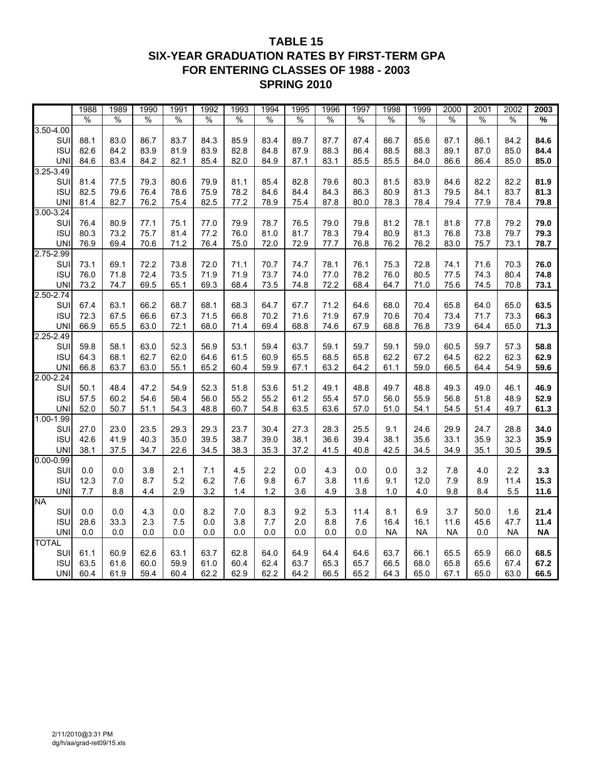## **TABLE 15 SIX-YEAR GRADUATION RATES BY FIRST-TERM GPA FOR ENTERING CLASSES OF 1988 - 2003 SPRING 2010**

|                      | 1988          | 1989         | 1990         | 1991          | 1992 | 1993          | 1994          | 1995         | 1996 | 1997 | 1998          | 1999      | 2000 | 2001 | 2002         | 2003          |
|----------------------|---------------|--------------|--------------|---------------|------|---------------|---------------|--------------|------|------|---------------|-----------|------|------|--------------|---------------|
|                      | $\frac{0}{0}$ | $\%$         | %            | $\frac{0}{0}$ | $\%$ | $\frac{0}{0}$ | $\frac{0}{0}$ | %            | %    | %    | $\frac{0}{0}$ | %         | %    | %    | $\%$         | $\frac{9}{6}$ |
| $3.50 - 4.00$        |               |              |              |               |      |               |               |              |      |      |               |           |      |      |              |               |
| SUI                  | 88.1          | 83.0         | 86.7         | 83.7          | 84.3 | 85.9          | 83.4          | 89.7         | 87.7 | 87.4 | 86.7          | 85.6      | 87.1 | 86.1 | 84.2         | 84.6          |
| <b>ISU</b>           | 82.6          | 84.2         | 83.9         | 81.9          | 83.9 | 82.8          | 84.8          | 87.9         | 88.3 | 86.4 | 88.5          | 88.3      | 89.1 | 87.0 | 85.0         | 84.4          |
| <b>UNI</b>           | 84.6          | 83.4         | 84.2         | 82.1          | 85.4 | 82.0          | 84.9          | 87.1         | 83.1 | 85.5 | 85.5          | 84.0      | 86.6 | 86.4 | 85.0         | 85.0          |
| 3.25-3.49            |               |              |              |               |      |               |               |              |      |      |               |           |      |      |              |               |
| SUI                  | 81.4          | 77.5         | 79.3         | 80.6          | 79.9 | 81.1          | 85.4          | 82.8         | 79.6 | 80.3 | 81.5          | 83.9      | 84.6 | 82.2 | 82.2         | 81.9          |
| <b>ISU</b>           | 82.5          | 79.6         | 76.4         | 78.6          | 75.9 | 78.2          | 84.6          | 84.4         | 84.3 | 86.3 | 80.9          | 81.3      | 79.5 | 84.1 | 83.7         | 81.3          |
| <b>UN</b>            | 81.4          | 82.7         | 76.2         | 75.4          | 82.5 | 77.2          | 78.9          | 75.4         | 87.8 | 80.0 | 78.3          | 78.4      | 79.4 | 77.9 | 78.4         | 79.8          |
| 3.00-3.24            |               |              |              |               |      |               |               |              |      |      |               |           |      |      |              |               |
| SUI                  | 76.4          | 80.9         | 77.1         | 75.1          | 77.0 | 79.9          | 78.7          | 76.5         | 79.0 | 79.8 | 81.2          | 78.1      | 81.8 | 77.8 | 79.2         | 79.0          |
| <b>ISU</b>           | 80.3          | 73.2         | 75.7         | 81.4          | 77.2 | 76.0          | 81.0          | 81.7         | 78.3 | 79.4 | 80.9          | 81.3      | 76.8 | 73.8 | 79.7         | 79.3          |
| <b>UN</b>            | 76.9          | 69.4         | 70.6         | 71.2          | 76.4 | 75.0          | 72.0          | 72.9         | 77.7 | 76.8 | 76.2          | 76.2      | 83.0 | 75.7 | 73.1         | 78.7          |
| 2.75-2.99            |               |              |              |               |      |               |               |              |      |      |               |           |      |      |              |               |
| SUI                  | 73.1          | 69.1         | 72.2         | 73.8          | 72.0 | 71.1          | 70.7          | 74.7         | 78.1 | 76.1 | 75.3          | 72.8      | 74.1 | 71.6 | 70.3         | 76.0          |
| <b>ISU</b>           | 76.0          | 71.8         | 72.4         | 73.5          | 71.9 | 71.9          | 73.7          | 74.0         | 77.0 | 78.2 | 76.0          | 80.5      | 77.5 | 74.3 | 80.4         | 74.8          |
| <b>UN</b>            | 73.2          | 74.7         | 69.5         | 65.1          | 69.3 | 68.4          | 73.5          | 74.8         | 72.2 | 68.4 | 64.7          | 71.0      | 75.6 | 74.5 | 70.8         | 73.1          |
| $2.50 - 2.74$<br>SUI |               |              |              | 68.7          | 68.1 | 68.3          | 64.7          |              | 71.2 | 64.6 | 68.0          | 70.4      | 65.8 | 64.0 |              | 63.5          |
| <b>ISU</b>           | 67.4<br>72.3  | 63.1<br>67.5 | 66.2<br>66.6 | 67.3          | 71.5 | 66.8          | 70.2          | 67.7<br>71.6 | 71.9 | 67.9 | 70.6          | 70.4      | 73.4 | 71.7 | 65.0<br>73.3 | 66.3          |
| <b>UN</b>            | 66.9          | 65.5         | 63.0         | 72.1          | 68.0 | 71.4          | 69.4          | 68.8         | 74.6 | 67.9 | 68.8          | 76.8      | 73.9 | 64.4 | 65.0         | 71.3          |
| $2.25 - 2.49$        |               |              |              |               |      |               |               |              |      |      |               |           |      |      |              |               |
| SUI                  | 59.8          | 58.1         | 63.0         | 52.3          | 56.9 | 53.1          | 59.4          | 63.7         | 59.1 | 59.7 | 59.1          | 59.0      | 60.5 | 59.7 | 57.3         | 58.8          |
| <b>ISU</b>           | 64.3          | 68.1         | 62.7         | 62.0          | 64.6 | 61.5          | 60.9          | 65.5         | 68.5 | 65.8 | 62.2          | 67.2      | 64.5 | 62.2 | 62.3         | 62.9          |
| <b>UN</b>            | 66.8          | 63.7         | 63.0         | 55.1          | 65.2 | 60.4          | 59.9          | 67.1         | 63.2 | 64.2 | 61.1          | 59.0      | 66.5 | 64.4 | 54.9         | 59.6          |
| $2.00 - 2.24$        |               |              |              |               |      |               |               |              |      |      |               |           |      |      |              |               |
| SUI                  | 50.1          | 48.4         | 47.2         | 54.9          | 52.3 | 51.8          | 53.6          | 51.2         | 49.1 | 48.8 | 49.7          | 48.8      | 49.3 | 49.0 | 46.1         | 46.9          |
| <b>ISU</b>           | 57.5          | 60.2         | 54.6         | 56.4          | 56.0 | 55.2          | 55.2          | 61.2         | 55.4 | 57.0 | 56.0          | 55.9      | 56.8 | 51.8 | 48.9         | 52.9          |
| <b>UNI</b>           | 52.0          | 50.7         | 51.1         | 54.3          | 48.8 | 60.7          | 54.8          | 63.5         | 63.6 | 57.0 | 51.0          | 54.1      | 54.5 | 51.4 | 49.7         | 61.3          |
| 1.00-1.99            |               |              |              |               |      |               |               |              |      |      |               |           |      |      |              |               |
| SUI                  | 27.0          | 23.0         | 23.5         | 29.3          | 29.3 | 23.7          | 30.4          | 27.3         | 28.3 | 25.5 | 9.1           | 24.6      | 29.9 | 24.7 | 28.8         | 34.0          |
| <b>ISU</b>           | 42.6          | 41.9         | 40.3         | 35.0          | 39.5 | 38.7          | 39.0          | 38.1         | 36.6 | 39.4 | 38.1          | 35.6      | 33.1 | 35.9 | 32.3         | 35.9          |
| <b>UNI</b>           | 38.1          | 37.5         | 34.7         | 22.6          | 34.5 | 38.3          | 35.3          | 37.2         | 41.5 | 40.8 | 42.5          | 34.5      | 34.9 | 35.1 | 30.5         | 39.5          |
| $0.00 - 0.99$        |               |              |              |               |      |               |               |              |      |      |               |           |      |      |              |               |
| SUI                  | 0.0           | 0.0          | 3.8          | 2.1           | 7.1  | 4.5           | 2.2           | 0.0          | 4.3  | 0.0  | 0.0           | 3.2       | 7.8  | 4.0  | 2.2          | 3.3           |
| <b>ISU</b>           | 12.3          | 7.0          | 8.7          | 5.2           | 6.2  | 7.6           | 9.8           | 6.7          | 3.8  | 11.6 | 9.1           | 12.0      | 7.9  | 8.9  | 11.4         | 15.3          |
| <b>UNI</b>           | 7.7           | 8.8          | 4.4          | 2.9           | 3.2  | 1.4           | 1.2           | 3.6          | 4.9  | 3.8  | 1.0           | 4.0       | 9.8  | 8.4  | 5.5          | 11.6          |
| <b>NA</b>            |               |              |              |               |      |               |               |              |      |      |               |           |      |      |              |               |
| SUI                  | 0.0           | 0.0          | 4.3          | 0.0           | 8.2  | 7.0           | 8.3           | 9.2          | 5.3  | 11.4 | 8.1           | 6.9       | 3.7  | 50.0 | 1.6          | 21.4          |
| <b>ISU</b>           | 28.6          | 33.3         | 2.3          | 7.5           | 0.0  | 3.8           | 7.7           | 2.0          | 8.8  | 7.6  | 16.4          | 16.1      | 11.6 | 45.6 | 47.7         | 11.4          |
| <b>UNI</b>           | 0.0           | 0.0          | 0.0          | 0.0           | 0.0  | 0.0           | 0.0           | 0.0          | 0.0  | 0.0  | <b>NA</b>     | <b>NA</b> | NA   | 0.0  | NA           | <b>NA</b>     |
| <b>TOTAL</b>         |               |              |              |               |      |               |               |              |      |      |               |           |      |      |              |               |
| SUI                  | 61.1          | 60.9         | 62.6         | 63.1          | 63.7 | 62.8          | 64.0          | 64.9         | 64.4 | 64.6 | 63.7          | 66.1      | 65.5 | 65.9 | 66.0         | 68.5          |
| <b>ISU</b>           | 63.5          | 61.6         | 60.0         | 59.9          | 61.0 | 60.4          | 62.4          | 63.7         | 65.3 | 65.7 | 66.5          | 68.0      | 65.8 | 65.6 | 67.4         | 67.2          |
| <b>UNI</b>           | 60.4          | 61.9         | 59.4         | 60.4          | 62.2 | 62.9          | 62.2          | 64.2         | 66.5 | 65.2 | 64.3          | 65.0      | 67.1 | 65.0 | 63.0         | 66.5          |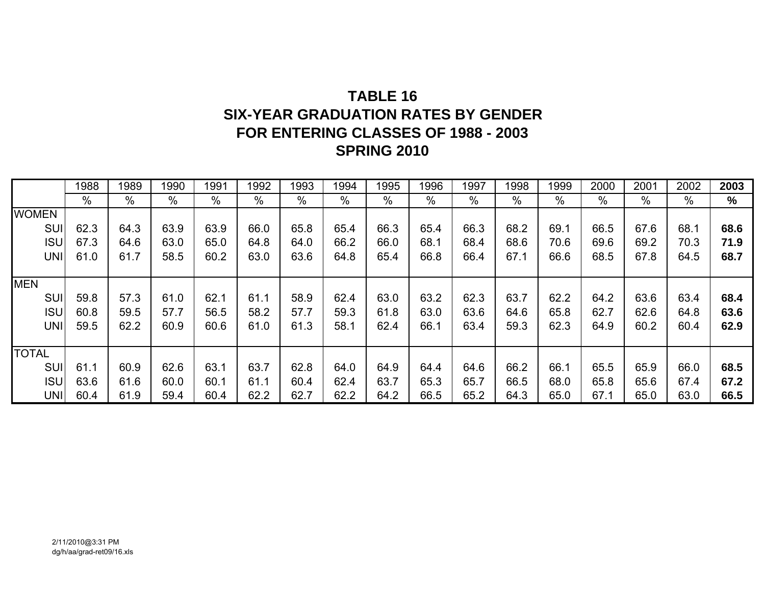# **TABLE 16SIX-YEAR GRADUATION RATES BY GENDERFOR ENTERING CLASSES OF 1988 - 2003 SPRING 2010**

|              | 1988 | 1989 | 1990 | 1991 | 1992 | 1993 | 1994          | 1995 | 1996 | 1997 | 1998 | 1999 | 2000          | 2001 | 2002 | 2003          |
|--------------|------|------|------|------|------|------|---------------|------|------|------|------|------|---------------|------|------|---------------|
|              | $\%$ | %    | %    | %    | %    | $\%$ | $\frac{0}{0}$ | $\%$ | %    | %    | %    | $\%$ | $\frac{0}{0}$ | %    | %    | $\frac{9}{6}$ |
| <b>WOMEN</b> |      |      |      |      |      |      |               |      |      |      |      |      |               |      |      |               |
| SUI          | 62.3 | 64.3 | 63.9 | 63.9 | 66.0 | 65.8 | 65.4          | 66.3 | 65.4 | 66.3 | 68.2 | 69.1 | 66.5          | 67.6 | 68.1 | 68.6          |
| <b>ISU</b>   | 67.3 | 64.6 | 63.0 | 65.0 | 64.8 | 64.0 | 66.2          | 66.0 | 68.1 | 68.4 | 68.6 | 70.6 | 69.6          | 69.2 | 70.3 | 71.9          |
| <b>UNI</b>   | 61.0 | 61.7 | 58.5 | 60.2 | 63.0 | 63.6 | 64.8          | 65.4 | 66.8 | 66.4 | 67.1 | 66.6 | 68.5          | 67.8 | 64.5 | 68.7          |
|              |      |      |      |      |      |      |               |      |      |      |      |      |               |      |      |               |
| <b>MEN</b>   |      |      |      |      |      |      |               |      |      |      |      |      |               |      |      |               |
| <b>SUI</b>   | 59.8 | 57.3 | 61.0 | 62.1 | 61.1 | 58.9 | 62.4          | 63.0 | 63.2 | 62.3 | 63.7 | 62.2 | 64.2          | 63.6 | 63.4 | 68.4          |
| <b>ISU</b>   | 60.8 | 59.5 | 57.7 | 56.5 | 58.2 | 57.7 | 59.3          | 61.8 | 63.0 | 63.6 | 64.6 | 65.8 | 62.7          | 62.6 | 64.8 | 63.6          |
| <b>UNI</b>   | 59.5 | 62.2 | 60.9 | 60.6 | 61.0 | 61.3 | 58.1          | 62.4 | 66.1 | 63.4 | 59.3 | 62.3 | 64.9          | 60.2 | 60.4 | 62.9          |
|              |      |      |      |      |      |      |               |      |      |      |      |      |               |      |      |               |
| <b>TOTAL</b> |      |      |      |      |      |      |               |      |      |      |      |      |               |      |      |               |
| SUI          | 61.1 | 60.9 | 62.6 | 63.1 | 63.7 | 62.8 | 64.0          | 64.9 | 64.4 | 64.6 | 66.2 | 66.1 | 65.5          | 65.9 | 66.0 | 68.5          |
| <b>ISU</b>   | 63.6 | 61.6 | 60.0 | 60.1 | 61.1 | 60.4 | 62.4          | 63.7 | 65.3 | 65.7 | 66.5 | 68.0 | 65.8          | 65.6 | 67.4 | 67.2          |
| <b>UNI</b>   | 60.4 | 61.9 | 59.4 | 60.4 | 62.2 | 62.7 | 62.2          | 64.2 | 66.5 | 65.2 | 64.3 | 65.0 | 67.1          | 65.0 | 63.0 | 66.5          |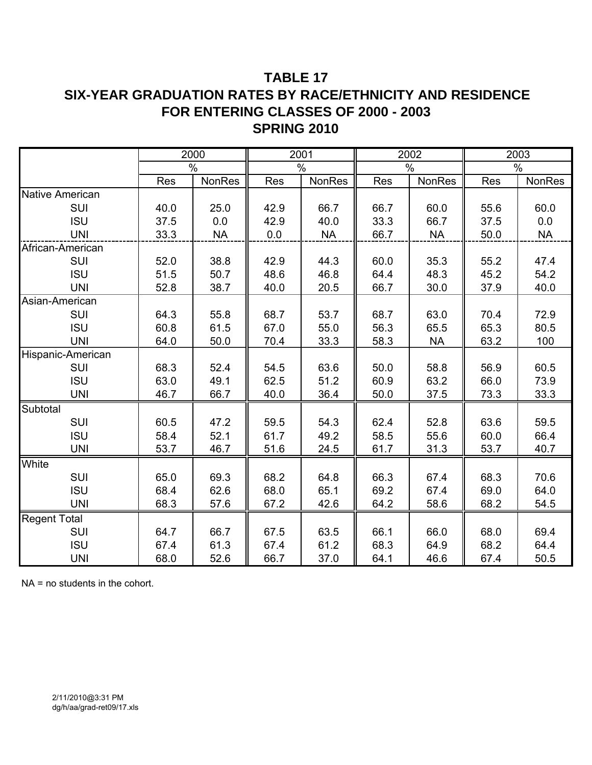## **TABLE 17 SIX-YEAR GRADUATION RATES BY RACE/ETHNICITY AND RESIDENCE FOR ENTERING CLASSES OF 2000 - 2003 SPRING 2010**

|                        |            | 2000          |            | 2001          |      | 2002          |      | 2003          |
|------------------------|------------|---------------|------------|---------------|------|---------------|------|---------------|
|                        |            | $\frac{0}{0}$ |            | $\%$          |      | $\%$          |      | $\%$          |
|                        | <b>Res</b> | <b>NonRes</b> | <b>Res</b> | <b>NonRes</b> | Res  | <b>NonRes</b> | Res  | <b>NonRes</b> |
| <b>Native American</b> |            |               |            |               |      |               |      |               |
| SUI                    | 40.0       | 25.0          | 42.9       | 66.7          | 66.7 | 60.0          | 55.6 | 60.0          |
| <b>ISU</b>             | 37.5       | 0.0           | 42.9       | 40.0          | 33.3 | 66.7          | 37.5 | 0.0           |
| <b>UNI</b>             | 33.3       | <b>NA</b>     | 0.0        | <b>NA</b>     | 66.7 | <b>NA</b>     | 50.0 | <b>NA</b>     |
| African-American       |            |               |            |               |      |               |      |               |
| SUI                    | 52.0       | 38.8          | 42.9       | 44.3          | 60.0 | 35.3          | 55.2 | 47.4          |
| <b>ISU</b>             | 51.5       | 50.7          | 48.6       | 46.8          | 64.4 | 48.3          | 45.2 | 54.2          |
| <b>UNI</b>             | 52.8       | 38.7          | 40.0       | 20.5          | 66.7 | 30.0          | 37.9 | 40.0          |
| Asian-American         |            |               |            |               |      |               |      |               |
| SUI                    | 64.3       | 55.8          | 68.7       | 53.7          | 68.7 | 63.0          | 70.4 | 72.9          |
| <b>ISU</b>             | 60.8       | 61.5          | 67.0       | 55.0          | 56.3 | 65.5          | 65.3 | 80.5          |
| <b>UNI</b>             | 64.0       | 50.0          | 70.4       | 33.3          | 58.3 | <b>NA</b>     | 63.2 | 100           |
| Hispanic-American      |            |               |            |               |      |               |      |               |
| SUI                    | 68.3       | 52.4          | 54.5       | 63.6          | 50.0 | 58.8          | 56.9 | 60.5          |
| <b>ISU</b>             | 63.0       | 49.1          | 62.5       | 51.2          | 60.9 | 63.2          | 66.0 | 73.9          |
| <b>UNI</b>             | 46.7       | 66.7          | 40.0       | 36.4          | 50.0 | 37.5          | 73.3 | 33.3          |
| Subtotal               |            |               |            |               |      |               |      |               |
| SUI                    | 60.5       | 47.2          | 59.5       | 54.3          | 62.4 | 52.8          | 63.6 | 59.5          |
| <b>ISU</b>             | 58.4       | 52.1          | 61.7       | 49.2          | 58.5 | 55.6          | 60.0 | 66.4          |
| <b>UNI</b>             | 53.7       | 46.7          | 51.6       | 24.5          | 61.7 | 31.3          | 53.7 | 40.7          |
| White                  |            |               |            |               |      |               |      |               |
| SUI                    | 65.0       | 69.3          | 68.2       | 64.8          | 66.3 | 67.4          | 68.3 | 70.6          |
| <b>ISU</b>             | 68.4       | 62.6          | 68.0       | 65.1          | 69.2 | 67.4          | 69.0 | 64.0          |
| <b>UNI</b>             | 68.3       | 57.6          | 67.2       | 42.6          | 64.2 | 58.6          | 68.2 | 54.5          |
| <b>Regent Total</b>    |            |               |            |               |      |               |      |               |
| SUI                    | 64.7       | 66.7          | 67.5       | 63.5          | 66.1 | 66.0          | 68.0 | 69.4          |
| <b>ISU</b>             | 67.4       | 61.3          | 67.4       | 61.2          | 68.3 | 64.9          | 68.2 | 64.4          |
| <b>UNI</b>             | 68.0       | 52.6          | 66.7       | 37.0          | 64.1 | 46.6          | 67.4 | 50.5          |

NA = no students in the cohort.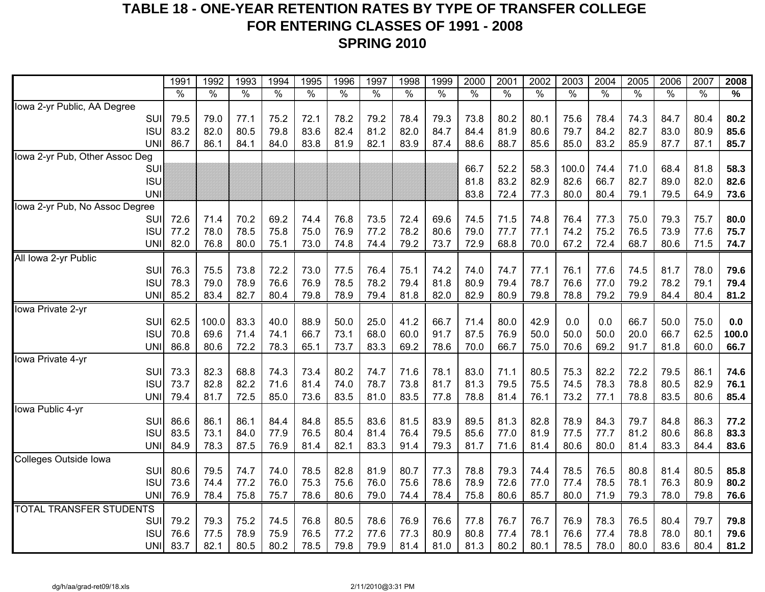## **TABLE 18 - ONE-YEAR RETENTION RATES BY TYPE OF TRANSFER COLLEGE FOR ENTERING CLASSES OF 1991 - 2008 SPRING 2010**

|                                       | 1991          | 1992         | 1993         | 1994         | 1995          | 1996         | 1997          | 1998         | 1999         | 2000          | 2001          | 2002                 | 2003          | 2004         | 2005         | 2006         | 2007          | 2008          |
|---------------------------------------|---------------|--------------|--------------|--------------|---------------|--------------|---------------|--------------|--------------|---------------|---------------|----------------------|---------------|--------------|--------------|--------------|---------------|---------------|
|                                       | $\frac{9}{6}$ | $\%$         | %            | $\%$         | $\frac{1}{2}$ | $\%$         | $\frac{9}{6}$ | $\%$         | %            | $\frac{1}{2}$ | $\frac{8}{6}$ | $\frac{1}{\sqrt{2}}$ | $\frac{1}{2}$ | %            | %            | %            | $\frac{1}{2}$ | $\frac{0}{0}$ |
| Iowa 2-yr Public, AA Degree           |               |              |              |              |               |              |               |              |              |               |               |                      |               |              |              |              |               |               |
| SUI                                   | 79.5          | 79.0         | 77.1         | 75.2         | 72.1          | 78.2         | 79.2          | 78.4         | 79.3         | 73.8          | 80.2          | 80.1                 | 75.6          | 78.4         | 74.3         | 84.7         | 80.4          | 80.2          |
| <b>ISU</b>                            | 83.2          | 82.0         | 80.5         | 79.8         | 83.6          | 82.4         | 81.2          | 82.0         | 84.7         | 84.4          | 81.9          | 80.6                 | 79.7          | 84.2         | 82.7         | 83.0         | 80.9          | 85.6          |
| <b>UNI</b>                            | 86.7          | 86.1         | 84.1         | 84.0         | 83.8          | 81.9         | 82.1          | 83.9         | 87.4         | 88.6          | 88.7          | 85.6                 | 85.0          | 83.2         | 85.9         | 87.7         | 87.1          | 85.7          |
| Iowa 2-yr Pub, Other Assoc Deg        |               |              |              |              |               |              |               |              |              |               |               |                      |               |              |              |              |               |               |
| SUI                                   |               |              |              |              |               |              |               |              |              | 66.7          | 52.2          | 58.3                 | 100.0         | 74.4         | 71.0         | 68.4         | 81.8          | 58.3          |
| <b>ISU</b>                            |               |              |              |              |               |              |               |              |              | 81.8          | 83.2          | 82.9                 | 82.6          | 66.7         | 82.7         | 89.0         | 82.0          | 82.6          |
| <b>UNI</b>                            |               |              |              |              |               |              |               |              |              | 83.8          | 72.4          | 77.3                 | 80.0          | 80.4         | 79.1         | 79.5         | 64.9          | 73.6          |
| Iowa 2-yr Pub, No Assoc Degree<br>SUI | 72.6          | 71.4         | 70.2         | 69.2         | 74.4          | 76.8         | 73.5          | 72.4         | 69.6         | 74.5          | 71.5          | 74.8                 | 76.4          | 77.3         | 75.0         | 79.3         | 75.7          | 80.0          |
| <b>ISU</b>                            | 77.2          | 78.0         | 78.5         | 75.8         | 75.0          | 76.9         | 77.2          | 78.2         | 80.6         | 79.0          | 77.7          | 77.1                 | 74.2          | 75.2         | 76.5         | 73.9         | 77.6          | 75.7          |
| <b>UNI</b>                            | 82.0          | 76.8         | 80.0         | 75.1         | 73.0          | 74.8         | 74.4          | 79.2         | 73.7         | 72.9          | 68.8          | 70.0                 | 67.2          | 72.4         | 68.7         | 80.6         | 71.5          | 74.7          |
| All Iowa 2-yr Public                  |               |              |              |              |               |              |               |              |              |               |               |                      |               |              |              |              |               |               |
| SUI                                   | 76.3          | 75.5         | 73.8         | 72.2         | 73.0          | 77.5         | 76.4          | 75.1         | 74.2         | 74.0          | 74.7          | 77.1                 | 76.1          | 77.6         | 74.5         | 81.7         | 78.0          | 79.6          |
| <b>ISU</b>                            | 78.3          | 79.0         | 78.9         | 76.6         | 76.9          | 78.5         | 78.2          | 79.4         | 81.8         | 80.9          | 79.4          | 78.7                 | 76.6          | 77.0         | 79.2         | 78.2         | 79.1          | 79.4          |
| <b>UNI</b>                            | 85.2          | 83.4         | 82.7         | 80.4         | 79.8          | 78.9         | 79.4          | 81.8         | 82.0         | 82.9          | 80.9          | 79.8                 | 78.8          | 79.2         | 79.9         | 84.4         | 80.4          | 81.2          |
| Iowa Private 2-yr                     |               |              |              |              |               |              |               |              |              |               |               |                      |               |              |              |              |               |               |
| SUI                                   | 62.5          | 100.0        | 83.3         | 40.0         | 88.9          | 50.0         | 25.0          | 41.2         | 66.7         | 71.4          | 80.0          | 42.9                 | 0.0           | 0.0          | 66.7         | 50.0         | 75.0          | 0.0           |
| <b>ISU</b>                            | 70.8          | 69.6         | 71.4         | 74.1         | 66.7          | 73.1         | 68.0          | 60.0         | 91.7         | 87.5          | 76.9          | 50.0                 | 50.0          | 50.0         | 20.0         | 66.7         | 62.5          | 100.0         |
| <b>UNI</b>                            | 86.8          | 80.6         | 72.2         | 78.3         | 65.1          | 73.7         | 83.3          | 69.2         | 78.6         | 70.0          | 66.7          | 75.0                 | 70.6          | 69.2         | 91.7         | 81.8         | 60.0          | 66.7          |
| Iowa Private 4-yr                     |               |              |              |              |               |              |               |              |              |               |               |                      |               |              |              |              |               |               |
| SUI                                   | 73.3          | 82.3         | 68.8         | 74.3         | 73.4          | 80.2         | 74.7          | 71.6         | 78.1         | 83.0          | 71.1          | 80.5                 | 75.3          | 82.2         | 72.2         | 79.5         | 86.1          | 74.6          |
| <b>ISU</b>                            | 73.7          | 82.8         | 82.2         | 71.6         | 81.4          | 74.0         | 78.7          | 73.8         | 81.7         | 81.3          | 79.5          | 75.5                 | 74.5          | 78.3         | 78.8         | 80.5         | 82.9          | 76.1          |
| <b>UNI</b>                            | 79.4          | 81.7         | 72.5         | 85.0         | 73.6          | 83.5         | 81.0          | 83.5         | 77.8         | 78.8          | 81.4          | 76.1                 | 73.2          | 77.1         | 78.8         | 83.5         | 80.6          | 85.4          |
| Iowa Public 4-yr                      |               |              |              |              |               |              |               |              |              |               |               |                      |               |              |              |              |               |               |
| SUI                                   | 86.6          | 86.1         | 86.1         | 84.4         | 84.8          | 85.5         | 83.6          | 81.5         | 83.9         | 89.5          | 81.3          | 82.8                 | 78.9          | 84.3         | 79.7         | 84.8         | 86.3          | 77.2          |
| <b>ISU</b>                            | 83.5          | 73.1         | 84.0         | 77.9         | 76.5          | 80.4         | 81.4          | 76.4         | 79.5         | 85.6          | 77.0          | 81.9                 | 77.5          | 77.7         | 81.2         | 80.6         | 86.8          | 83.3          |
| <b>UNI</b>                            | 84.9          | 78.3         | 87.5         | 76.9         | 81.4          | 82.1         | 83.3          | 91.4         | 79.3         | 81.7          | 71.6          | 81.4                 | 80.6          | 80.0         | 81.4         | 83.3         | 84.4          | 83.6          |
| Colleges Outside Iowa                 |               |              |              |              |               |              |               |              |              |               |               |                      |               |              |              |              |               |               |
| SUI<br><b>ISU</b>                     | 80.6<br>73.6  | 79.5<br>74.4 | 74.7<br>77.2 | 74.0<br>76.0 | 78.5<br>75.3  | 82.8<br>75.6 | 81.9<br>76.0  | 80.7<br>75.6 | 77.3<br>78.6 | 78.8<br>78.9  | 79.3<br>72.6  | 74.4<br>77.0         | 78.5<br>77.4  | 76.5<br>78.5 | 80.8<br>78.1 | 81.4<br>76.3 | 80.5<br>80.9  | 85.8<br>80.2  |
| <b>UNI</b>                            | 76.9          | 78.4         | 75.8         | 75.7         | 78.6          | 80.6         | 79.0          | 74.4         | 78.4         | 75.8          | 80.6          | 85.7                 | 80.0          | 71.9         | 79.3         | 78.0         | 79.8          | 76.6          |
| <b>TOTAL TRANSFER STUDENTS</b>        |               |              |              |              |               |              |               |              |              |               |               |                      |               |              |              |              |               |               |
| SUI                                   | 79.2          | 79.3         | 75.2         | 74.5         | 76.8          | 80.5         | 78.6          | 76.9         | 76.6         | 77.8          | 76.7          | 76.7                 | 76.9          | 78.3         | 76.5         | 80.4         | 79.7          | 79.8          |
| <b>ISU</b>                            | 76.6          | 77.5         | 78.9         | 75.9         | 76.5          | 77.2         | 77.6          | 77.3         | 80.9         | 80.8          | 77.4          | 78.1                 | 76.6          | 77.4         | 78.8         | 78.0         | 80.1          | 79.6          |
| <b>UNI</b>                            | 83.7          | 82.1         | 80.5         | 80.2         | 78.5          | 79.8         | 79.9          | 81.4         | 81.0         | 81.3          | 80.2          | 80.1                 | 78.5          | 78.0         | 80.0         | 83.6         | 80.4          | 81.2          |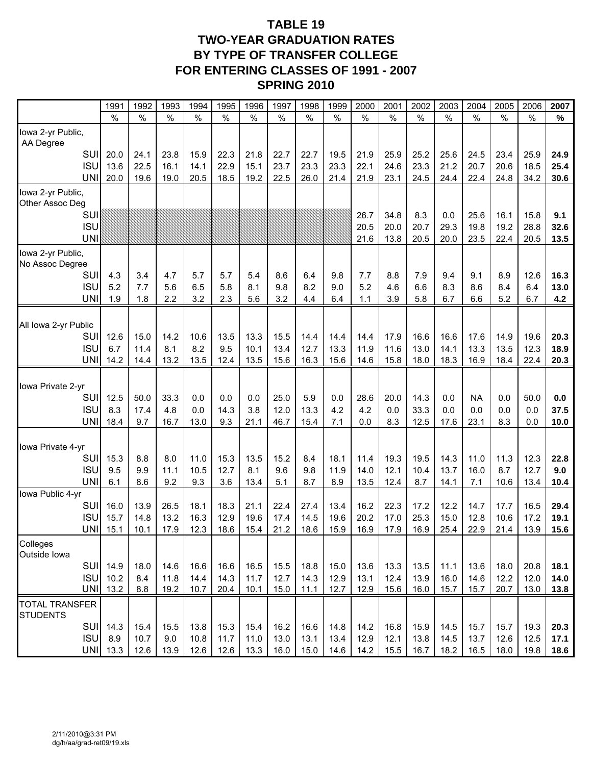## **TABLE 19 TWO-YEAR GRADUATION RATES BY TYPE OF TRANSFER COLLEGE FOR ENTERING CLASSES OF 1991 - 2007 SPRING 2010**

|                                | 199 <sup>°</sup> | 1992         | 1993          | 1994         | 1995         | 1996          | 1997          | 1998          | 1999          | 2000          | 2001         | 2002          | 2003          | 2004             | 2005         | 2006          | 2007         |
|--------------------------------|------------------|--------------|---------------|--------------|--------------|---------------|---------------|---------------|---------------|---------------|--------------|---------------|---------------|------------------|--------------|---------------|--------------|
|                                | $\%$             | $\%$         | $\frac{0}{0}$ | $\%$         | $\%$         | $\frac{0}{0}$ | $\frac{0}{0}$ | $\frac{0}{0}$ | $\frac{0}{0}$ | $\frac{0}{0}$ | $\%$         | $\frac{0}{0}$ | $\frac{0}{0}$ | $\frac{0}{0}$    | $\%$         | $\frac{0}{0}$ | %            |
| lowa 2-yr Public,<br>AA Degree |                  |              |               |              |              |               |               |               |               |               |              |               |               |                  |              |               |              |
| SUI                            | 20.0             | 24.1         | 23.8          | 15.9         | 22.3         | 21.8          | 22.7          | 22.7          | 19.5          | 21.9          | 25.9         | 25.2          | 25.6          | 24.5             | 23.4         | 25.9          | 24.9         |
| <b>ISU</b>                     | 13.6             | 22.5         | 16.1          | 14.1         | 22.9         | 15.1          | 23.7          | 23.3          | 23.3          | 22.1          | 24.6         | 23.3          | 21.2          | 20.7             | 20.6         | 18.5          | 25.4         |
| <b>UNI</b>                     | 20.0             | 19.6         | 19.0          | 20.5         | 18.5         | 19.2          | 22.5          | 26.0          | 21.4          | 21.9          | 23.1         | 24.5          | 24.4          | 22.4             | 24.8         | 34.2          | 30.6         |
| lowa 2-yr Public,              |                  |              |               |              |              |               |               |               |               |               |              |               |               |                  |              |               |              |
| Other Assoc Deg                |                  |              |               |              |              |               |               |               |               |               |              |               |               |                  |              |               |              |
| SUI<br><b>ISU</b>              |                  |              |               |              |              |               |               |               |               | 26.7<br>20.5  | 34.8<br>20.0 | 8.3<br>20.7   | 0.0<br>29.3   | 25.6<br>19.8     | 16.1<br>19.2 | 15.8<br>28.8  | 9.1<br>32.6  |
| <b>UNI</b>                     |                  |              |               |              |              |               |               |               |               | 21.6          | 13.8         | 20.5          | 20.0          | 23.5             | 22.4         | 20.5          | 13.5         |
| Iowa 2-yr Public,              |                  |              |               |              |              |               |               |               |               |               |              |               |               |                  |              |               |              |
| No Assoc Degree                |                  |              |               |              |              |               |               |               |               |               |              |               |               |                  |              |               |              |
| SUI<br><b>ISU</b>              | 4.3<br>5.2       | 3.4<br>7.7   | 4.7<br>5.6    | 5.7<br>6.5   | 5.7<br>5.8   | 5.4<br>8.1    | 8.6<br>9.8    | 6.4<br>8.2    | 9.8<br>9.0    | 7.7<br>5.2    | 8.8<br>4.6   | 7.9<br>6.6    | 9.4<br>8.3    | 9.1<br>8.6       | 8.9<br>8.4   | 12.6<br>6.4   | 16.3<br>13.0 |
| <b>UNI</b>                     | 1.9              | 1.8          | 2.2           | 3.2          | 2.3          | 5.6           | 3.2           | 4.4           | 6.4           | 1.1           | 3.9          | 5.8           | 6.7           | 6.6              | 5.2          | 6.7           | 4.2          |
|                                |                  |              |               |              |              |               |               |               |               |               |              |               |               |                  |              |               |              |
| All Iowa 2-yr Public           |                  |              |               |              |              |               |               |               |               |               |              |               |               |                  |              |               |              |
| SUI                            | 12.6             | 15.0         | 14.2          | 10.6         | 13.5         | 13.3          | 15.5          | 14.4          | 14.4          | 14.4          | 17.9         | 16.6          | 16.6          | 17.6             | 14.9         | 19.6          | 20.3         |
| <b>ISU</b>                     | 6.7              | 11.4         | 8.1           | 8.2          | 9.5          | 10.1          | 13.4          | 12.7          | 13.3          | 11.9          | 11.6         | 13.0          | 14.1          | 13.3             | 13.5         | 12.3          | 18.9         |
| <b>UNI</b>                     | 14.2             | 14.4         | 13.2          | 13.5         | 12.4         | 13.5          | 15.6          | 16.3          | 15.6          | 14.6          | 15.8         | 18.0          | 18.3          | 16.9             | 18.4         | 22.4          | 20.3         |
|                                |                  |              |               |              |              |               |               |               |               |               |              |               |               |                  |              |               |              |
| lowa Private 2-yr              |                  |              |               |              |              |               |               |               |               |               |              |               |               |                  |              |               |              |
| SUI<br><b>ISU</b>              | 12.5<br>8.3      | 50.0<br>17.4 | 33.3<br>4.8   | 0.0<br>0.0   | 0.0<br>14.3  | 0.0<br>3.8    | 25.0<br>12.0  | 5.9<br>13.3   | 0.0<br>4.2    | 28.6<br>4.2   | 20.0<br>0.0  | 14.3<br>33.3  | 0.0<br>0.0    | <b>NA</b><br>0.0 | 0.0<br>0.0   | 50.0<br>0.0   | 0.0<br>37.5  |
| <b>UNI</b>                     | 18.4             | 9.7          | 16.7          | 13.0         | 9.3          | 21.1          | 46.7          | 15.4          | 7.1           | 0.0           | 8.3          | 12.5          | 17.6          | 23.1             | 8.3          | 0.0           | 10.0         |
|                                |                  |              |               |              |              |               |               |               |               |               |              |               |               |                  |              |               |              |
| lowa Private 4-yr              |                  |              |               |              |              |               |               |               |               |               |              |               |               |                  |              |               |              |
| SUI                            | 15.3             | 8.8          | 8.0           | 11.0         | 15.3         | 13.5          | 15.2          | 8.4           | 18.1          | 11.4          | 19.3         | 19.5          | 14.3          | 11.0             | 11.3         | 12.3          | 22.8         |
| <b>ISU</b>                     | 9.5              | 9.9          | 11.1          | 10.5         | 12.7         | 8.1           | 9.6           | 9.8           | 11.9          | 14.0          | 12.1         | 10.4          | 13.7          | 16.0             | 8.7          | 12.7          | 9.0          |
| <b>UNI</b>                     | 6.1              | 8.6          | 9.2           | 9.3          | 3.6          | 13.4          | 5.1           | 8.7           | 8.9           | 13.5          | 12.4         | 8.7           | 14.1          | 7.1              | 10.6         | 13.4          | 10.4         |
| Iowa Public 4-yr<br><b>SUI</b> | 16.0             | 13.9         | 26.5          | 18.1         | 18.3         | 21.1          | 22.4          | 27.4          | 13.4          | 16.2          | 22.3         | 17.2          | 12.2          | 14.7             | 17.7         | 16.5          | 29.4         |
| <b>ISU</b>                     | 15.7             | 14.8         | 13.2          | 16.3         | 12.9         | 19.6          | 17.4          | 14.5          | 19.6          | 20.2          | 17.0         | 25.3          | 15.0          | 12.8             | 10.6         | 17.2          | 19.1         |
| <b>UNI</b>                     | 15.1             | 10.1         | 17.9          | 12.3         | 18.6         | 15.4          | 21.2          | 18.6          | 15.9          | 16.9          | 17.9         | 16.9          | 25.4          | 22.9             | 21.4         | 13.9          | 15.6         |
| Colleges<br>Outside lowa       |                  |              |               |              |              |               |               |               |               |               |              |               |               |                  |              |               |              |
| <b>SUI</b>                     | 14.9             | 18.0         | 14.6          | 16.6         | 16.6         | 16.5          | 15.5          | 18.8          | 15.0          | 13.6          | 13.3         | 13.5          | 11.1          | 13.6             | 18.0         | 20.8          | 18.1         |
| <b>ISU</b>                     | 10.2             | 8.4          | 11.8          | 14.4         | 14.3         | 11.7          | 12.7          | 14.3          | 12.9          | 13.1          | 12.4         | 13.9          | 16.0          | 14.6             | 12.2         | 12.0          | 14.0         |
| <b>UNI</b>                     | 13.2             | 8.8          | 19.2          | 10.7         | 20.4         | 10.1          | 15.0          | 11.1          | 12.7          | 12.9          | 15.6         | 16.0          | 15.7          | 15.7             | 20.7         | 13.0          | 13.8         |
| TOTAL TRANSFER                 |                  |              |               |              |              |               |               |               |               |               |              |               |               |                  |              |               |              |
| <b>STUDENTS</b>                |                  |              |               |              |              |               |               |               |               |               |              |               |               |                  |              |               |              |
| SUI                            | 14.3             | 15.4         | 15.5          | 13.8         | 15.3         | 15.4          | 16.2          | 16.6          | 14.8          | 14.2          | 16.8         | 15.9          | 14.5          | 15.7             | 15.7         | 19.3          | 20.3         |
| <b>ISU</b><br><b>UNI</b>       | 8.9<br>13.3      | 10.7<br>12.6 | 9.0<br>13.9   | 10.8<br>12.6 | 11.7<br>12.6 | 11.0<br>13.3  | 13.0<br>16.0  | 13.1<br>15.0  | 13.4<br>14.6  | 12.9<br>14.2  | 12.1<br>15.5 | 13.8<br>16.7  | 14.5<br>18.2  | 13.7<br>16.5     | 12.6<br>18.0 | 12.5<br>19.8  | 17.1<br>18.6 |
|                                |                  |              |               |              |              |               |               |               |               |               |              |               |               |                  |              |               |              |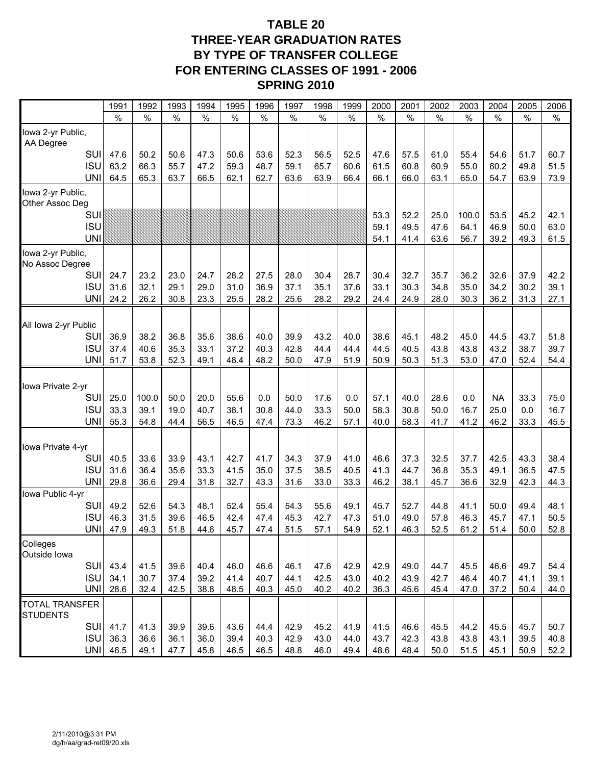## **TABLE 20 THREE-YEAR GRADUATION RATES BY TYPE OF TRANSFER COLLEGE FOR ENTERING CLASSES OF 1991 - 2006 SPRING 2010**

|                                          | 1991          | 1992          | 1993          | 1994          | 1995          | 1996          | 1997 | 1998          | 1999          | 2000         | 200 <sup>2</sup> | 2002          | 2003          | 2004          | 2005          | 2006          |
|------------------------------------------|---------------|---------------|---------------|---------------|---------------|---------------|------|---------------|---------------|--------------|------------------|---------------|---------------|---------------|---------------|---------------|
|                                          | $\frac{0}{0}$ | $\frac{0}{0}$ | $\frac{0}{0}$ | $\frac{0}{0}$ | $\frac{0}{0}$ | $\frac{0}{0}$ | $\%$ | $\frac{0}{0}$ | $\frac{0}{0}$ | $\%$         | $\frac{0}{0}$    | $\frac{0}{0}$ | $\frac{0}{0}$ | $\frac{0}{0}$ | $\frac{0}{0}$ | $\frac{0}{0}$ |
| Iowa 2-yr Public,<br>AA Degree           |               |               |               |               |               |               |      |               |               |              |                  |               |               |               |               |               |
| SUI                                      | 47.6          | 50.2          | 50.6          | 47.3          | 50.6          | 53.6          | 52.3 | 56.5          | 52.5          | 47.6         | 57.5             | 61.0          | 55.4          | 54.6          | 51.7          | 60.7          |
| <b>ISU</b>                               | 63.2          | 66.3          | 55.7          | 47.2          | 59.3          | 48.7          | 59.1 | 65.7          | 60.6          | 61.5         | 60.8             | 60.9          | 55.0          | 60.2          | 49.8          | 51.5          |
| <b>UNI</b>                               | 64.5          | 65.3          | 63.7          | 66.5          | 62.1          | 62.7          | 63.6 | 63.9          | 66.4          | 66.1         | 66.0             | 63.1          | 65.0          | 54.7          | 63.9          | 73.9          |
| lowa 2-yr Public,<br>Other Assoc Deg     |               |               |               |               |               |               |      |               |               |              |                  |               |               |               |               |               |
| SUI                                      |               |               |               |               |               |               |      |               |               | 53.3         | 52.2             | 25.0          | 100.0         | 53.5          | 45.2          | 42.1          |
| <b>ISU</b><br><b>UNI</b>                 |               |               |               |               |               |               |      |               |               | 59.1<br>54.1 | 49.5<br>41.4     | 47.6<br>63.6  | 64.1<br>56.7  | 46.9<br>39.2  | 50.0<br>49.3  | 63.0<br>61.5  |
| lowa 2-yr Public,<br>No Assoc Degree     |               |               |               |               |               |               |      |               |               |              |                  |               |               |               |               |               |
| <b>SUI</b>                               | 24.7          | 23.2          | 23.0          | 24.7          | 28.2          | 27.5          | 28.0 | 30.4          | 28.7          | 30.4         | 32.7             | 35.7          | 36.2          | 32.6          | 37.9          | 42.2          |
| <b>ISU</b>                               | 31.6          | 32.1          | 29.1          | 29.0          | 31.0          | 36.9          | 37.1 | 35.1          | 37.6          | 33.1         | 30.3             | 34.8          | 35.0          | 34.2          | 30.2          | 39.1          |
| <b>UNI</b>                               | 24.2          | 26.2          | 30.8          | 23.3          | 25.5          | 28.2          | 25.6 | 28.2          | 29.2          | 24.4         | 24.9             | 28.0          | 30.3          | 36.2          | 31.3          | 27.1          |
| All Iowa 2-yr Public                     |               |               |               |               |               |               |      |               |               |              |                  |               |               |               |               |               |
| SUI                                      | 36.9          | 38.2          | 36.8          | 35.6          | 38.6          | 40.0          | 39.9 | 43.2          | 40.0          | 38.6         | 45.1             | 48.2          | 45.0          | 44.5          | 43.7          | 51.8          |
| <b>ISU</b>                               | 37.4          | 40.6          | 35.3          | 33.1          | 37.2          | 40.3          | 42.8 | 44.4          | 44.4          | 44.5         | 40.5             | 43.8          | 43.8          | 43.2          | 38.7          | 39.7          |
| <b>UNI</b>                               | 51.7          | 53.8          | 52.3          | 49.1          | 48.4          | 48.2          | 50.0 | 47.9          | 51.9          | 50.9         | 50.3             | 51.3          | 53.0          | 47.0          | 52.4          | 54.4          |
| Iowa Private 2-yr                        |               |               |               |               |               |               |      |               |               |              |                  |               |               |               |               |               |
| SUI                                      | 25.0          | 100.0         | 50.0          | 20.0          | 55.6          | 0.0           | 50.0 | 17.6          | 0.0           | 57.1         | 40.0             | 28.6          | 0.0           | ΝA            | 33.3          | 75.0          |
| <b>ISU</b>                               | 33.3          | 39.1          | 19.0          | 40.7          | 38.1          | 30.8          | 44.0 | 33.3          | 50.0          | 58.3         | 30.8             | 50.0          | 16.7          | 25.0          | 0.0           | 16.7          |
| <b>UNI</b>                               | 55.3          | 54.8          | 44.4          | 56.5          | 46.5          | 47.4          | 73.3 | 46.2          | 57.1          | 40.0         | 58.3             | 41.7          | 41.2          | 46.2          | 33.3          | 45.5          |
| Iowa Private 4-yr                        |               |               |               |               |               |               |      |               |               |              |                  |               |               |               |               |               |
| SUI                                      | 40.5          | 33.6          | 33.9          | 43.1          | 42.7          | 41.7          | 34.3 | 37.9          | 41.0          | 46.6         | 37.3             | 32.5          | 37.7          | 42.5          | 43.3          | 38.4          |
| <b>ISU</b>                               | 31.6          | 36.4          | 35.6          | 33.3          | 41.5          | 35.0          | 37.5 | 38.5          | 40.5          | 41.3         | 44.7             | 36.8          | 35.3          | 49.1          | 36.5          | 47.5          |
| <b>UNI</b>                               | 29.8          | 36.6          | 29.4          | 31.8          | 32.7          | 43.3          | 31.6 | 33.0          | 33.3          | 46.2         | 38.1             | 45.7          | 36.6          | 32.9          | 42.3          | 44.3          |
| Iowa Public 4-yr<br>SUI                  | 49.2          | 52.6          | 54.3          | 48.1          | 52.4          | 55.4          | 54.3 | 55.6          | 49.1          | 45.7         | 52.7             | 44.8          | 41.1          | 50.0          | 49.4          | 48.1          |
| <b>ISU</b>                               | 46.3          | 31.5          | 39.6          | 46.5          | 42.4          | 47.4          | 45.3 | 42.7          | 47.3          | 51.0         | 49.0             | 57.8          | 46.3          | 45.7          | 47.1          | 50.5          |
| <b>UNI</b>                               | 47.9          | 49.3          | 51.8          | 44.6          | 45.7          | 47.4          | 51.5 | 57.1          | 54.9          | 52.1         | 46.3             | 52.5          | 61.2          | 51.4          | 50.0          | 52.8          |
| Colleges<br>Outside Iowa                 |               |               |               |               |               |               |      |               |               |              |                  |               |               |               |               |               |
| <b>SUI</b>                               | 43.4          | 41.5          | 39.6          | 40.4          | 46.0          | 46.6          | 46.1 | 47.6          | 42.9          | 42.9         | 49.0             | 44.7          | 45.5          | 46.6          | 49.7          | 54.4          |
| <b>ISU</b>                               | 34.1          | 30.7          | 37.4          | 39.2          | 41.4          | 40.7          | 44.1 | 42.5          | 43.0          | 40.2         | 43.9             | 42.7          | 46.4          | 40.7          | 41.1          | 39.1          |
| <b>UNI</b>                               | 28.6          | 32.4          | 42.5          | 38.8          | 48.5          | 40.3          | 45.0 | 40.2          | 40.2          | 36.3         | 45.6             | 45.4          | 47.0          | 37.2          | 50.4          | 44.0          |
| <b>TOTAL TRANSFER</b><br><b>STUDENTS</b> |               |               |               |               |               |               |      |               |               |              |                  |               |               |               |               |               |
| SUI                                      | 41.7          | 41.3          | 39.9          | 39.6          | 43.6          | 44.4          | 42.9 | 45.2          | 41.9          | 41.5         | 46.6             | 45.5          | 44.2          | 45.5          | 45.7          | 50.7          |
| <b>ISU</b>                               | 36.3          | 36.6          | 36.1          | 36.0          | 39.4          | 40.3          | 42.9 | 43.0          | 44.0          | 43.7         | 42.3             | 43.8          | 43.8          | 43.1          | 39.5          | 40.8          |
| <b>UNI</b>                               | 46.5          | 49.1          | 47.7          | 45.8          | 46.5          | 46.5          | 48.8 | 46.0          | 49.4          | 48.6         | 48.4             | 50.0          | 51.5          | 45.1          | 50.9          | 52.2          |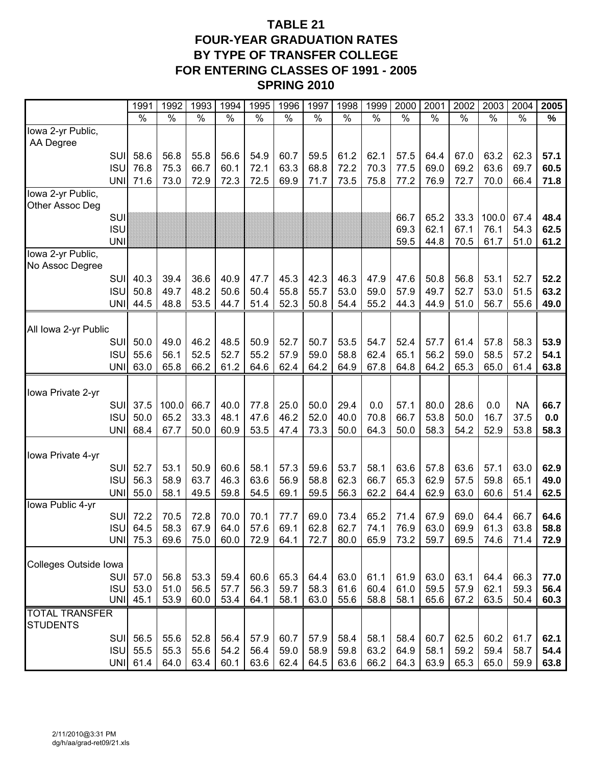## **TABLE 21 FOUR-YEAR GRADUATION RATES BY TYPE OF TRANSFER COLLEGE FOR ENTERING CLASSES OF 1991 - 2005 SPRING 2010**

|                                          | 1991         | 1992          | 1993          | 1994          | 1995          | 1996          | 1997          | 1998          | 1999          | 2000          | 2001          | 2002          | 2003          | 2004          | 2005         |
|------------------------------------------|--------------|---------------|---------------|---------------|---------------|---------------|---------------|---------------|---------------|---------------|---------------|---------------|---------------|---------------|--------------|
|                                          | $\%$         | $\frac{1}{2}$ | $\frac{9}{6}$ | $\frac{1}{2}$ | $\frac{9}{6}$ | $\frac{1}{6}$ | $\frac{1}{2}$ | $\frac{1}{2}$ | $\frac{1}{6}$ | $\frac{1}{2}$ | $\frac{9}{6}$ | $\frac{9}{6}$ | $\frac{9}{6}$ | $\frac{0}{0}$ | $\%$         |
| lowa 2-yr Public,<br>AA Degree           |              |               |               |               |               |               |               |               |               |               |               |               |               |               |              |
| SUI                                      | 58.6         | 56.8          | 55.8          | 56.6          | 54.9          | 60.7          | 59.5          | 61.2          | 62.1          | 57.5          | 64.4          | 67.0          | 63.2          | 62.3          | 57.1         |
| <b>ISU</b>                               | 76.8         | 75.3          | 66.7          | 60.1          | 72.1          | 63.3          | 68.8          | 72.2          | 70.3          | 77.5          | 69.0          | 69.2          | 63.6          | 69.7          | 60.5         |
| <b>UNI</b>                               | 71.6         | 73.0          | 72.9          | 72.3          | 72.5          | 69.9          | 71.7          | 73.5          | 75.8          | 77.2          | 76.9          | 72.7          | 70.0          | 66.4          | 71.8         |
| Iowa 2-yr Public,                        |              |               |               |               |               |               |               |               |               |               |               |               |               |               |              |
| Other Assoc Deg                          |              |               |               |               |               |               |               |               |               |               |               | 33.3          |               |               | 48.4         |
| SUI<br><b>ISU</b>                        |              |               |               |               |               |               |               |               |               | 66.7<br>69.3  | 65.2<br>62.1  | 67.1          | 100.0<br>76.1 | 67.4<br>54.3  | 62.5         |
| <b>UNI</b>                               |              |               |               |               |               |               |               |               |               | 59.5          | 44.8          | 70.5          | 61.7          | 51.0          | 61.2         |
| Iowa 2-yr Public,                        |              |               |               |               |               |               |               |               |               |               |               |               |               |               |              |
| No Assoc Degree                          |              |               |               |               |               |               |               |               |               |               |               |               |               |               |              |
| SUI                                      | 40.3         | 39.4          | 36.6          | 40.9          | 47.7          | 45.3          | 42.3          | 46.3          | 47.9          | 47.6          | 50.8          | 56.8          | 53.1          | 52.7          | 52.2         |
| <b>ISU</b><br><b>UNI</b>                 | 50.8<br>44.5 | 49.7<br>48.8  | 48.2<br>53.5  | 50.6<br>44.7  | 50.4<br>51.4  | 55.8<br>52.3  | 55.7<br>50.8  | 53.0<br>54.4  | 59.0<br>55.2  | 57.9<br>44.3  | 49.7<br>44.9  | 52.7<br>51.0  | 53.0<br>56.7  | 51.5<br>55.6  | 63.2<br>49.0 |
|                                          |              |               |               |               |               |               |               |               |               |               |               |               |               |               |              |
| All Iowa 2-yr Public                     |              |               |               |               |               |               |               |               |               |               |               |               |               |               |              |
| SUI                                      | 50.0         | 49.0          | 46.2          | 48.5          | 50.9          | 52.7          | 50.7          | 53.5          | 54.7          | 52.4          | 57.7          | 61.4          | 57.8          | 58.3          | 53.9         |
| <b>ISU</b>                               | 55.6         | 56.1          | 52.5          | 52.7          | 55.2          | 57.9          | 59.0          | 58.8          | 62.4          | 65.1          | 56.2          | 59.0          | 58.5          | 57.2          | 54.1         |
| <b>UNI</b>                               | 63.0         | 65.8          | 66.2          | 61.2          | 64.6          | 62.4          | 64.2          | 64.9          | 67.8          | 64.8          | 64.2          | 65.3          | 65.0          | 61.4          | 63.8         |
| Iowa Private 2-yr                        |              |               |               |               |               |               |               |               |               |               |               |               |               |               |              |
| SUI                                      | 37.5         | 100.0         | 66.7          | 40.0          | 77.8          | 25.0          | 50.0          | 29.4          | 0.0           | 57.1          | 80.0          | 28.6          | 0.0           | <b>NA</b>     | 66.7         |
| <b>ISU</b>                               | 50.0         | 65.2          | 33.3          | 48.1          | 47.6          | 46.2          | 52.0          | 40.0          | 70.8          | 66.7          | 53.8          | 50.0          | 16.7          | 37.5          | 0.0          |
| <b>UNI</b>                               | 68.4         | 67.7          | 50.0          | 60.9          | 53.5          | 47.4          | 73.3          | 50.0          | 64.3          | 50.0          | 58.3          | 54.2          | 52.9          | 53.8          | 58.3         |
|                                          |              |               |               |               |               |               |               |               |               |               |               |               |               |               |              |
| Iowa Private 4-yr                        |              |               |               |               |               |               |               |               |               |               |               |               |               |               |              |
| SUI<br><b>ISU</b>                        | 52.7<br>56.3 | 53.1<br>58.9  | 50.9<br>63.7  | 60.6<br>46.3  | 58.1<br>63.6  | 57.3<br>56.9  | 59.6<br>58.8  | 53.7<br>62.3  | 58.1<br>66.7  | 63.6<br>65.3  | 57.8<br>62.9  | 63.6<br>57.5  | 57.1<br>59.8  | 63.0<br>65.1  | 62.9<br>49.0 |
| <b>UNI</b>                               | 55.0         | 58.1          | 49.5          | 59.8          | 54.5          | 69.1          | 59.5          | 56.3          | 62.2          | 64.4          | 62.9          | 63.0          | 60.6          | 51.4          | 62.5         |
| Iowa Public 4-yr                         |              |               |               |               |               |               |               |               |               |               |               |               |               |               |              |
| SUI                                      | 72.2         | 70.5          | 72.8          | 70.0          | 70.1          | 77.7          | 69.0          | 73.4          | 65.2          | 71.4          | 67.9          | 69.0          | 64.4          | 66.7          | 64.6         |
| <b>ISU</b>                               | 64.5         | 58.3          | 67.9          | 64.0          | 57.6          | 69.1          | 62.8          | 62.7          | 74.1          | 76.9          | 63.0          | 69.9          | 61.3          | 63.8          | 58.8         |
| <b>UNI</b>                               | 75.3         | 69.6          | 75.0          | 60.0          | 72.9          | 64.1          | 72.7          | 80.0          | 65.9          | 73.2          | 59.7          | 69.5          | 74.6          | 71.4          | 72.9         |
| Colleges Outside Iowa                    |              |               |               |               |               |               |               |               |               |               |               |               |               |               |              |
| <b>SUI</b>                               | 57.0         | 56.8          | 53.3          | 59.4          | 60.6          | 65.3          | 64.4          | 63.0          | 61.1          | 61.9          | 63.0          | 63.1          | 64.4          | 66.3          | 77.0         |
| <b>ISU</b>                               | 53.0         | 51.0          | 56.5          | 57.7          | 56.3          | 59.7          | 58.3          | 61.6          | 60.4          | 61.0          | 59.5          | 57.9          | 62.1          | 59.3          | 56.4         |
| <b>UNI</b>                               | 45.1         | 53.9          | 60.0          | 53.4          | 64.1          | 58.1          | 63.0          | 55.6          | 58.8          | 58.1          | 65.6          | 67.2          | 63.5          | 50.4          | 60.3         |
| <b>TOTAL TRANSFER</b><br><b>STUDENTS</b> |              |               |               |               |               |               |               |               |               |               |               |               |               |               |              |
| <b>SUI</b>                               | 56.5         | 55.6          | 52.8          | 56.4          | 57.9          | 60.7          | 57.9          | 58.4          | 58.1          | 58.4          | 60.7          | 62.5          | 60.2          | 61.7          | 62.1         |
| <b>ISU</b>                               | 55.5         | 55.3          | 55.6          | 54.2          | 56.4          | 59.0          | 58.9          | 59.8          | 63.2          | 64.9          | 58.1          | 59.2          | 59.4          | 58.7          | 54.4         |
|                                          | UNI 61.4     | 64.0          | 63.4          | 60.1          | 63.6          | 62.4          | 64.5          | 63.6          | 66.2          | 64.3          | 63.9          | 65.3          | 65.0          | 59.9          | 63.8         |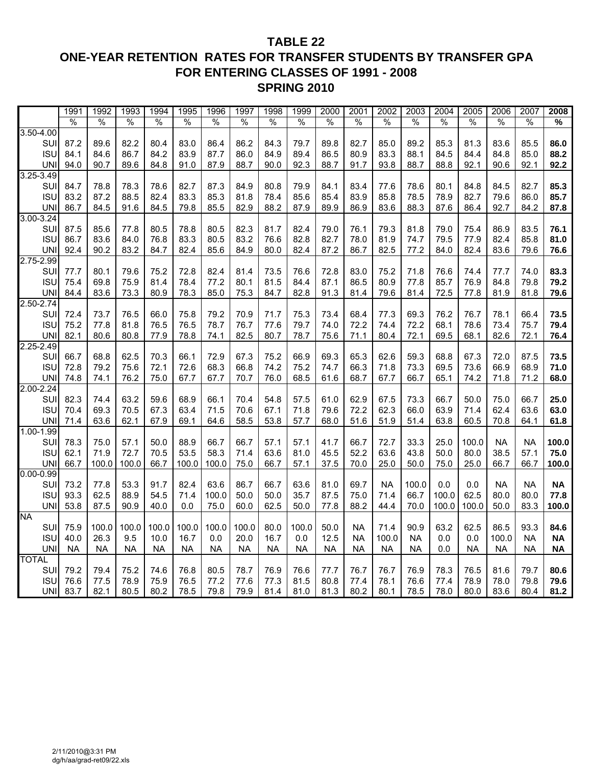## **TABLE 22 ONE-YEAR RETENTION RATES FOR TRANSFER STUDENTS BY TRANSFER GPA FOR ENTERING CLASSES OF 1991 - 2008 SPRING 2010**

|                      | 1991          | 1992          | 1993          | 1994          | 1995          | 1996          | 1997          | 1998          | 1999          | 2000          | 2001          | 2002          | 2003          | 2004          | 2005          | 2006          | 2007          | 2008          |
|----------------------|---------------|---------------|---------------|---------------|---------------|---------------|---------------|---------------|---------------|---------------|---------------|---------------|---------------|---------------|---------------|---------------|---------------|---------------|
|                      | $\frac{0}{0}$ | $\frac{0}{0}$ | $\frac{0}{0}$ | $\frac{0}{0}$ | $\frac{0}{0}$ | $\frac{0}{0}$ | $\frac{0}{0}$ | $\frac{0}{0}$ | $\frac{0}{0}$ | $\frac{0}{0}$ | $\frac{0}{0}$ | $\frac{0}{0}$ | $\frac{0}{0}$ | $\frac{0}{0}$ | $\frac{0}{0}$ | $\frac{0}{0}$ | $\frac{0}{0}$ | $\frac{0}{6}$ |
| $3.50 - 4.00$        |               |               |               |               |               |               |               |               |               |               |               |               |               |               |               |               |               |               |
| SUI                  | 87.2          | 89.6          | 82.2          | 80.4          | 83.0          | 86.4          | 86.2          | 84.3          | 79.7          | 89.8          | 82.7          | 85.0          | 89.2          | 85.3          | 81.3          | 83.6          | 85.5          | 86.0          |
| <b>ISU</b>           | 84.1          | 84.6          | 86.7          | 84.2          | 83.9          | 87.7          | 86.0          | 84.9          | 89.4          | 86.5          | 80.9          | 83.3          | 88.1          | 84.5          | 84.4          | 84.8          | 85.0          | 88.2          |
| UNI                  | 94.0          | 90.7          | 89.6          | 84.8          | 91.0          | 87.9          | 88.7          | 90.0          | 92.3          | 88.7          | 91.7          | 93.8          | 88.7          | 88.8          | 92.1          | 90.6          | 92.1          | 92.2          |
| $3.25 - 3.49$        |               |               |               |               |               |               |               |               |               |               |               |               |               |               |               |               |               |               |
| SU                   | 84.7          | 78.8          | 78.3          | 78.6          | 82.7          | 87.3          | 84.9          | 80.8          | 79.9          | 84.1          | 83.4          | 77.6          | 78.6          | 80.1          | 84.8          | 84.5          | 82.7          | 85.3          |
| <b>ISU</b>           | 83.2          | 87.2          | 88.5          | 82.4          | 83.3          | 85.3          | 81.8          | 78.4          | 85.6          | 85.4          | 83.9          | 85.8          | 78.5          | 78.9          | 82.7          | 79.6          | 86.0          | 85.7          |
| <b>UNI</b>           | 86.7          | 84.5          | 91.6          | 84.5          | 79.8          | 85.5          | 82.9          | 88.2          | 87.9          | 89.9          | 86.9          | 83.6          | 88.3          | 87.6          | 86.4          | 92.7          | 84.2          | 87.8          |
| $3.00 - 3.24$        |               |               |               |               |               |               |               |               |               |               |               |               |               |               |               |               |               |               |
| SUI                  | 87.5          | 85.6          | 77.8          | 80.5          | 78.8          | 80.5          | 82.3          | 81.7          | 82.4          | 79.0          | 76.1          | 79.3          | 81.8          | 79.0          | 75.4          | 86.9          | 83.5          | 76.1          |
| <b>ISU</b>           | 86.7          | 83.6          | 84.0          | 76.8          | 83.3          | 80.5          | 83.2          | 76.6          | 82.8          | 82.7          | 78.0          | 81.9          | 74.7          | 79.5          | 77.9          | 82.4          | 85.8          | 81.0          |
| <b>UNI</b>           | 92.4          | 90.2          | 83.2          | 84.7          | 82.4          | 85.6          | 84.9          | 80.0          | 82.4          | 87.2          | 86.7          | 82.5          | 77.2          | 84.0          | 82.4          | 83.6          | 79.6          | 76.6          |
| 2.75-2.99            |               |               |               |               |               |               |               |               |               |               |               |               |               |               |               |               |               |               |
| SUI                  | 77.7          | 80.1          | 79.6          | 75.2          | 72.8          | 82.4          | 81.4          | 73.5          | 76.6          | 72.8          | 83.0          | 75.2          | 71.8          | 76.6          | 74.4          | 77.7          | 74.0          | 83.3          |
| <b>ISU</b>           | 75.4          | 69.8          | 75.9          | 81.4          | 78.4          | 77.2          | 80.1          | 81.5          | 84.4          | 87.1          | 86.5          | 80.9          | 77.8          | 85.7          | 76.9          | 84.8          | 79.8          | 79.2          |
| <b>UNI</b>           | 84.4          | 83.6          | 73.3          | 80.9          | 78.3          | 85.0          | 75.3          | 84.7          | 82.8          | 91.3          | 81.4          | 79.6          | 81.4          | 72.5          | 77.8          | 81.9          | 81.8          | 79.6          |
| $2.50 - 2.74$        |               |               |               |               |               |               |               |               |               |               |               |               |               |               |               |               |               |               |
| SUI                  | 72.4          | 73.7          | 76.5          | 66.0          | 75.8          | 79.2          | 70.9          | 71.7          | 75.3          | 73.4          | 68.4          | 77.3          | 69.3          | 76.2          | 76.7          | 78.1          | 66.4          | 73.5          |
| <b>ISU</b>           | 75.2          | 77.8          | 81.8          | 76.5          | 76.5          | 78.7          | 76.7          | 77.6          | 79.7          | 74.0          | 72.2          | 74.4          | 72.2          | 68.1          | 78.6          | 73.4          | 75.7          | 79.4          |
| <b>UNI</b>           | 82.1          | 80.6          | 80.8          | 77.9          | 78.8          | 74.1          | 82.5          | 80.7          | 78.7          | 75.6          | 71.1          | 80.4          | 72.1          | 69.5          | 68.1          | 82.6          | 72.1          | 76.4          |
| $2.25 - 2.49$        |               |               |               |               |               |               |               |               |               |               |               |               |               |               |               |               |               |               |
| SU                   | 66.7          | 68.8          | 62.5          | 70.3          | 66.1          | 72.9          | 67.3          | 75.2          | 66.9          | 69.3          | 65.3          | 62.6          | 59.3          | 68.8          | 67.3          | 72.0          | 87.5          | 73.5          |
| <b>ISU</b>           | 72.8          | 79.2          | 75.6          | 72.1          | 72.6          | 68.3          | 66.8          | 74.2          | 75.2          | 74.7          | 66.3          | 71.8          | 73.3          | 69.5          | 73.6          | 66.9          | 68.9          | 71.0          |
| <b>UNI</b>           | 74.8          | 74.1          | 76.2          | 75.0          | 67.7          | 67.7          | 70.7          | 76.0          | 68.5          | 61.6          | 68.7          | 67.7          | 66.7          | 65.1          | 74.2          | 71.8          | 71.2          | 68.0          |
| $2.00 - 2.24$        |               |               |               |               |               |               |               |               |               |               |               |               |               |               |               |               |               |               |
| SUI                  | 82.3          | 74.4          | 63.2          | 59.6          | 68.9          | 66.1          | 70.4          | 54.8          | 57.5          | 61.0          | 62.9          | 67.5          | 73.3          | 66.7          | 50.0          | 75.0          | 66.7          | 25.0          |
| <b>ISU</b>           | 70.4          | 69.3          | 70.5          | 67.3          | 63.4          | 71.5          | 70.6          | 67.1          | 71.8          | 79.6          | 72.2          | 62.3          | 66.0          | 63.9          | 71.4          | 62.4          | 63.6          | 63.0          |
| <b>UNI</b>           | 71.4          | 63.6          | 62.1          | 67.9          | 69.1          | 64.6          | 58.5          | 53.8          | 57.7          | 68.0          | 51.6          | 51.9          | 51.4          | 63.8          | 60.5          | 70.8          | 64.1          | 61.8          |
| $1.00 - 1.99$<br>SUI | 78.3          | 75.0          | 57.1          | 50.0          | 88.9          | 66.7          | 66.7          | 57.1          | 57.1          | 41.7          | 66.7          | 72.7          | 33.3          | 25.0          | 100.0         | <b>NA</b>     | <b>NA</b>     | 100.0         |
| <b>ISU</b>           | 62.1          | 71.9          | 72.7          | 70.5          | 53.5          | 58.3          | 71.4          | 63.6          | 81.0          | 45.5          | 52.2          | 63.6          | 43.8          | 50.0          | 80.0          | 38.5          | 57.1          | 75.0          |
| <b>UNI</b>           | 66.7          | 100.0         | 100.0         | 66.7          | 100.0         | 100.0         | 75.0          | 66.7          | 57.1          | 37.5          | 70.0          | 25.0          | 50.0          | 75.0          | 25.0          | 66.7          | 66.7          | 100.0         |
| $0.00 - 0.99$        |               |               |               |               |               |               |               |               |               |               |               |               |               |               |               |               |               |               |
| SUI                  | 73.2          | 77.8          | 53.3          | 91.7          | 82.4          | 63.6          | 86.7          | 66.7          | 63.6          | 81.0          | 69.7          | <b>NA</b>     | 100.0         | 0.0           | 0.0           | <b>NA</b>     | <b>NA</b>     | <b>NA</b>     |
| <b>ISU</b>           | 93.3          | 62.5          | 88.9          | 54.5          | 71.4          | 100.0         | 50.0          | 50.0          | 35.7          | 87.5          | 75.0          | 71.4          | 66.7          | 100.0         | 62.5          | 80.0          | 80.0          | 77.8          |
| <b>UNI</b>           | 53.8          | 87.5          | 90.9          | 40.0          | 0.0           | 75.0          | 60.0          | 62.5          | 50.0          | 77.8          | 88.2          | 44.4          | 70.0          | 100.0         | 100.0         | 50.0          | 83.3          | 100.0         |
| <b>NA</b>            |               |               |               |               |               |               |               |               |               |               |               |               |               |               |               |               |               |               |
| SUI                  | 75.9          | 100.0         | 100.0         | 100.0         | 100.0         | 100.0         | 100.0         | 80.0          | 100.0         | 50.0          | <b>NA</b>     | 71.4          | 90.9          | 63.2          | 62.5          | 86.5          | 93.3          | 84.6          |
| <b>ISU</b>           | 40.0          | 26.3          | 9.5           | 10.0          | 16.7          | 0.0           | 20.0          | 16.7          | 0.0           | 12.5          | <b>NA</b>     | 100.0         | <b>NA</b>     | 0.0           | 0.0           | 100.0         | <b>NA</b>     | <b>NA</b>     |
| <b>UNI</b>           | <b>NA</b>     | <b>NA</b>     | ΝA            | <b>NA</b>     | <b>NA</b>     | <b>NA</b>     | <b>NA</b>     | <b>NA</b>     | NA            | <b>NA</b>     | NA            | NA            | <b>NA</b>     | 0.0           | NA            | <b>NA</b>     | <b>NA</b>     | <b>NA</b>     |
| <b>TOTAL</b>         |               |               |               |               |               |               |               |               |               |               |               |               |               |               |               |               |               |               |
| SU                   | 79.2          | 79.4          | 75.2          | 74.6          | 76.8          | 80.5          | 78.7          | 76.9          | 76.6          | 77.7          | 76.7          | 76.7          | 76.9          | 78.3          | 76.5          | 81.6          | 79.7          | 80.6          |
| <b>ISU</b>           | 76.6          | 77.5          | 78.9          | 75.9          | 76.5          | 77.2          | 77.6          | 77.3          | 81.5          | 80.8          | 77.4          | 78.1          | 76.6          | 77.4          | 78.9          | 78.0          | 79.8          | 79.6          |
| <b>UNI</b>           | 83.7          | 82.1          | 80.5          | 80.2          | 78.5          | 79.8          | 79.9          | 81.4          | 81.0          | 81.3          | 80.2          | 80.1          | 78.5          | 78.0          | 80.0          | 83.6          | 80.4          | 81.2          |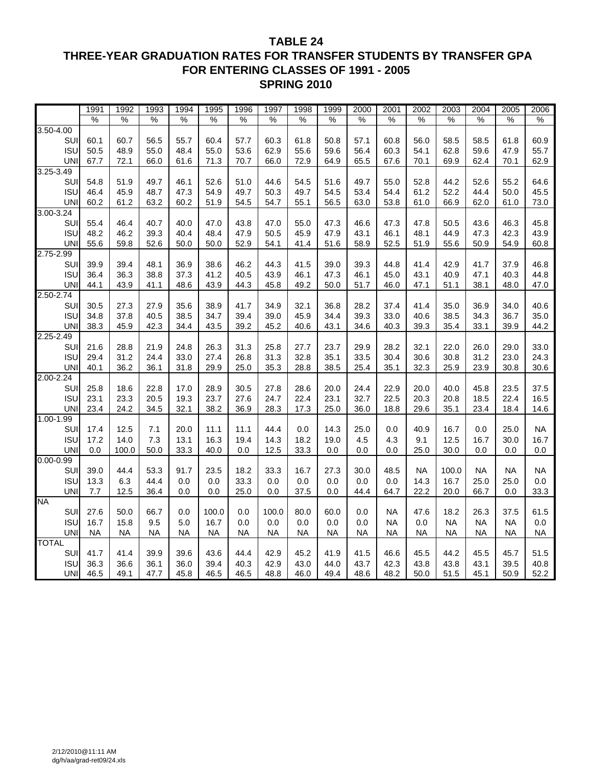### **TABLE 24 THREE-YEAR GRADUATION RATES FOR TRANSFER STUDENTS BY TRANSFER GPA FOR ENTERING CLASSES OF 1991 - 2005 SPRING 2010**

|               | 1991      | 1992      | 1993      | 1994          | 1995          | 1996 | 1997          | 1998          | 1999      | 2000      | 2001      | 2002      | 2003      | 2004      | 2005      | 2006      |
|---------------|-----------|-----------|-----------|---------------|---------------|------|---------------|---------------|-----------|-----------|-----------|-----------|-----------|-----------|-----------|-----------|
|               | %         | %         | %         | $\frac{0}{6}$ | $\frac{0}{6}$ | %    | $\frac{0}{0}$ | $\frac{0}{6}$ | %         | %         | %         | %         | %         | %         | %         | %         |
| $3.50 - 4.00$ |           |           |           |               |               |      |               |               |           |           |           |           |           |           |           |           |
| SUI           | 60.1      | 60.7      | 56.5      | 55.7          | 60.4          | 57.7 | 60.3          | 61.8          | 50.8      | 57.1      | 60.8      | 56.0      | 58.5      | 58.5      | 61.8      | 60.9      |
| <b>ISU</b>    | 50.5      | 48.9      | 55.0      | 48.4          | 55.0          | 53.6 | 62.9          | 55.6          | 59.6      | 56.4      | 60.3      | 54.1      | 62.8      | 59.6      | 47.9      | 55.7      |
| <b>UNI</b>    | 67.7      | 72.1      | 66.0      | 61.6          | 71.3          | 70.7 | 66.0          | 72.9          | 64.9      | 65.5      | 67.6      | 70.1      | 69.9      | 62.4      | 70.1      | 62.9      |
| 3.25-3.49     |           |           |           |               |               |      |               |               |           |           |           |           |           |           |           |           |
| SUI           | 54.8      | 51.9      | 49.7      | 46.1          | 52.6          | 51.0 | 44.6          | 54.5          | 51.6      | 49.7      | 55.0      | 52.8      | 44.2      | 52.6      | 55.2      | 64.6      |
| <b>ISU</b>    | 46.4      | 45.9      | 48.7      | 47.3          | 54.9          | 49.7 | 50.3          | 49.7          | 54.5      | 53.4      | 54.4      | 61.2      | 52.2      | 44.4      | 50.0      | 45.5      |
| <b>UNI</b>    | 60.2      | 61.2      | 63.2      | 60.2          | 51.9          | 54.5 | 54.7          | 55.1          | 56.5      | 63.0      | 53.8      | 61.0      | 66.9      | 62.0      | 61.0      | 73.0      |
| 3.00-3.24     |           |           |           |               |               |      |               |               |           |           |           |           |           |           |           |           |
| SUI           | 55.4      | 46.4      | 40.7      | 40.0          | 47.0          | 43.8 | 47.0          | 55.0          | 47.3      | 46.6      | 47.3      | 47.8      | 50.5      | 43.6      | 46.3      | 45.8      |
| <b>ISU</b>    | 48.2      | 46.2      | 39.3      | 40.4          | 48.4          | 47.9 | 50.5          | 45.9          | 47.9      | 43.1      | 46.1      | 48.1      | 44.9      | 47.3      | 42.3      | 43.9      |
| <b>UNI</b>    | 55.6      | 59.8      | 52.6      | 50.0          | 50.0          | 52.9 | 54.1          | 41.4          | 51.6      | 58.9      | 52.5      | 51.9      | 55.6      | 50.9      | 54.9      | 60.8      |
| 2.75-2.99     |           |           |           |               |               |      |               |               |           |           |           |           |           |           |           |           |
| SUI           | 39.9      | 39.4      | 48.1      | 36.9          | 38.6          | 46.2 | 44.3          | 41.5          | 39.0      | 39.3      | 44.8      | 41.4      | 42.9      | 41.7      | 37.9      | 46.8      |
| <b>ISU</b>    | 36.4      | 36.3      | 38.8      | 37.3          | 41.2          | 40.5 | 43.9          | 46.1          | 47.3      | 46.1      | 45.0      | 43.1      | 40.9      | 47.1      | 40.3      | 44.8      |
| <b>UNI</b>    | 44.1      | 43.9      | 41.1      | 48.6          | 43.9          | 44.3 | 45.8          | 49.2          | 50.0      | 51.7      | 46.0      | 47.1      | 51.1      | 38.1      | 48.0      | 47.0      |
| 2.50-2.74     |           |           |           |               |               |      |               |               |           |           |           |           |           |           |           |           |
| SUI           | 30.5      | 27.3      | 27.9      | 35.6          | 38.9          | 41.7 | 34.9          | 32.1          | 36.8      | 28.2      | 37.4      | 41.4      | 35.0      | 36.9      | 34.0      | 40.6      |
| <b>ISU</b>    | 34.8      | 37.8      | 40.5      | 38.5          | 34.7          | 39.4 | 39.0          | 45.9          | 34.4      | 39.3      | 33.0      | 40.6      | 38.5      | 34.3      | 36.7      | 35.0      |
| <b>UNI</b>    | 38.3      | 45.9      | 42.3      | 34.4          | 43.5          | 39.2 | 45.2          | 40.6          | 43.1      | 34.6      | 40.3      | 39.3      | 35.4      | 33.1      | 39.9      | 44.2      |
| $2.25 - 2.49$ |           |           |           |               |               |      |               |               |           |           |           |           |           |           |           |           |
| SUI           | 21.6      | 28.8      | 21.9      | 24.8          | 26.3          | 31.3 | 25.8          | 27.7          | 23.7      | 29.9      | 28.2      | 32.1      | 22.0      | 26.0      | 29.0      | 33.0      |
| <b>ISU</b>    | 29.4      | 31.2      | 24.4      | 33.0          | 27.4          | 26.8 | 31.3          | 32.8          | 35.1      | 33.5      | 30.4      | 30.6      | 30.8      | 31.2      | 23.0      | 24.3      |
| <b>UNI</b>    | 40.1      | 36.2      | 36.1      | 31.8          | 29.9          | 25.0 | 35.3          | 28.8          | 38.5      | 25.4      | 35.1      | 32.3      | 25.9      | 23.9      | 30.8      | 30.6      |
| 2.00-2.24     |           |           |           |               |               |      |               |               |           |           |           |           |           |           |           |           |
| SUI           | 25.8      | 18.6      | 22.8      | 17.0          | 28.9          | 30.5 | 27.8          | 28.6          | 20.0      | 24.4      | 22.9      | 20.0      | 40.0      | 45.8      | 23.5      | 37.5      |
| <b>ISU</b>    | 23.1      | 23.3      | 20.5      | 19.3          | 23.7          | 27.6 | 24.7          | 22.4          | 23.1      | 32.7      | 22.5      | 20.3      | 20.8      | 18.5      | 22.4      | 16.5      |
| <b>UNI</b>    | 23.4      | 24.2      | 34.5      | 32.1          | 38.2          | 36.9 | 28.3          | 17.3          | 25.0      | 36.0      | 18.8      | 29.6      | 35.1      | 23.4      | 18.4      | 14.6      |
| $1.00 - 1.99$ |           |           |           |               |               |      |               |               |           |           |           |           |           |           |           |           |
| SUI           | 17.4      | 12.5      | 7.1       | 20.0          | 11.1          | 11.1 | 44.4          | 0.0           | 14.3      | 25.0      | 0.0       | 40.9      | 16.7      | 0.0       | 25.0      | <b>NA</b> |
| <b>ISU</b>    | 17.2      | 14.0      | 7.3       | 13.1          | 16.3          | 19.4 | 14.3          | 18.2          | 19.0      | 4.5       | 4.3       | 9.1       | 12.5      | 16.7      | 30.0      | 16.7      |
| <b>UNI</b>    | 0.0       | 100.0     | 50.0      | 33.3          | 40.0          | 0.0  | 12.5          | 33.3          | 0.0       | 0.0       | 0.0       | 25.0      | 30.0      | 0.0       | 0.0       | 0.0       |
| $0.00 - 0.99$ |           |           |           |               |               |      |               |               |           |           |           |           |           |           |           |           |
| SUI           | 39.0      | 44.4      | 53.3      | 91.7          | 23.5          | 18.2 | 33.3          | 16.7          | 27.3      | 30.0      | 48.5      | <b>NA</b> | 100.0     | <b>NA</b> | <b>NA</b> | <b>NA</b> |
| <b>ISU</b>    | 13.3      | 6.3       | 44.4      | 0.0           | 0.0           | 33.3 | 0.0           | 0.0           | 0.0       | 0.0       | 0.0       | 14.3      | 16.7      | 25.0      | 25.0      | 0.0       |
| <b>UNI</b>    | 7.7       | 12.5      | 36.4      | 0.0           | 0.0           | 25.0 | 0.0           | 37.5          | 0.0       | 44.4      | 64.7      | 22.2      | 20.0      | 66.7      | 0.0       | 33.3      |
| <b>NA</b>     |           |           |           |               |               |      |               |               |           |           |           |           |           |           |           |           |
| SUI           | 27.6      | 50.0      | 66.7      | 0.0           | 100.0         | 0.0  | 100.0         | 80.0          | 60.0      | 0.0       | <b>NA</b> | 47.6      | 18.2      | 26.3      | 37.5      | 61.5      |
| <b>ISU</b>    | 16.7      | 15.8      | 9.5       | 5.0           | 16.7          | 0.0  | 0.0           | 0.0           | 0.0       | 0.0       | <b>NA</b> | 0.0       | <b>NA</b> | <b>NA</b> | <b>NA</b> | 0.0       |
| <b>UNI</b>    | <b>NA</b> | <b>NA</b> | <b>NA</b> | <b>NA</b>     | <b>NA</b>     | NA   | <b>NA</b>     | <b>NA</b>     | <b>NA</b> | <b>NA</b> | <b>NA</b> | <b>NA</b> | <b>NA</b> | <b>NA</b> | NA        | <b>NA</b> |
| <b>TOTAL</b>  |           |           |           |               |               |      |               |               |           |           |           |           |           |           |           |           |
| SUI           | 41.7      | 41.4      | 39.9      | 39.6          | 43.6          | 44.4 | 42.9          | 45.2          | 41.9      | 41.5      | 46.6      | 45.5      | 44.2      | 45.5      | 45.7      | 51.5      |
| <b>ISU</b>    | 36.3      | 36.6      | 36.1      | 36.0          | 39.4          | 40.3 | 42.9          | 43.0          | 44.0      | 43.7      | 42.3      | 43.8      | 43.8      | 43.1      | 39.5      | 40.8      |
| <b>UNI</b>    | 46.5      | 49.1      | 47.7      | 45.8          | 46.5          | 46.5 | 48.8          | 46.0          | 49.4      | 48.6      | 48.2      | 50.0      | 51.5      | 45.1      | 50.9      | 52.2      |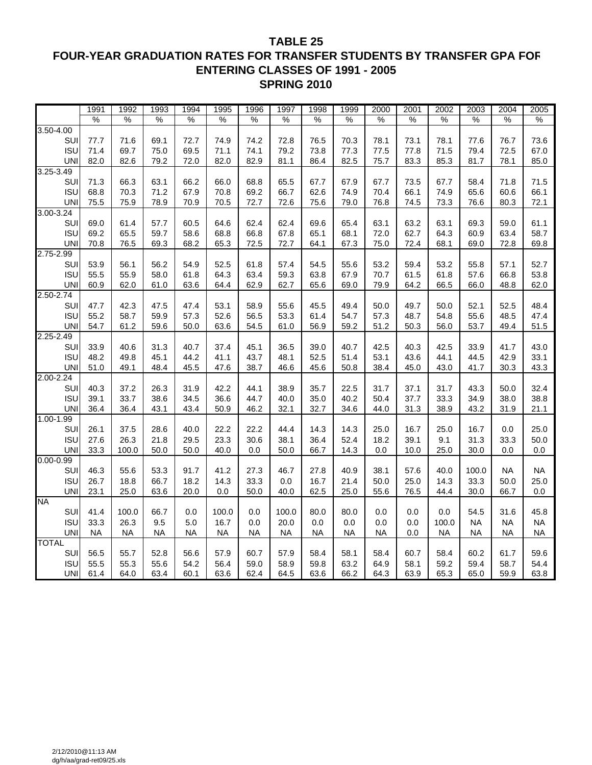### **TABLE 25 FOUR-YEAR GRADUATION RATES FOR TRANSFER STUDENTS BY TRANSFER GPA FOR ENTERING CLASSES OF 1991 - 2005 SPRING 2010**

|               | 1991          | 1992          | 1993      | 1994      | 1995      | 1996      | 1997          | 1998      | 1999      | 2000      | 2001 | 2002      | 2003      | 2004      | 2005          |
|---------------|---------------|---------------|-----------|-----------|-----------|-----------|---------------|-----------|-----------|-----------|------|-----------|-----------|-----------|---------------|
|               | $\frac{0}{0}$ | $\frac{0}{6}$ | %         | %         | %         | %         | $\frac{1}{2}$ | %         | %         | %         | %    | %         | %         | %         | $\frac{0}{6}$ |
| 3.50-4.00     |               |               |           |           |           |           |               |           |           |           |      |           |           |           |               |
| SUI           | 77.7          | 71.6          | 69.1      | 72.7      | 74.9      | 74.2      | 72.8          | 76.5      | 70.3      | 78.1      | 73.1 | 78.1      | 77.6      | 76.7      | 73.6          |
| <b>ISU</b>    | 71.4          | 69.7          | 75.0      | 69.5      | 71.1      | 74.1      | 79.2          | 73.8      | 77.3      | 77.5      | 77.8 | 71.5      | 79.4      | 72.5      | 67.0          |
| <b>UNI</b>    | 82.0          | 82.6          | 79.2      | 72.0      | 82.0      | 82.9      | 81.1          | 86.4      | 82.5      | 75.7      | 83.3 | 85.3      | 81.7      | 78.1      | 85.0          |
| $3.25 - 3.49$ |               |               |           |           |           |           |               |           |           |           |      |           |           |           |               |
| SUI           | 71.3          | 66.3          | 63.1      | 66.2      | 66.0      | 68.8      | 65.5          | 67.7      | 67.9      | 67.7      | 73.5 | 67.7      | 58.4      | 71.8      | 71.5          |
| <b>ISU</b>    | 68.8          | 70.3          | 71.2      | 67.9      | 70.8      | 69.2      | 66.7          | 62.6      | 74.9      | 70.4      | 66.1 | 74.9      | 65.6      | 60.6      | 66.1          |
| <b>UNI</b>    | 75.5          | 75.9          | 78.9      | 70.9      | 70.5      | 72.7      | 72.6          | 75.6      | 79.0      | 76.8      | 74.5 | 73.3      | 76.6      | 80.3      | 72.1          |
| 3.00-3.24     |               |               |           |           |           |           |               |           |           |           |      |           |           |           |               |
| SUI           | 69.0          | 61.4          | 57.7      | 60.5      | 64.6      | 62.4      | 62.4          | 69.6      | 65.4      | 63.1      | 63.2 | 63.1      | 69.3      | 59.0      | 61.1          |
| <b>ISU</b>    | 69.2          | 65.5          | 59.7      | 58.6      | 68.8      | 66.8      | 67.8          | 65.1      | 68.1      | 72.0      | 62.7 | 64.3      | 60.9      | 63.4      | 58.7          |
| <b>UNI</b>    | 70.8          | 76.5          | 69.3      | 68.2      | 65.3      | 72.5      | 72.7          | 64.1      | 67.3      | 75.0      | 72.4 | 68.1      | 69.0      | 72.8      | 69.8          |
| 2.75-2.99     |               |               |           |           |           |           |               |           |           |           |      |           |           |           |               |
| SUI           | 53.9          | 56.1          | 56.2      | 54.9      | 52.5      | 61.8      | 57.4          | 54.5      | 55.6      | 53.2      | 59.4 | 53.2      | 55.8      | 57.1      | 52.7          |
| <b>ISU</b>    | 55.5          | 55.9          | 58.0      | 61.8      | 64.3      | 63.4      | 59.3          | 63.8      | 67.9      | 70.7      | 61.5 | 61.8      | 57.6      | 66.8      | 53.8          |
| <b>UNI</b>    | 60.9          | 62.0          | 61.0      | 63.6      | 64.4      | 62.9      | 62.7          | 65.6      | 69.0      | 79.9      | 64.2 | 66.5      | 66.0      | 48.8      | 62.0          |
| 2.50-2.74     |               |               |           |           |           |           |               |           |           |           |      |           |           |           |               |
| SUI           | 47.7          | 42.3          | 47.5      | 47.4      | 53.1      | 58.9      | 55.6          | 45.5      | 49.4      | 50.0      | 49.7 | 50.0      | 52.1      | 52.5      | 48.4          |
| <b>ISU</b>    | 55.2          | 58.7          | 59.9      | 57.3      | 52.6      | 56.5      | 53.3          | 61.4      | 54.7      | 57.3      | 48.7 | 54.8      | 55.6      | 48.5      | 47.4          |
| <b>UNI</b>    | 54.7          | 61.2          | 59.6      | 50.0      | 63.6      | 54.5      | 61.0          | 56.9      | 59.2      | 51.2      | 50.3 | 56.0      | 53.7      | 49.4      | 51.5          |
| 2.25-2.49     |               |               |           |           |           |           |               |           |           |           |      |           |           |           |               |
| SUI           | 33.9          | 40.6          | 31.3      | 40.7      | 37.4      | 45.1      | 36.5          | 39.0      | 40.7      | 42.5      | 40.3 | 42.5      | 33.9      | 41.7      | 43.0          |
| <b>ISU</b>    | 48.2          | 49.8          | 45.1      | 44.2      | 41.1      | 43.7      | 48.1          | 52.5      | 51.4      | 53.1      | 43.6 | 44.1      | 44.5      | 42.9      | 33.1          |
| <b>UNI</b>    | 51.0          | 49.1          | 48.4      | 45.5      | 47.6      | 38.7      | 46.6          | 45.6      | 50.8      | 38.4      | 45.0 | 43.0      | 41.7      | 30.3      | 43.3          |
| 2.00-2.24     |               |               |           |           |           |           |               |           |           |           |      |           |           |           |               |
| SUI           | 40.3          | 37.2          | 26.3      | 31.9      | 42.2      | 44.1      | 38.9          | 35.7      | 22.5      | 31.7      | 37.1 | 31.7      | 43.3      | 50.0      | 32.4          |
| <b>ISU</b>    | 39.1          | 33.7          | 38.6      | 34.5      | 36.6      | 44.7      | 40.0          | 35.0      | 40.2      | 50.4      | 37.7 | 33.3      | 34.9      | 38.0      | 38.8          |
| <b>UNI</b>    | 36.4          | 36.4          | 43.1      | 43.4      | 50.9      | 46.2      | 32.1          | 32.7      | 34.6      | 44.0      | 31.3 | 38.9      | 43.2      | 31.9      | 21.1          |
| $1.00 - 1.99$ |               |               |           |           |           |           |               |           |           |           |      |           |           |           |               |
| SUI           | 26.1          | 37.5          | 28.6      | 40.0      | 22.2      | 22.2      | 44.4          | 14.3      | 14.3      | 25.0      | 16.7 | 25.0      | 16.7      | 0.0       | 25.0          |
| <b>ISU</b>    | 27.6          | 26.3          | 21.8      | 29.5      | 23.3      | 30.6      | 38.1          | 36.4      | 52.4      | 18.2      | 39.1 | 9.1       | 31.3      | 33.3      | 50.0          |
| <b>UNI</b>    | 33.3          | 100.0         | 50.0      | 50.0      | 40.0      | 0.0       | 50.0          | 66.7      | 14.3      | 0.0       | 10.0 | 25.0      | 30.0      | 0.0       | $0.0\,$       |
| $0.00 - 0.99$ |               |               |           |           |           |           |               |           |           |           |      |           |           |           |               |
| SUI           | 46.3          | 55.6          | 53.3      | 91.7      | 41.2      | 27.3      | 46.7          | 27.8      | 40.9      | 38.1      | 57.6 | 40.0      | 100.0     | <b>NA</b> | <b>NA</b>     |
| <b>ISU</b>    | 26.7          | 18.8          | 66.7      | 18.2      | 14.3      | 33.3      | 0.0           | 16.7      | 21.4      | 50.0      | 25.0 | 14.3      | 33.3      | 50.0      | 25.0          |
| <b>UNI</b>    | 23.1          | 25.0          | 63.6      | 20.0      | 0.0       | 50.0      | 40.0          | 62.5      | 25.0      | 55.6      | 76.5 | 44.4      | 30.0      | 66.7      | 0.0           |
| <b>NA</b>     |               |               |           |           |           |           |               |           |           |           |      |           |           |           |               |
| SUI           | 41.4          | 100.0         | 66.7      | 0.0       | 100.0     | 0.0       | 100.0         | 80.0      | 80.0      | 0.0       | 0.0  | 0.0       | 54.5      | 31.6      | 45.8          |
| <b>ISU</b>    | 33.3          | 26.3          | 9.5       | 5.0       | 16.7      | 0.0       | 20.0          | 0.0       | 0.0       | 0.0       | 0.0  | 100.0     | <b>NA</b> | <b>NA</b> | <b>NA</b>     |
| <b>UNI</b>    | <b>NA</b>     | <b>NA</b>     | <b>NA</b> | <b>NA</b> | <b>NA</b> | <b>NA</b> | <b>NA</b>     | <b>NA</b> | <b>NA</b> | <b>NA</b> | 0.0  | <b>NA</b> | <b>NA</b> | <b>NA</b> | <b>NA</b>     |
| <b>TOTAL</b>  |               |               |           |           |           |           |               |           |           |           |      |           |           |           |               |
| SUI           | 56.5          | 55.7          | 52.8      | 56.6      | 57.9      | 60.7      | 57.9          | 58.4      | 58.1      | 58.4      | 60.7 | 58.4      | 60.2      | 61.7      | 59.6          |
| <b>ISU</b>    | 55.5          | 55.3          | 55.6      | 54.2      | 56.4      | 59.0      | 58.9          | 59.8      | 63.2      | 64.9      | 58.1 | 59.2      | 59.4      | 58.7      | 54.4          |
| UNI           | 61.4          | 64.0          | 63.4      | 60.1      | 63.6      | 62.4      | 64.5          | 63.6      | 66.2      | 64.3      | 63.9 | 65.3      | 65.0      | 59.9      | 63.8          |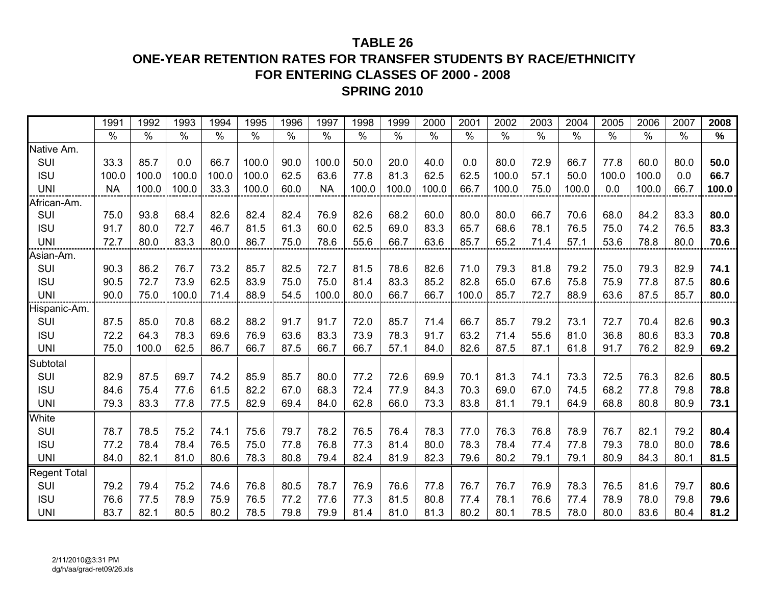## **TABLE 26**

## **ONE-YEAR RETENTION RATES FOR TRANSFER STUDENTS BY RACE/ETHNICITY FOR ENTERING CLASSES OF 2000 - 2008SPRING 2010**

|                     | 1991      | 1992          | 1993  | 1994          | 1995          | 1996          | 1997          | 1998          | 1999          | 2000          | 2001          | 2002  | 2003          | 2004          | 2005          | 2006          | 2007          | 2008          |
|---------------------|-----------|---------------|-------|---------------|---------------|---------------|---------------|---------------|---------------|---------------|---------------|-------|---------------|---------------|---------------|---------------|---------------|---------------|
|                     | $\%$      | $\frac{0}{0}$ | $\%$  | $\frac{1}{2}$ | $\frac{1}{2}$ | $\frac{0}{0}$ | $\frac{0}{0}$ | $\frac{9}{6}$ | $\frac{0}{0}$ | $\frac{0}{0}$ | $\frac{0}{0}$ | $\%$  | $\frac{8}{6}$ | $\frac{0}{0}$ | $\frac{0}{0}$ | $\frac{9}{6}$ | $\frac{0}{0}$ | $\frac{0}{0}$ |
| Native Am.          |           |               |       |               |               |               |               |               |               |               |               |       |               |               |               |               |               |               |
| SUI                 | 33.3      | 85.7          | 0.0   | 66.7          | 100.0         | 90.0          | 100.0         | 50.0          | 20.0          | 40.0          | 0.0           | 80.0  | 72.9          | 66.7          | 77.8          | 60.0          | 80.0          | 50.0          |
| <b>ISU</b>          | 100.0     | 100.0         | 100.0 | 100.0         | 100.0         | 62.5          | 63.6          | 77.8          | 81.3          | 62.5          | 62.5          | 100.0 | 57.1          | 50.0          | 100.0         | 100.0         | 0.0           | 66.7          |
| <b>UNI</b>          | <b>NA</b> | 100.0         | 100.0 | 33.3          | 100.0         | 60.0          | <b>NA</b>     | 100.0         | 100.0         | 100.0         | 66.7          | 100.0 | 75.0          | 100.0         | 0.0           | 100.0         | 66.7          | 100.0         |
| African-Am.         |           |               |       |               |               |               |               |               |               |               |               |       |               |               |               |               |               |               |
| SUI                 | 75.0      | 93.8          | 68.4  | 82.6          | 82.4          | 82.4          | 76.9          | 82.6          | 68.2          | 60.0          | 80.0          | 80.0  | 66.7          | 70.6          | 68.0          | 84.2          | 83.3          | 80.0          |
| <b>ISU</b>          | 91.7      | 80.0          | 72.7  | 46.7          | 81.5          | 61.3          | 60.0          | 62.5          | 69.0          | 83.3          | 65.7          | 68.6  | 78.1          | 76.5          | 75.0          | 74.2          | 76.5          | 83.3          |
| <b>UNI</b>          | 72.7      | 80.0          | 83.3  | 80.0          | 86.7          | 75.0          | 78.6          | 55.6          | 66.7          | 63.6          | 85.7          | 65.2  | 71.4          | 57.1          | 53.6          | 78.8          | 80.0          | 70.6          |
| Asian-Am.           |           |               |       |               |               |               |               |               |               |               |               |       |               |               |               |               |               |               |
| SUI                 | 90.3      | 86.2          | 76.7  | 73.2          | 85.7          | 82.5          | 72.7          | 81.5          | 78.6          | 82.6          | 71.0          | 79.3  | 81.8          | 79.2          | 75.0          | 79.3          | 82.9          | 74.1          |
| <b>ISU</b>          | 90.5      | 72.7          | 73.9  | 62.5          | 83.9          | 75.0          | 75.0          | 81.4          | 83.3          | 85.2          | 82.8          | 65.0  | 67.6          | 75.8          | 75.9          | 77.8          | 87.5          | 80.6          |
| <b>UNI</b>          | 90.0      | 75.0          | 100.0 | 71.4          | 88.9          | 54.5          | 100.0         | 80.0          | 66.7          | 66.7          | 100.0         | 85.7  | 72.7          | 88.9          | 63.6          | 87.5          | 85.7          | 80.0          |
| Hispanic-Am.        |           |               |       |               |               |               |               |               |               |               |               |       |               |               |               |               |               |               |
| SUI                 | 87.5      | 85.0          | 70.8  | 68.2          | 88.2          | 91.7          | 91.7          | 72.0          | 85.7          | 71.4          | 66.7          | 85.7  | 79.2          | 73.1          | 72.7          | 70.4          | 82.6          | 90.3          |
| <b>ISU</b>          | 72.2      | 64.3          | 78.3  | 69.6          | 76.9          | 63.6          | 83.3          | 73.9          | 78.3          | 91.7          | 63.2          | 71.4  | 55.6          | 81.0          | 36.8          | 80.6          | 83.3          | 70.8          |
| <b>UNI</b>          | 75.0      | 100.0         | 62.5  | 86.7          | 66.7          | 87.5          | 66.7          | 66.7          | 57.1          | 84.0          | 82.6          | 87.5  | 87.1          | 61.8          | 91.7          | 76.2          | 82.9          | 69.2          |
| Subtotal            |           |               |       |               |               |               |               |               |               |               |               |       |               |               |               |               |               |               |
| SUI                 | 82.9      | 87.5          | 69.7  | 74.2          | 85.9          | 85.7          | 80.0          | 77.2          | 72.6          | 69.9          | 70.1          | 81.3  | 74.1          | 73.3          | 72.5          | 76.3          | 82.6          | 80.5          |
| <b>ISU</b>          | 84.6      | 75.4          | 77.6  | 61.5          | 82.2          | 67.0          | 68.3          | 72.4          | 77.9          | 84.3          | 70.3          | 69.0  | 67.0          | 74.5          | 68.2          | 77.8          | 79.8          | 78.8          |
| <b>UNI</b>          | 79.3      | 83.3          | 77.8  | 77.5          | 82.9          | 69.4          | 84.0          | 62.8          | 66.0          | 73.3          | 83.8          | 81.1  | 79.1          | 64.9          | 68.8          | 80.8          | 80.9          | 73.1          |
| White               |           |               |       |               |               |               |               |               |               |               |               |       |               |               |               |               |               |               |
| SUI                 | 78.7      | 78.5          | 75.2  | 74.1          | 75.6          | 79.7          | 78.2          | 76.5          | 76.4          | 78.3          | 77.0          | 76.3  | 76.8          | 78.9          | 76.7          | 82.1          | 79.2          | 80.4          |
| <b>ISU</b>          | 77.2      | 78.4          | 78.4  | 76.5          | 75.0          | 77.8          | 76.8          | 77.3          | 81.4          | 80.0          | 78.3          | 78.4  | 77.4          | 77.8          | 79.3          | 78.0          | 80.0          | 78.6          |
| <b>UNI</b>          | 84.0      | 82.1          | 81.0  | 80.6          | 78.3          | 80.8          | 79.4          | 82.4          | 81.9          | 82.3          | 79.6          | 80.2  | 79.1          | 79.1          | 80.9          | 84.3          | 80.1          | 81.5          |
| <b>Regent Total</b> |           |               |       |               |               |               |               |               |               |               |               |       |               |               |               |               |               |               |
| SUI                 | 79.2      | 79.4          | 75.2  | 74.6          | 76.8          | 80.5          | 78.7          | 76.9          | 76.6          | 77.8          | 76.7          | 76.7  | 76.9          | 78.3          | 76.5          | 81.6          | 79.7          | 80.6          |
| <b>ISU</b>          | 76.6      | 77.5          | 78.9  | 75.9          | 76.5          | 77.2          | 77.6          | 77.3          | 81.5          | 80.8          | 77.4          | 78.1  | 76.6          | 77.4          | 78.9          | 78.0          | 79.8          | 79.6          |
| <b>UNI</b>          | 83.7      | 82.1          | 80.5  | 80.2          | 78.5          | 79.8          | 79.9          | 81.4          | 81.0          | 81.3          | 80.2          | 80.1  | 78.5          | 78.0          | 80.0          | 83.6          | 80.4          | 81.2          |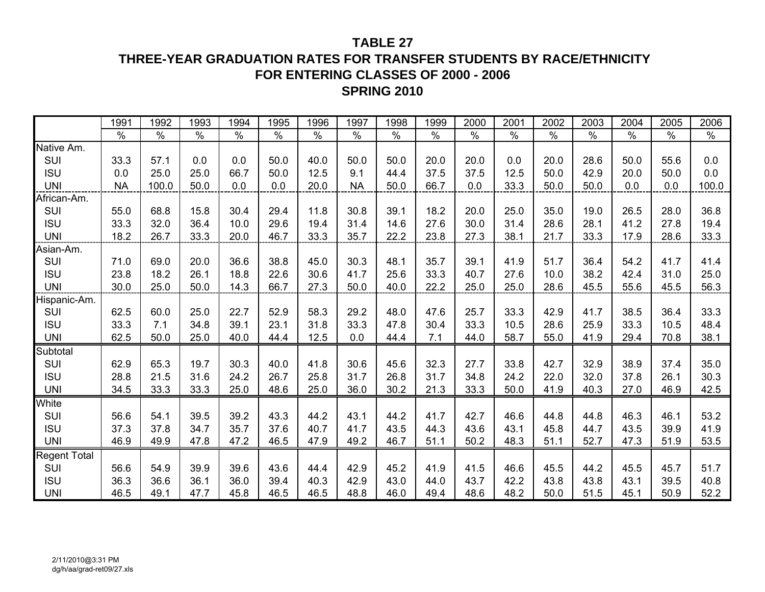## **TABLE 27**

## **THREE-YEAR GRADUATION RATES FOR TRANSFER STUDENTS BY RACE/ETHNICITY FOR ENTERING CLASSES OF 2000 - 2006SPRING 2010**

|              | 1991      | 1992  | 1993 | 1994 | 1995 | 1996 | 1997      | 1998 | 1999 | 2000 | 2001 | 2002 | 2003 | 2004 | 2005 | 2006  |
|--------------|-----------|-------|------|------|------|------|-----------|------|------|------|------|------|------|------|------|-------|
|              | $\%$      | $\%$  | $\%$ | $\%$ | $\%$ | $\%$ | $\%$      | $\%$ | $\%$ | $\%$ | $\%$ | $\%$ | $\%$ | $\%$ | $\%$ | %     |
| Native Am.   |           |       |      |      |      |      |           |      |      |      |      |      |      |      |      |       |
| <b>SUI</b>   | 33.3      | 57.1  | 0.0  | 0.0  | 50.0 | 40.0 | 50.0      | 50.0 | 20.0 | 20.0 | 0.0  | 20.0 | 28.6 | 50.0 | 55.6 | 0.0   |
| <b>ISU</b>   | 0.0       | 25.0  | 25.0 | 66.7 | 50.0 | 12.5 | 9.1       | 44.4 | 37.5 | 37.5 | 12.5 | 50.0 | 42.9 | 20.0 | 50.0 | 0.0   |
| <b>UNI</b>   | <b>NA</b> | 100.0 | 50.0 | 0.0  | 0.0  | 20.0 | <b>NA</b> | 50.0 | 66.7 | 0.0  | 33.3 | 50.0 | 50.0 | 0.0  | 0.0  | 100.0 |
| African-Am.  |           |       |      |      |      |      |           |      |      |      |      |      |      |      |      |       |
| SUI          | 55.0      | 68.8  | 15.8 | 30.4 | 29.4 | 11.8 | 30.8      | 39.1 | 18.2 | 20.0 | 25.0 | 35.0 | 19.0 | 26.5 | 28.0 | 36.8  |
| <b>ISU</b>   | 33.3      | 32.0  | 36.4 | 10.0 | 29.6 | 19.4 | 31.4      | 14.6 | 27.6 | 30.0 | 31.4 | 28.6 | 28.1 | 41.2 | 27.8 | 19.4  |
| <b>UNI</b>   | 18.2      | 26.7  | 33.3 | 20.0 | 46.7 | 33.3 | 35.7      | 22.2 | 23.8 | 27.3 | 38.1 | 21.7 | 33.3 | 17.9 | 28.6 | 33.3  |
| Asian-Am.    |           |       |      |      |      |      |           |      |      |      |      |      |      |      |      |       |
| SUI          | 71.0      | 69.0  | 20.0 | 36.6 | 38.8 | 45.0 | 30.3      | 48.1 | 35.7 | 39.1 | 41.9 | 51.7 | 36.4 | 54.2 | 41.7 | 41.4  |
| <b>ISU</b>   | 23.8      | 18.2  | 26.1 | 18.8 | 22.6 | 30.6 | 41.7      | 25.6 | 33.3 | 40.7 | 27.6 | 10.0 | 38.2 | 42.4 | 31.0 | 25.0  |
| <b>UNI</b>   | 30.0      | 25.0  | 50.0 | 14.3 | 66.7 | 27.3 | 50.0      | 40.0 | 22.2 | 25.0 | 25.0 | 28.6 | 45.5 | 55.6 | 45.5 | 56.3  |
| Hispanic-Am. |           |       |      |      |      |      |           |      |      |      |      |      |      |      |      |       |
| SUI          | 62.5      | 60.0  | 25.0 | 22.7 | 52.9 | 58.3 | 29.2      | 48.0 | 47.6 | 25.7 | 33.3 | 42.9 | 41.7 | 38.5 | 36.4 | 33.3  |
| <b>ISU</b>   | 33.3      | 7.1   | 34.8 | 39.1 | 23.1 | 31.8 | 33.3      | 47.8 | 30.4 | 33.3 | 10.5 | 28.6 | 25.9 | 33.3 | 10.5 | 48.4  |
| <b>UNI</b>   | 62.5      | 50.0  | 25.0 | 40.0 | 44.4 | 12.5 | 0.0       | 44.4 | 7.1  | 44.0 | 58.7 | 55.0 | 41.9 | 29.4 | 70.8 | 38.1  |
| Subtotal     |           |       |      |      |      |      |           |      |      |      |      |      |      |      |      |       |
| SUI          | 62.9      | 65.3  | 19.7 | 30.3 | 40.0 | 41.8 | 30.6      | 45.6 | 32.3 | 27.7 | 33.8 | 42.7 | 32.9 | 38.9 | 37.4 | 35.0  |
| <b>ISU</b>   | 28.8      | 21.5  | 31.6 | 24.2 | 26.7 | 25.8 | 31.7      | 26.8 | 31.7 | 34.8 | 24.2 | 22.0 | 32.0 | 37.8 | 26.1 | 30.3  |
| <b>UNI</b>   | 34.5      | 33.3  | 33.3 | 25.0 | 48.6 | 25.0 | 36.0      | 30.2 | 21.3 | 33.3 | 50.0 | 41.9 | 40.3 | 27.0 | 46.9 | 42.5  |
| White        |           |       |      |      |      |      |           |      |      |      |      |      |      |      |      |       |
| SUI          | 56.6      | 54.1  | 39.5 | 39.2 | 43.3 | 44.2 | 43.1      | 44.2 | 41.7 | 42.7 | 46.6 | 44.8 | 44.8 | 46.3 | 46.1 | 53.2  |
| <b>ISU</b>   | 37.3      | 37.8  | 34.7 | 35.7 | 37.6 | 40.7 | 41.7      | 43.5 | 44.3 | 43.6 | 43.1 | 45.8 | 44.7 | 43.5 | 39.9 | 41.9  |
| <b>UNI</b>   | 46.9      | 49.9  | 47.8 | 47.2 | 46.5 | 47.9 | 49.2      | 46.7 | 51.1 | 50.2 | 48.3 | 51.1 | 52.7 | 47.3 | 51.9 | 53.5  |
| Regent Total |           |       |      |      |      |      |           |      |      |      |      |      |      |      |      |       |
| SUI          | 56.6      | 54.9  | 39.9 | 39.6 | 43.6 | 44.4 | 42.9      | 45.2 | 41.9 | 41.5 | 46.6 | 45.5 | 44.2 | 45.5 | 45.7 | 51.7  |
| <b>ISU</b>   | 36.3      | 36.6  | 36.1 | 36.0 | 39.4 | 40.3 | 42.9      | 43.0 | 44.0 | 43.7 | 42.2 | 43.8 | 43.8 | 43.1 | 39.5 | 40.8  |
| <b>UNI</b>   | 46.5      | 49.1  | 47.7 | 45.8 | 46.5 | 46.5 | 48.8      | 46.0 | 49.4 | 48.6 | 48.2 | 50.0 | 51.5 | 45.1 | 50.9 | 52.2  |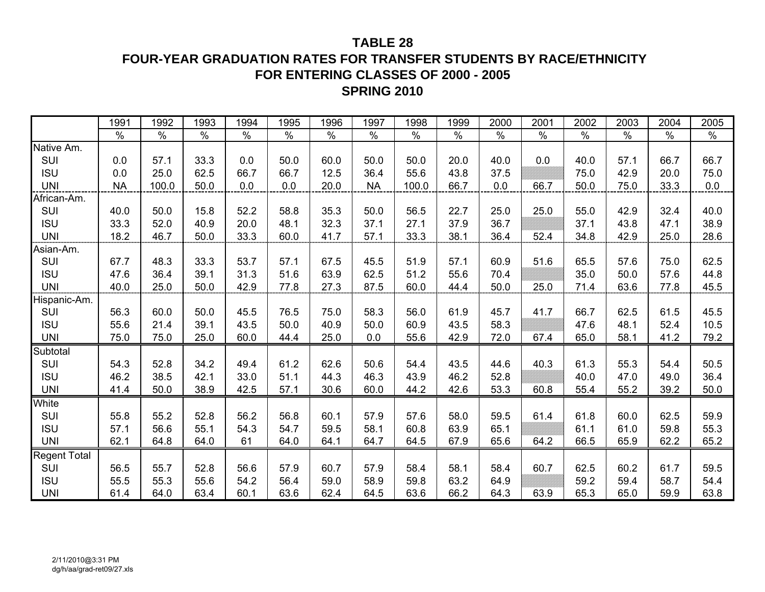## **TABLE 28**

**FOUR-YEAR GRADUATION RATES FOR TRANSFER STUDENTS BY RACE/ETHNICITY FOR ENTERING CLASSES OF 2000 - 2005 SPRING 2010**

|              | 1991      | 1992          | 1993 | 1994 | 1995          | 1996 | 1997      | 1998  | 1999          | 2000 | 2001 | 2002 | 2003 | 2004 | 2005 |
|--------------|-----------|---------------|------|------|---------------|------|-----------|-------|---------------|------|------|------|------|------|------|
|              | $\%$      | $\frac{8}{6}$ | $\%$ | $\%$ | $\frac{8}{6}$ | $\%$ | $\%$      | $\%$  | $\frac{8}{6}$ | $\%$ | %    | $\%$ | $\%$ | $\%$ | $\%$ |
| Native Am.   |           |               |      |      |               |      |           |       |               |      |      |      |      |      |      |
| SUI          | 0.0       | 57.1          | 33.3 | 0.0  | 50.0          | 60.0 | 50.0      | 50.0  | 20.0          | 40.0 | 0.0  | 40.0 | 57.1 | 66.7 | 66.7 |
| <b>ISU</b>   | 0.0       | 25.0          | 62.5 | 66.7 | 66.7          | 12.5 | 36.4      | 55.6  | 43.8          | 37.5 |      | 75.0 | 42.9 | 20.0 | 75.0 |
| <b>UNI</b>   | <b>NA</b> | 100.0         | 50.0 | 0.0  | 0.0           | 20.0 | <b>NA</b> | 100.0 | 66.7          | 0.0  | 66.7 | 50.0 | 75.0 | 33.3 | 0.0  |
| African-Am.  |           |               |      |      |               |      |           |       |               |      |      |      |      |      |      |
| SUI          | 40.0      | 50.0          | 15.8 | 52.2 | 58.8          | 35.3 | 50.0      | 56.5  | 22.7          | 25.0 | 25.0 | 55.0 | 42.9 | 32.4 | 40.0 |
| <b>ISU</b>   | 33.3      | 52.0          | 40.9 | 20.0 | 48.1          | 32.3 | 37.1      | 27.1  | 37.9          | 36.7 |      | 37.1 | 43.8 | 47.1 | 38.9 |
| <b>UNI</b>   | 18.2      | 46.7          | 50.0 | 33.3 | 60.0          | 41.7 | 57.1      | 33.3  | 38.1          | 36.4 | 52.4 | 34.8 | 42.9 | 25.0 | 28.6 |
| Asian-Am.    |           |               |      |      |               |      |           |       |               |      |      |      |      |      |      |
| <b>SUI</b>   | 67.7      | 48.3          | 33.3 | 53.7 | 57.1          | 67.5 | 45.5      | 51.9  | 57.1          | 60.9 | 51.6 | 65.5 | 57.6 | 75.0 | 62.5 |
| <b>ISU</b>   | 47.6      | 36.4          | 39.1 | 31.3 | 51.6          | 63.9 | 62.5      | 51.2  | 55.6          | 70.4 |      | 35.0 | 50.0 | 57.6 | 44.8 |
| <b>UNI</b>   | 40.0      | 25.0          | 50.0 | 42.9 | 77.8          | 27.3 | 87.5      | 60.0  | 44.4          | 50.0 | 25.0 | 71.4 | 63.6 | 77.8 | 45.5 |
| Hispanic-Am. |           |               |      |      |               |      |           |       |               |      |      |      |      |      |      |
| SUI          | 56.3      | 60.0          | 50.0 | 45.5 | 76.5          | 75.0 | 58.3      | 56.0  | 61.9          | 45.7 | 41.7 | 66.7 | 62.5 | 61.5 | 45.5 |
| <b>ISU</b>   | 55.6      | 21.4          | 39.1 | 43.5 | 50.0          | 40.9 | 50.0      | 60.9  | 43.5          | 58.3 |      | 47.6 | 48.1 | 52.4 | 10.5 |
| <b>UNI</b>   | 75.0      | 75.0          | 25.0 | 60.0 | 44.4          | 25.0 | 0.0       | 55.6  | 42.9          | 72.0 | 67.4 | 65.0 | 58.1 | 41.2 | 79.2 |
| Subtotal     |           |               |      |      |               |      |           |       |               |      |      |      |      |      |      |
| SUI          | 54.3      | 52.8          | 34.2 | 49.4 | 61.2          | 62.6 | 50.6      | 54.4  | 43.5          | 44.6 | 40.3 | 61.3 | 55.3 | 54.4 | 50.5 |
| <b>ISU</b>   | 46.2      | 38.5          | 42.1 | 33.0 | 51.1          | 44.3 | 46.3      | 43.9  | 46.2          | 52.8 |      | 40.0 | 47.0 | 49.0 | 36.4 |
| <b>UNI</b>   | 41.4      | 50.0          | 38.9 | 42.5 | 57.1          | 30.6 | 60.0      | 44.2  | 42.6          | 53.3 | 60.8 | 55.4 | 55.2 | 39.2 | 50.0 |
| White        |           |               |      |      |               |      |           |       |               |      |      |      |      |      |      |
| SUI          | 55.8      | 55.2          | 52.8 | 56.2 | 56.8          | 60.1 | 57.9      | 57.6  | 58.0          | 59.5 | 61.4 | 61.8 | 60.0 | 62.5 | 59.9 |
| <b>ISU</b>   | 57.1      | 56.6          | 55.1 | 54.3 | 54.7          | 59.5 | 58.1      | 60.8  | 63.9          | 65.1 |      | 61.1 | 61.0 | 59.8 | 55.3 |
| <b>UNI</b>   | 62.1      | 64.8          | 64.0 | 61   | 64.0          | 64.1 | 64.7      | 64.5  | 67.9          | 65.6 | 64.2 | 66.5 | 65.9 | 62.2 | 65.2 |
| Regent Total |           |               |      |      |               |      |           |       |               |      |      |      |      |      |      |
| SUI          | 56.5      | 55.7          | 52.8 | 56.6 | 57.9          | 60.7 | 57.9      | 58.4  | 58.1          | 58.4 | 60.7 | 62.5 | 60.2 | 61.7 | 59.5 |
| <b>ISU</b>   | 55.5      | 55.3          | 55.6 | 54.2 | 56.4          | 59.0 | 58.9      | 59.8  | 63.2          | 64.9 |      | 59.2 | 59.4 | 58.7 | 54.4 |
| <b>UNI</b>   | 61.4      | 64.0          | 63.4 | 60.1 | 63.6          | 62.4 | 64.5      | 63.6  | 66.2          | 64.3 | 63.9 | 65.3 | 65.0 | 59.9 | 63.8 |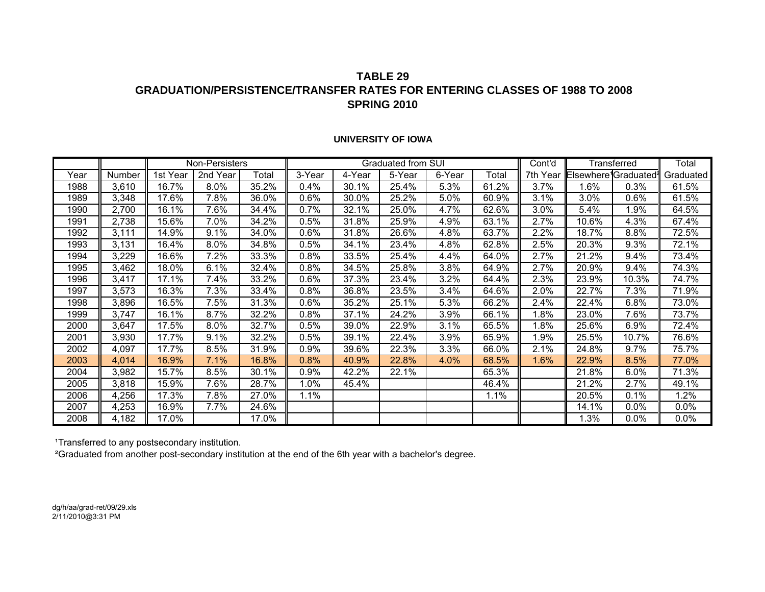### **TABLE 29GRADUATION/PERSISTENCE/TRANSFER RATES FOR ENTERING CLASSES OF 1988 TO 2008SPRING 2010**

#### **UNIVERSITY OF IOWA**

|      |        |          | Non-Persisters |       |        |        | Graduated from SUI |        |       | Cont'd   | Transferred                      | Total |           |
|------|--------|----------|----------------|-------|--------|--------|--------------------|--------|-------|----------|----------------------------------|-------|-----------|
| Year | Number | 1st Year | 2nd Year       | Total | 3-Year | 4-Year | 5-Year             | 6-Year | Total | 7th Year | Elsewhere <sup>1</sup> Graduated |       | Graduated |
| 1988 | 3,610  | 16.7%    | 8.0%           | 35.2% | 0.4%   | 30.1%  | 25.4%              | 5.3%   | 61.2% | 3.7%     | 1.6%                             | 0.3%  | 61.5%     |
| 1989 | 3,348  | 17.6%    | 7.8%           | 36.0% | 0.6%   | 30.0%  | 25.2%              | 5.0%   | 60.9% | 3.1%     | 3.0%                             | 0.6%  | 61.5%     |
| 1990 | 2,700  | 16.1%    | 7.6%           | 34.4% | 0.7%   | 32.1%  | 25.0%              | 4.7%   | 62.6% | 3.0%     | 5.4%                             | 1.9%  | 64.5%     |
| 1991 | 2,738  | 15.6%    | 7.0%           | 34.2% | 0.5%   | 31.8%  | 25.9%              | 4.9%   | 63.1% | $2.7\%$  | 10.6%                            | 4.3%  | 67.4%     |
| 1992 | 3,111  | 14.9%    | 9.1%           | 34.0% | 0.6%   | 31.8%  | 26.6%              | 4.8%   | 63.7% | 2.2%     | 18.7%                            | 8.8%  | 72.5%     |
| 1993 | 3,131  | 16.4%    | 8.0%           | 34.8% | 0.5%   | 34.1%  | 23.4%              | 4.8%   | 62.8% | 2.5%     | 20.3%                            | 9.3%  | 72.1%     |
| 1994 | 3,229  | 16.6%    | 7.2%           | 33.3% | 0.8%   | 33.5%  | 25.4%              | 4.4%   | 64.0% | 2.7%     | 21.2%                            | 9.4%  | 73.4%     |
| 1995 | 3,462  | 18.0%    | 6.1%           | 32.4% | 0.8%   | 34.5%  | 25.8%              | 3.8%   | 64.9% | 2.7%     | 20.9%                            | 9.4%  | 74.3%     |
| 1996 | 3,417  | 17.1%    | 7.4%           | 33.2% | 0.6%   | 37.3%  | 23.4%              | 3.2%   | 64.4% | 2.3%     | 23.9%                            | 10.3% | 74.7%     |
| 1997 | 3,573  | 16.3%    | 7.3%           | 33.4% | 0.8%   | 36.8%  | 23.5%              | 3.4%   | 64.6% | 2.0%     | 22.7%                            | 7.3%  | 71.9%     |
| 1998 | 3,896  | 16.5%    | 7.5%           | 31.3% | 0.6%   | 35.2%  | 25.1%              | 5.3%   | 66.2% | 2.4%     | 22.4%                            | 6.8%  | 73.0%     |
| 1999 | 3,747  | 16.1%    | 8.7%           | 32.2% | 0.8%   | 37.1%  | 24.2%              | 3.9%   | 66.1% | $1.8\%$  | 23.0%                            | 7.6%  | 73.7%     |
| 2000 | 3,647  | 17.5%    | 8.0%           | 32.7% | 0.5%   | 39.0%  | 22.9%              | 3.1%   | 65.5% | 1.8%     | 25.6%                            | 6.9%  | 72.4%     |
| 2001 | 3,930  | 17.7%    | 9.1%           | 32.2% | 0.5%   | 39.1%  | 22.4%              | 3.9%   | 65.9% | $1.9\%$  | 25.5%                            | 10.7% | 76.6%     |
| 2002 | 4,097  | 17.7%    | 8.5%           | 31.9% | 0.9%   | 39.6%  | 22.3%              | 3.3%   | 66.0% | 2.1%     | 24.8%                            | 9.7%  | 75.7%     |
| 2003 | 4,014  | 16.9%    | 7.1%           | 16.8% | 0.8%   | 40.9%  | 22.8%              | 4.0%   | 68.5% | 1.6%     | 22.9%                            | 8.5%  | 77.0%     |
| 2004 | 3,982  | 15.7%    | 8.5%           | 30.1% | 0.9%   | 42.2%  | 22.1%              |        | 65.3% |          | 21.8%                            | 6.0%  | 71.3%     |
| 2005 | 3,818  | 15.9%    | 7.6%           | 28.7% | 1.0%   | 45.4%  |                    |        | 46.4% |          | 21.2%                            | 2.7%  | 49.1%     |
| 2006 | 4,256  | 17.3%    | 7.8%           | 27.0% | 1.1%   |        |                    |        | 1.1%  |          | 20.5%                            | 0.1%  | 1.2%      |
| 2007 | 4,253  | 16.9%    | 7.7%           | 24.6% |        |        |                    |        |       |          | 14.1%                            | 0.0%  | 0.0%      |
| 2008 | 4,182  | 17.0%    |                | 17.0% |        |        |                    |        |       |          | 1.3%                             | 0.0%  | 0.0%      |

1Transferred to any postsecondary institution.

²Graduated from another post-secondary institution at the end of the 6th year with a bachelor's degree.

dg/h/aa/grad-ret/09/29.xls 2/11/2010@3:31 PM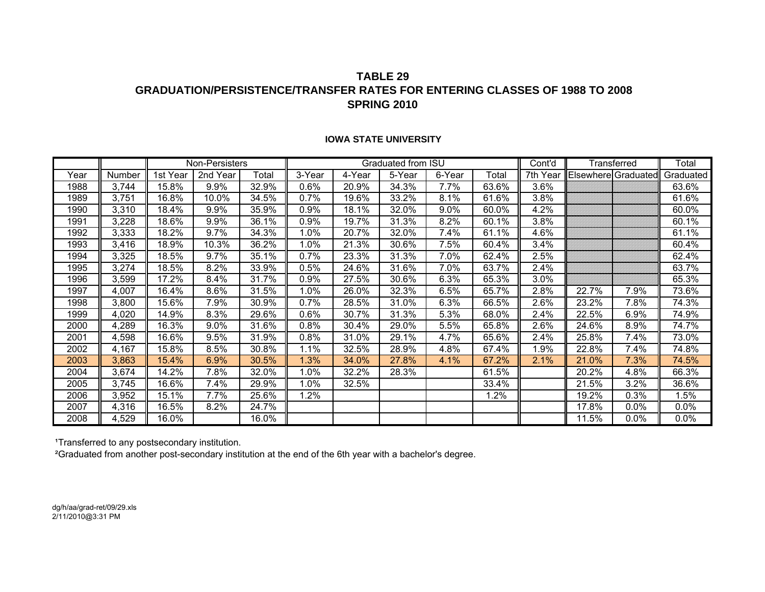### **TABLE 29GRADUATION/PERSISTENCE/TRANSFER RATES FOR ENTERING CLASSES OF 1988 TO 2008SPRING 2010**

|      |        |          | Non-Persisters |       |         |        | Graduated from ISU |        |       | Cont'd   | Transferred         | Total   |           |
|------|--------|----------|----------------|-------|---------|--------|--------------------|--------|-------|----------|---------------------|---------|-----------|
| Year | Number | 1st Year | 2nd Year       | Total | 3-Year  | 4-Year | 5-Year             | 6-Year | Total | 7th Year | Elsewhere Graduated |         | Graduated |
| 1988 | 3,744  | 15.8%    | 9.9%           | 32.9% | 0.6%    | 20.9%  | 34.3%              | 7.7%   | 63.6% | 3.6%     |                     |         | 63.6%     |
| 1989 | 3,751  | 16.8%    | 10.0%          | 34.5% | 0.7%    | 19.6%  | 33.2%              | 8.1%   | 61.6% | 3.8%     |                     |         | 61.6%     |
| 1990 | 3,310  | 18.4%    | 9.9%           | 35.9% | 0.9%    | 18.1%  | 32.0%              | 9.0%   | 60.0% | 4.2%     |                     |         | 60.0%     |
| 1991 | 3,228  | 18.6%    | 9.9%           | 36.1% | 0.9%    | 19.7%  | 31.3%              | 8.2%   | 60.1% | 3.8%     |                     |         | 60.1%     |
| 1992 | 3,333  | 18.2%    | 9.7%           | 34.3% | 1.0%    | 20.7%  | 32.0%              | 7.4%   | 61.1% | 4.6%     |                     |         | 61.1%     |
| 1993 | 3,416  | 18.9%    | 10.3%          | 36.2% | 1.0%    | 21.3%  | 30.6%              | 7.5%   | 60.4% | 3.4%     |                     |         | 60.4%     |
| 1994 | 3,325  | 18.5%    | 9.7%           | 35.1% | $0.7\%$ | 23.3%  | 31.3%              | 7.0%   | 62.4% | 2.5%     |                     |         | 62.4%     |
| 1995 | 3,274  | 18.5%    | 8.2%           | 33.9% | 0.5%    | 24.6%  | 31.6%              | 7.0%   | 63.7% | 2.4%     |                     |         | 63.7%     |
| 1996 | 3,599  | 17.2%    | 8.4%           | 31.7% | $0.9\%$ | 27.5%  | 30.6%              | 6.3%   | 65.3% | 3.0%     |                     |         | 65.3%     |
| 1997 | 4,007  | 16.4%    | 8.6%           | 31.5% | 1.0%    | 26.0%  | 32.3%              | 6.5%   | 65.7% | 2.8%     | 22.7%               | 7.9%    | 73.6%     |
| 1998 | 3,800  | 15.6%    | 7.9%           | 30.9% | 0.7%    | 28.5%  | 31.0%              | 6.3%   | 66.5% | 2.6%     | 23.2%               | 7.8%    | 74.3%     |
| 1999 | 4,020  | 14.9%    | 8.3%           | 29.6% | $0.6\%$ | 30.7%  | 31.3%              | 5.3%   | 68.0% | 2.4%     | 22.5%               | 6.9%    | 74.9%     |
| 2000 | 4,289  | 16.3%    | $9.0\%$        | 31.6% | 0.8%    | 30.4%  | 29.0%              | 5.5%   | 65.8% | 2.6%     | 24.6%               | 8.9%    | 74.7%     |
| 2001 | 4,598  | 16.6%    | 9.5%           | 31.9% | $0.8\%$ | 31.0%  | 29.1%              | 4.7%   | 65.6% | 2.4%     | 25.8%               | 7.4%    | 73.0%     |
| 2002 | 4,167  | 15.8%    | 8.5%           | 30.8% | 1.1%    | 32.5%  | 28.9%              | 4.8%   | 67.4% | 1.9%     | 22.8%               | 7.4%    | 74.8%     |
| 2003 | 3,863  | 15.4%    | 6.9%           | 30.5% | 1.3%    | 34.0%  | 27.8%              | 4.1%   | 67.2% | 2.1%     | 21.0%               | 7.3%    | 74.5%     |
| 2004 | 3,674  | 14.2%    | 7.8%           | 32.0% | 1.0%    | 32.2%  | 28.3%              |        | 61.5% |          | 20.2%               | 4.8%    | 66.3%     |
| 2005 | 3,745  | 16.6%    | 7.4%           | 29.9% | 1.0%    | 32.5%  |                    |        | 33.4% |          | 21.5%               | 3.2%    | 36.6%     |
| 2006 | 3,952  | 15.1%    | 7.7%           | 25.6% | $1.2\%$ |        |                    |        | 1.2%  |          | 19.2%               | 0.3%    | 1.5%      |
| 2007 | 4,316  | 16.5%    | 8.2%           | 24.7% |         |        |                    |        |       |          | 17.8%               | $0.0\%$ | 0.0%      |
| 2008 | 4,529  | 16.0%    |                | 16.0% |         |        |                    |        |       |          | 11.5%               | $0.0\%$ | 0.0%      |

#### **IOWA STATE UNIVERSITY**

1Transferred to any postsecondary institution.

²Graduated from another post-secondary institution at the end of the 6th year with a bachelor's degree.

dg/h/aa/grad-ret/09/29.xls 2/11/2010@3:31 PM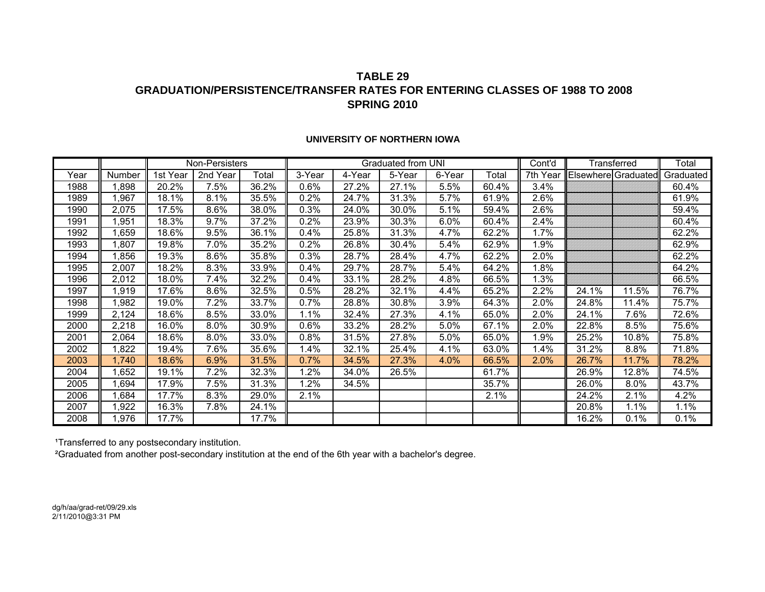### **TABLE 29GRADUATION/PERSISTENCE/TRANSFER RATES FOR ENTERING CLASSES OF 1988 TO 2008SPRING 2010**

|      |        |          | Non-Persisters |       |         |        | Graduated from UNI |        | Cont'd | Transferred | Total |                     |           |
|------|--------|----------|----------------|-------|---------|--------|--------------------|--------|--------|-------------|-------|---------------------|-----------|
| Year | Number | 1st Year | 2nd Year       | Total | 3-Year  | 4-Year | 5-Year             | 6-Year | Total  | 7th Year    |       | Elsewhere Graduated | Graduated |
| 1988 | 1,898  | 20.2%    | 7.5%           | 36.2% | 0.6%    | 27.2%  | 27.1%              | 5.5%   | 60.4%  | 3.4%        |       |                     | 60.4%     |
| 1989 | 1,967  | 18.1%    | 8.1%           | 35.5% | 0.2%    | 24.7%  | 31.3%              | 5.7%   | 61.9%  | 2.6%        |       |                     | 61.9%     |
| 1990 | 2,075  | 17.5%    | 8.6%           | 38.0% | 0.3%    | 24.0%  | 30.0%              | 5.1%   | 59.4%  | 2.6%        |       |                     | 59.4%     |
| 1991 | 1,951  | 18.3%    | $9.7\%$        | 37.2% | $0.2\%$ | 23.9%  | 30.3%              | 6.0%   | 60.4%  | 2.4%        |       |                     | 60.4%     |
| 1992 | 659, ا | 18.6%    | 9.5%           | 36.1% | $0.4\%$ | 25.8%  | 31.3%              | 4.7%   | 62.2%  | 1.7%        |       |                     | 62.2%     |
| 1993 | 1,807  | 19.8%    | 7.0%           | 35.2% | 0.2%    | 26.8%  | 30.4%              | 5.4%   | 62.9%  | $.9\%$      |       |                     | 62.9%     |
| 1994 | 1,856  | 19.3%    | 8.6%           | 35.8% | 0.3%    | 28.7%  | 28.4%              | 4.7%   | 62.2%  | 2.0%        |       |                     | 62.2%     |
| 1995 | 2,007  | 18.2%    | 8.3%           | 33.9% | 0.4%    | 29.7%  | 28.7%              | 5.4%   | 64.2%  | .8%         |       |                     | 64.2%     |
| 1996 | 2,012  | 18.0%    | 7.4%           | 32.2% | 0.4%    | 33.1%  | 28.2%              | 4.8%   | 66.5%  | .3%         |       |                     | 66.5%     |
| 1997 | 1,919  | 17.6%    | 8.6%           | 32.5% | $0.5\%$ | 28.2%  | 32.1%              | 4.4%   | 65.2%  | 2.2%        | 24.1% | 11.5%               | 76.7%     |
| 1998 | 1,982  | 19.0%    | 7.2%           | 33.7% | 0.7%    | 28.8%  | 30.8%              | 3.9%   | 64.3%  | 2.0%        | 24.8% | 11.4%               | 75.7%     |
| 1999 | 2,124  | 18.6%    | 8.5%           | 33.0% | 1.1%    | 32.4%  | 27.3%              | 4.1%   | 65.0%  | 2.0%        | 24.1% | 7.6%                | 72.6%     |
| 2000 | 2,218  | 16.0%    | 8.0%           | 30.9% | 0.6%    | 33.2%  | 28.2%              | 5.0%   | 67.1%  | 2.0%        | 22.8% | 8.5%                | 75.6%     |
| 2001 | 2,064  | 18.6%    | 8.0%           | 33.0% | 0.8%    | 31.5%  | 27.8%              | 5.0%   | 65.0%  | $.9\%$      | 25.2% | 10.8%               | 75.8%     |
| 2002 | 1,822  | 19.4%    | 7.6%           | 35.6% | 1.4%    | 32.1%  | 25.4%              | 4.1%   | 63.0%  | .4%         | 31.2% | 8.8%                | 71.8%     |
| 2003 | 1,740  | 18.6%    | 6.9%           | 31.5% | 0.7%    | 34.5%  | 27.3%              | 4.0%   | 66.5%  | 2.0%        | 26.7% | 11.7%               | 78.2%     |
| 2004 | 1,652  | 19.1%    | 7.2%           | 32.3% | 1.2%    | 34.0%  | 26.5%              |        | 61.7%  |             | 26.9% | 12.8%               | 74.5%     |
| 2005 | 1,694  | 17.9%    | 7.5%           | 31.3% | 1.2%    | 34.5%  |                    |        | 35.7%  |             | 26.0% | 8.0%                | 43.7%     |
| 2006 | 1,684  | 17.7%    | 8.3%           | 29.0% | 2.1%    |        |                    |        | 2.1%   |             | 24.2% | 2.1%                | 4.2%      |
| 2007 | 1,922  | 16.3%    | 7.8%           | 24.1% |         |        |                    |        |        |             | 20.8% | 1.1%                | 1.1%      |
| 2008 | 1,976  | 17.7%    |                | 17.7% |         |        |                    |        |        |             | 16.2% | 0.1%                | 0.1%      |

#### **UNIVERSITY OF NORTHERN IOWA**

1Transferred to any postsecondary institution.

²Graduated from another post-secondary institution at the end of the 6th year with a bachelor's degree.

dg/h/aa/grad-ret/09/29.xls 2/11/2010@3:31 PM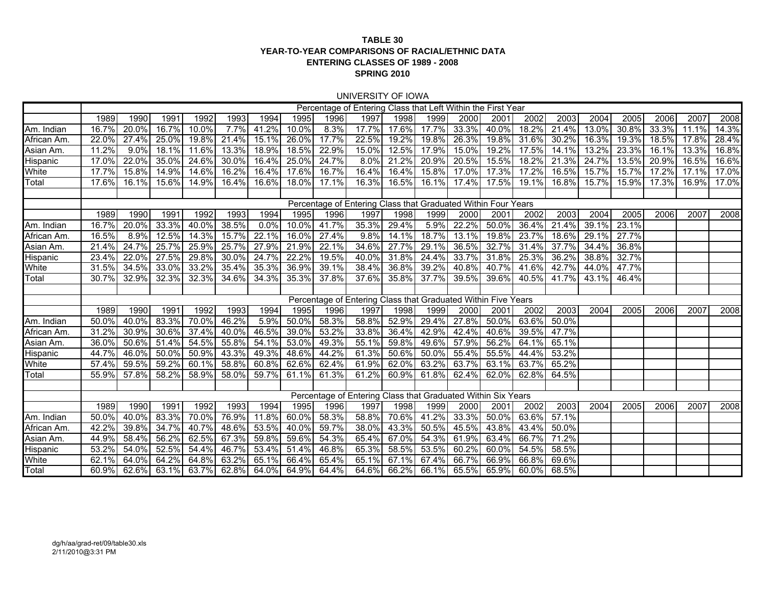#### **TABLE 30 YEAR-TO-YEAR COMPARISONS OF RACIAL/ETHNIC DATAENTERING CLASSES OF 1989 - 2008 SPRING 2010**

#### UNIVERSITY OF IOWA

|                 | Percentage of Entering Class that Left Within the First Year  |          |       |       |       |          |             |       |                                                               |       |             |       |             |       |          |       |       |          |       |       |
|-----------------|---------------------------------------------------------------|----------|-------|-------|-------|----------|-------------|-------|---------------------------------------------------------------|-------|-------------|-------|-------------|-------|----------|-------|-------|----------|-------|-------|
|                 | 1989                                                          | 1990     | 1991  | 1992  | 1993  | 1994     | 1995        | 1996  | 1997                                                          | 1998  | 1999        | 2000  | 2001        | 2002  | 2003     | 2004  | 2005  | 2006     | 2007  | 2008  |
| Am. Indian      | 16.7%                                                         | 20.0%    | 16.7% | 10.0% | 7.7%  | 41.2%    | 10.0%       | 8.3%  | 17.7%                                                         | 17.6% | 17.7%       | 33.3% | 40.0%       | 18.2% | 21.4%    | 13.0% | 30.8% | 33.3%    | 11.1% | 14.3% |
| African Am      | 22.0%                                                         | 27.4%    | 25.0% | 19.8% | 21.4% | 15.1%    | 26.0%       | 17.7% | 22.5%                                                         | 19.2% | 19.8%       | 26.3% | 19.8%       | 31.6% | 30.2%    | 16.3% | 19.3% | $18.5\%$ | 17.8% | 28.4% |
| Asian Am.       | 11.2%                                                         | 9.0%     | 18.1% | 11.6% | 13.3% | 18.9%    | 18.5%       | 22.9% | 15.0%                                                         | 12.5% | 17.9%       | 15.0% | 19.2%       | 17.5% | 14.1%    | 13.2% | 23.3% | 16.1%    | 13.3% | 16.8% |
| <b>Hispanic</b> | 17.0%                                                         | 22.0%    | 35.0% | 24.6% | 30.0% | 16.4%    | 25.0%       | 24.7% | 8.0%                                                          | 21.2% | 20.9%       | 20.5% | 15.5%       | 18.2% | 21.3%    | 24.7% | 13.5% | 20.9%    | 16.5% | 16.6% |
| White           | 17.7%                                                         | 15.8%    | 14.9% | 14.6% | 16.2% | 16.4%    | 17.6%       | 16.7% | 16.4%                                                         | 16.4% | 15.8%       | 17.0% | 17.3%       | 17.2% | 16.5%    | 15.7% | 15.7% | 17.2%    | 17.1% | 17.0% |
| Total           | 17.6%                                                         | 16.1%    | 15.6% | 14.9% | 16.4% | 16.6%    | $18.0\%$    | 17.1% | 16.3%                                                         | 16.5% | 16.1%       | 17.4% | 17.5%       | 19.1% | 16.8%    | 15.7% | 15.9% | 17.3%    | 16.9% | 17.0% |
|                 |                                                               |          |       |       |       |          |             |       |                                                               |       |             |       |             |       |          |       |       |          |       |       |
|                 |                                                               |          |       |       |       |          |             |       | Percentage of Entering Class that Graduated Within Four Years |       |             |       |             |       |          |       |       |          |       |       |
|                 | 1989                                                          | 1990     | 1991  | 1992  | 1993  | 1994     | 1995        | 1996  | 1997                                                          | 1998  | 1999        | 2000  | 2001        | 2002  | 2003     | 2004  | 2005  | 2006     | 2007  | 2008  |
| Am. Indian      | 16.7%                                                         | 20.0%    | 33.3% | 40.0% | 38.5% | $0.0\%$  | $10.0\%$    | 41.7% | 35.3%                                                         | 29.4% | 5.9%        | 22.2% | 50.0%       | 36.4% | 21.4%    | 39.1% | 23.1% |          |       |       |
| African Am      | 16.5%                                                         | 8.9%     | 12.5% | 14.3% | 15.7% | 22.1%    | 16.0%       | 27.4% | 9.8%                                                          | 14.1% | 18.7%       | 13.1% | 19.8%       | 23.7% | 18.6%    | 29.1% | 27.7% |          |       |       |
| Asian Am.       | 21.4%                                                         | 24.7%    | 25.7% | 25.9% | 25.7% | 27.9%    | 21.9%       | 22.1% | 34.6%                                                         | 27.7% | 29.1%       | 36.5% | 32.7%       | 31.4% | 37.7%    | 34.4% | 36.8% |          |       |       |
| <b>Hispanic</b> | 23.4%                                                         | 22.0%    | 27.5% | 29.8% | 30.0% | 24.7%    | 22.2%       | 19.5% | 40.0%                                                         | 31.8% | 24.4%       | 33.7% | 31.8%       | 25.3% | 36.2%    | 38.8% | 32.7% |          |       |       |
| White           | 31.5%                                                         | 34.5%    | 33.0% | 33.2% | 35.4% | 35.3%    | 36.9%       | 39.1% | 38.4%                                                         | 36.8% | 39.2%       | 40.8% | 40.7%       | 41.6% | 42.7%    | 44.0% | 47.7% |          |       |       |
| Total           | 30.7%                                                         | 32.9%    | 32.3% | 32.3% | 34.6% | 34.3%    | 35.3%       | 37.8% | 37.6%                                                         | 35.8% | 37.7%       | 39.5% | 39.6%       | 40.5% | 41.7%    | 43.1% | 46.4% |          |       |       |
|                 |                                                               |          |       |       |       |          |             |       |                                                               |       |             |       |             |       |          |       |       |          |       |       |
|                 | Percentage of Entering Class that Graduated Within Five Years |          |       |       |       |          |             |       |                                                               |       |             |       |             |       |          |       |       |          |       |       |
|                 | 1989                                                          | 1990     | 1991  | 1992  | 1993  | 1994     | 1995        | 1996  | 1997                                                          | 1998  | 1999        | 2000  | 2001        | 2002  | 2003     | 2004  | 2005  | 2006     | 2007  | 2008  |
| Am. Indian      | 50.0%                                                         | 40.0%    | 83.3% | 70.0% | 46.2% | 5.9%     | 50.0%       | 58.3% | 58.8%                                                         | 52.9% | 29.4%       | 27.8% | 50.0%       | 63.6% | 50.0%    |       |       |          |       |       |
| African Am      | 31.2%                                                         | 30.9%    | 30.6% | 37.4% | 40.0% | 46.5%    | 39.0%       | 53.2% | 33.8%                                                         | 36.4% | 42.9%       | 42.4% | 40.6%       | 39.5% | 47.7%    |       |       |          |       |       |
| Asian Am.       | 36.0%                                                         | 50.6%    | 51.4% | 54.5% | 55.8% | 54.1%    | 53.0%       | 49.3% | 55.1%                                                         | 59.8% | 49.6%       | 57.9% | 56.2%       | 64.1% | 65.1%    |       |       |          |       |       |
| <b>Hispanic</b> | 44.7%                                                         | 46.0%    | 50.0% | 50.9% | 43.3% | 49.3%    | 48.6%       | 44.2% | 61.3%                                                         | 50.6% | 50.0%       | 55.4% | 55.5%       | 44.4% | 53.2%    |       |       |          |       |       |
| White           | 57.4%                                                         | 59.5%    | 59.2% | 60.1% | 58.8% | $60.8\%$ | 62.6%       | 62.4% | 61.9%                                                         | 62.0% | 63.2%       | 63.7% | 63.1%       | 63.7% | 65.2%    |       |       |          |       |       |
| Total           | 55.9%                                                         | 57.8%    | 58.2% | 58.9% | 58.0% | 59.7%    | 61.1%       | 61.3% | 61.2%                                                         | 60.9% | 61.8%       | 62.4% | 62.0%       | 62.8% | 64.5%    |       |       |          |       |       |
|                 |                                                               |          |       |       |       |          |             |       |                                                               |       |             |       |             |       |          |       |       |          |       |       |
|                 |                                                               |          |       |       |       |          |             |       | Percentage of Entering Class that Graduated Within Six Years  |       |             |       |             |       |          |       |       |          |       |       |
|                 | 1989                                                          | 1990     | 1991  | 1992  | 1993  | 1994     | 1995        | 1996  | 1997                                                          | 1998  | 1999        | 2000  | 2001        | 2002  | 2003     | 2004  | 2005  | 2006     | 2007  | 2008  |
| Am. Indian      | 50.0%                                                         | $40.0\%$ | 83.3% | 70.0% | 76.9% | 11.8%    | 60.0%       | 58.3% | 58.8%                                                         | 70.6% | 41.2%       | 33.3% | 50.0%       | 63.6% | 57.1%    |       |       |          |       |       |
| African Am      | 42.2%                                                         | 39.8%    | 34.7% | 40.7% | 48.6% | 53.5%    | 40.0%       | 59.7% | 38.0%                                                         | 43.3% | 50.5%       | 45.5% | 43.8%       | 43.4% | $50.0\%$ |       |       |          |       |       |
| Asian Am.       | 44.9%                                                         | 58.4%    | 56.2% | 62.5% | 67.3% | 59.8%    | 59.6%       | 54.3% | 65.4%                                                         | 67.0% | 54.3%       | 61.9% | 63.4%       | 66.7% | 71.2%    |       |       |          |       |       |
| Hispanic        | 53.2%                                                         | 54.0%    | 52.5% | 54.4% | 46.7% | 53.4%    | 51.4%       | 46.8% | 65.3%                                                         | 58.5% | 53.5%       | 60.2% | 60.0%       | 54.5% | 58.5%    |       |       |          |       |       |
| White           | 62.1%                                                         | 64.0%    | 64.2% | 64.8% | 63.2% | 65.1%    | 66.4%       | 65.4% | 65.1%                                                         | 67.1% | 67.4%       | 66.7% | 66.9%       | 66.8% | 69.6%    |       |       |          |       |       |
| Total           | 60.9%                                                         | 62.6%    | 63.1% | 63.7% | 62.8% |          | 64.0% 64.9% | 64.4% | 64.6%                                                         |       | 66.2% 66.1% |       | 65.5% 65.9% | 60.0% | 68.5%    |       |       |          |       |       |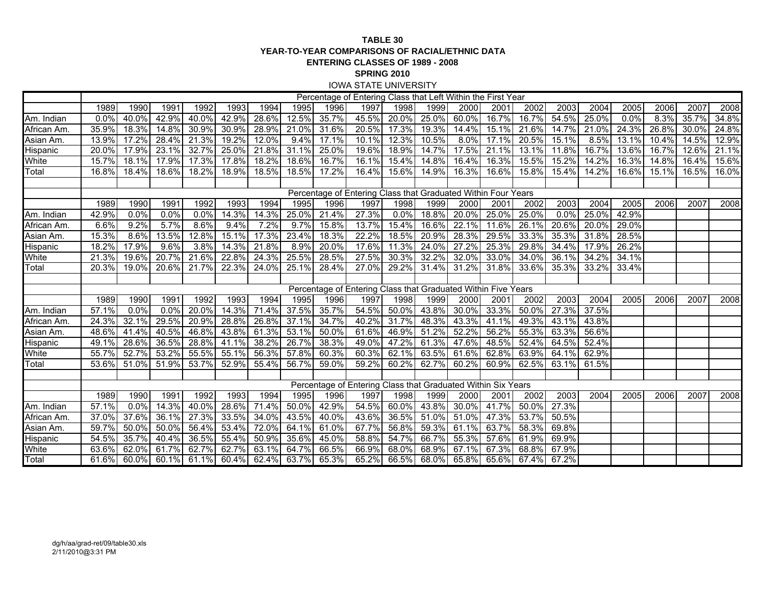#### **TABLE 30 YEAR-TO-YEAR COMPARISONS OF RACIAL/ETHNIC DATAENTERING CLASSES OF 1989 - 2008 SPRING 2010** IOWA STATE UNIVERSITY

|                 | Percentage of Entering Class that Left Within the First Year  |         |          |             |       |       |             |       |                                                               |                     |       |          |       |                   |       |       |       |       |       |       |
|-----------------|---------------------------------------------------------------|---------|----------|-------------|-------|-------|-------------|-------|---------------------------------------------------------------|---------------------|-------|----------|-------|-------------------|-------|-------|-------|-------|-------|-------|
|                 | 1989                                                          | 1990    | 1991     | 1992        | 1993  | 1994  | 1995        | 1996  | 1997                                                          | 1998                | 1999  | 2000     | 2001  | 2002              | 2003  | 2004  | 2005  | 2006  | 2007  | 2008  |
| Am. Indian      | 0.0%                                                          | 40.0%   | 42.9%    | 40.0%       | 42.9% | 28.6% | 12.5%       | 35.7% | 45.5%                                                         | 20.0%               | 25.0% | 60.0%    | 16.7% | 16.7%             | 54.5% | 25.0% | 0.0%  | 8.3%  | 35.7% | 34.8% |
| African Am      | 35.9%                                                         | 18.3%   | $14.8\%$ | 30.9%       | 30.9% | 28.9% | 21.0%       | 31.6% | 20.5%                                                         | 17.3%               | 19.3% | 14.4%    | 15.1% | 21.6%             | 14.7% | 21.0% | 24.3% | 26.8% | 30.0% | 24.8% |
| Asian Am.       | 13.9%                                                         | 17.2%   | 28.4%    | 21.3%       | 19.2% | 12.0% | 9.4%        | 17.1% | 10.1%                                                         | 12.3%               | 10.5% | 8.0%     | 17.1% | 20.5%             | 15.1% | 8.5%  | 13.1% | 10.4% | 14.5% | 12.9% |
| Hispanic        | 20.0%                                                         | 17.9%   | 23.1%    | 32.7%       | 25.0% | 21.8% | 31.1%       | 25.0% | 19.6%                                                         | 18.9%               | 14.7% | 17.5%    | 21.1% | 13.1%             | 11.8% | 16.7% | 13.6% | 16.7% | 12.6% | 21.1% |
| White           | 15.7%                                                         | 18.1%   | 17.9%    | 17.3%       | 17.8% | 18.2% | 18.6%       | 16.7% | 16.1%                                                         | 15.4%               | 14.8% | 16.4%    | 16.3% | 15.5%             | 15.2% | 14.2% | 16.3% | 14.8% | 16.4% | 15.6% |
| Total           | 16.8%                                                         | 18.4%   | 18.6%    | 18.2%       | 18.9% | 18.5% | $18.5\%$    | 17.2% | 16.4%                                                         | 15.6%               | 14.9% | 16.3%    | 16.6% | 15.8%             | 15.4% | 14.2% | 16.6% | 15.1% | 16.5% | 16.0% |
|                 |                                                               |         |          |             |       |       |             |       |                                                               |                     |       |          |       |                   |       |       |       |       |       |       |
|                 |                                                               |         |          |             |       |       |             |       | Percentage of Entering Class that Graduated Within Four Years |                     |       |          |       |                   |       |       |       |       |       |       |
|                 | 1989                                                          | 1990    | 1991     | 1992        | 1993  | 1994  | 1995        | 1996  | 1997                                                          | 1998                | 1999  | 2000     | 2001  | 2002              | 2003  | 2004  | 2005  | 2006  | 2007  | 2008  |
| Am. Indian      | 42.9%                                                         | $0.0\%$ | 0.0%     | 0.0%        | 14.3% | 14.3% | 25.0%       | 21.4% | 27.3%                                                         | 0.0%                | 18.8% | 20.0%    | 25.0% | 25.0%             | 0.0%  | 25.0% | 42.9% |       |       |       |
| African Am.     | 6.6%                                                          | 9.2%    | 5.7%     | 8.6%        | 9.4%  | 7.2%  | 9.7%        | 15.8% | 13.7%                                                         | 15.4%               | 16.6% | 22.1%    | 11.6% | 26.1%             | 20.6% | 20.0% | 29.0% |       |       |       |
| Asian Am.       | 15.3%                                                         | 8.6%    | $13.5\%$ | 12.8%       | 15.1% | 17.3% | 23.4%       | 18.3% | 22.2%                                                         | 18.5%               | 20.9% | 28.3%    | 29.5% | 33.3%             | 35.3% | 31.8% | 28.5% |       |       |       |
| <b>Hispanic</b> | 18.2%                                                         | 17.9%   | 9.6%     | 3.8%        | 14.3% | 21.8% | 8.9%        | 20.0% | 17.6%                                                         | 11.3%               | 24.0% | 27.2%    | 25.3% | 29.8%             | 34.4% | 17.9% | 26.2% |       |       |       |
| White           | 21.3%                                                         | 19.6%   | 20.7%    | 21.6%       | 22.8% | 24.3% | 25.5%       | 28.5% | 27.5%                                                         | 30.3%               | 32.2% | 32.0%    | 33.0% | 34.0%             | 36.1% | 34.2% | 34.1% |       |       |       |
| Total           | 20.3%                                                         | 19.0%   | 20.6%    | 21.7%       | 22.3% | 24.0% | 25.1%       | 28.4% | 27.0%                                                         | 29.2%               | 31.4% | 31.2%    | 31.8% | 33.6%             | 35.3% | 33.2% | 33.4% |       |       |       |
|                 |                                                               |         |          |             |       |       |             |       |                                                               |                     |       |          |       |                   |       |       |       |       |       |       |
|                 | Percentage of Entering Class that Graduated Within Five Years |         |          |             |       |       |             |       |                                                               |                     |       |          |       |                   |       |       |       |       |       |       |
|                 | 1989                                                          | 1990    | 1991     | 1992        | 1993  | 1994  | 1995        | 1996  | 1997                                                          | 1998                | 1999  | 2000     | 2001  | 2002              | 2003  | 2004  | 2005  | 2006  | 2007  | 2008  |
| Am. Indian      | 57.1%                                                         | 0.0%    | 0.0%     | 20.0%       | 14.3% | 71.4% | 37.5%       | 35.7% | 54.5%                                                         | 50.0%               | 43.8% | 30.0%    | 33.3% | 50.0%             | 27.3% | 37.5% |       |       |       |       |
| African Am.     | 24.3%                                                         | 32.1%   | 29.5%    | 20.9%       | 28.8% | 26.8% | 37.1%       | 34.7% | 40.2%                                                         | $31.\overline{7\%}$ | 48.3% | $43.3\%$ | 41.1% | 49.3%             | 43.1% | 43.8% |       |       |       |       |
| Asian Am.       | $48.6\%$                                                      | 41.4%   | 40.5%    | 46.8%       | 43.8% | 61.3% | 53.1%       | 50.0% | 61.6%                                                         | 46.9%               | 51.2% | 52.2%    | 56.2% | 55.3%             | 63.3% | 56.6% |       |       |       |       |
| Hispanic        | 49.1%                                                         | 28.6%   | 36.5%    | 28.8%       | 41.1% | 38.2% | 26.7%       | 38.3% | 49.0%                                                         | 47.2%               | 61.3% | 47.6%    | 48.5% | 52.4%             | 64.5% | 52.4% |       |       |       |       |
| White           | 55.7%                                                         | 52.7%   | 53.2%    | 55.5%       | 55.1% | 56.3% | 57.8%       | 60.3% | 60.3%                                                         | 62.1%               | 63.5% | 61.6%    | 62.8% | 63.9%             | 64.1% | 62.9% |       |       |       |       |
| Total           | 53.6%                                                         | 51.0%   | 51.9%    | 53.7%       | 52.9% | 55.4% | 56.7%       | 59.0% | 59.2%                                                         | 60.2%               | 62.7% | 60.2%    | 60.9% | 62.5%             | 63.1% | 61.5% |       |       |       |       |
|                 |                                                               |         |          |             |       |       |             |       |                                                               |                     |       |          |       |                   |       |       |       |       |       |       |
|                 |                                                               |         |          |             |       |       |             |       | Percentage of Entering Class that Graduated Within Six Years  |                     |       |          |       |                   |       |       |       |       |       |       |
|                 | 1989                                                          | 1990    | 1991     | 1992        | 1993  | 1994  | 1995        | 1996  | 1997                                                          | 1998                | 1999  | 2000     | 2001  | 2002              | 2003  | 2004  | 2005  | 2006  | 2007  | 2008  |
| Am. Indian      | 57.1%                                                         | 0.0%    | 14.3%    | 40.0%       | 28.6% | 71.4% | $50.0\%$    | 42.9% | 54.5%                                                         | 60.0%               | 43.8% | 30.0%    | 41.7% | 50.0%             | 27.3% |       |       |       |       |       |
| African Am.     | 37.0%                                                         | 37.6%   | 36.1%    | 27.3%       | 33.5% | 34.0% | 43.5%       | 40.0% | 43.6%                                                         | 36.5%               | 51.0% | 51.0%    | 47.3% | 53.7%             | 50.5% |       |       |       |       |       |
| Asian Am.       | 59.7%                                                         | 50.0%   | 50.0%    | 56.4%       | 53.4% | 72.0% | 64.1%       | 61.0% | 67.7%                                                         | 56.8%               | 59.3% | 61.1%    | 63.7% | 58.3%             | 69.8% |       |       |       |       |       |
| Hispanic        | 54.5%                                                         | 35.7%   | 40.4%    | 36.5%       | 55.4% | 50.9% | 35.6%       | 45.0% | 58.8%                                                         | 54.7%               | 66.7% | 55.3%    | 57.6% | 61.9%             | 69.9% |       |       |       |       |       |
| White           | 63.6%                                                         | 62.0%   | 61.7%    | 62.7%       | 62.7% | 63.1% | 64.7%       | 66.5% | 66.9%                                                         | 68.0%               | 68.9% | 67.1%    | 67.3% | 68.8%             | 67.9% |       |       |       |       |       |
| Total           | 61.6%                                                         | 60.0%   |          | 60.1% 61.1% | 60.4% |       | 62.4% 63.7% | 65.3% | 65.2%                                                         | 66.5%               | 68.0% | 65.8%    |       | 65.6% 67.4% 67.2% |       |       |       |       |       |       |